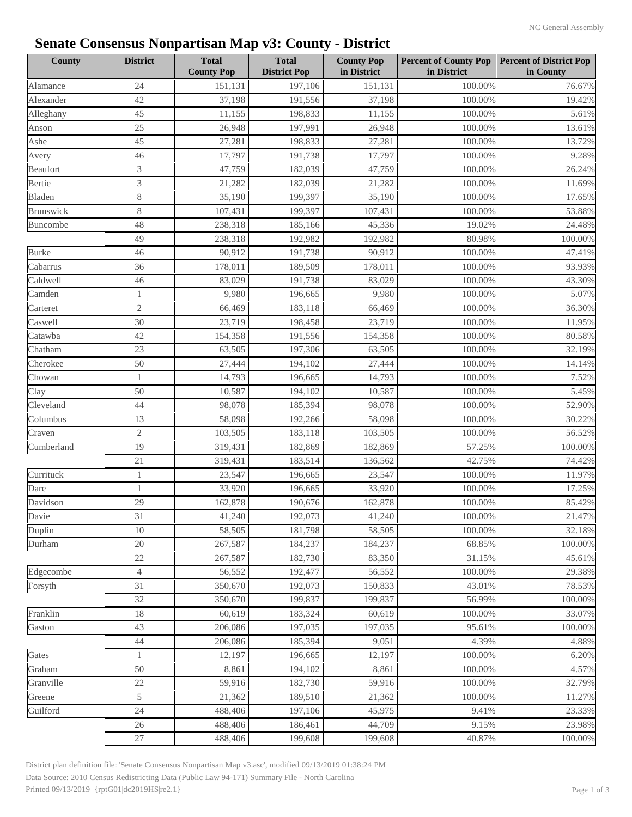| <b>County</b>   | <b>District</b> | <b>Total</b><br><b>County Pop</b> | <b>Total</b><br><b>District Pop</b> | <b>County Pop</b><br>in District | <b>Percent of County Pop</b><br>in District | <b>Percent of District Pop</b><br>in County |
|-----------------|-----------------|-----------------------------------|-------------------------------------|----------------------------------|---------------------------------------------|---------------------------------------------|
| Alamance        | 24              | 151,131                           | 197,106                             | 151,131                          | 100.00%                                     | 76.67%                                      |
| Alexander       | 42              | 37,198                            | 191,556                             | 37,198                           | 100.00%                                     | 19.42%                                      |
| Alleghany       | 45              | 11,155                            | 198,833                             | 11,155                           | 100.00%                                     | 5.61%                                       |
| Anson           | 25              | 26,948                            | 197,991                             | 26,948                           | 100.00%                                     | 13.61%                                      |
| Ashe            | 45              | 27,281                            | 198,833                             | 27,281                           | 100.00%                                     | 13.72%                                      |
| Avery           | 46              | 17,797                            | 191,738                             | 17,797                           | 100.00%                                     | 9.28%                                       |
| Beaufort        | 3               | 47,759                            | 182,039                             | 47,759                           | 100.00%                                     | 26.24%                                      |
| Bertie          | 3               | 21,282                            | 182,039                             | 21,282                           | 100.00%                                     | 11.69%                                      |
| Bladen          | $8\,$           | 35,190                            | 199,397                             | 35,190                           | 100.00%                                     | 17.65%                                      |
| Brunswick       | $8\,$           | 107,431                           | 199,397                             | 107,431                          | 100.00%                                     | 53.88%                                      |
| Buncombe        | 48              | 238,318                           | 185,166                             | 45,336                           | 19.02%                                      | 24.48%                                      |
|                 | 49              | 238,318                           | 192,982                             | 192,982                          | 80.98%                                      | 100.00%                                     |
| <b>Burke</b>    | 46              | 90,912                            | 191,738                             | 90,912                           | 100.00%                                     | 47.41%                                      |
| Cabarrus        | 36              | 178,011                           | 189,509                             | 178,011                          | 100.00%                                     | 93.93%                                      |
| Caldwell        | 46              | 83,029                            | 191,738                             | 83,029                           | 100.00%                                     | 43.30%                                      |
| Camden          | $\mathbf{1}$    | 9,980                             | 196,665                             | 9,980                            | 100.00%                                     | 5.07%                                       |
| Carteret        | 2               | 66,469                            | 183,118                             | 66,469                           | 100.00%                                     | 36.30%                                      |
| Caswell         | 30              | 23,719                            | 198,458                             | 23,719                           | 100.00%                                     | 11.95%                                      |
| Catawba         | 42              | 154,358                           | 191,556                             | 154,358                          | 100.00%                                     | 80.58%                                      |
| Chatham         | 23              | 63,505                            | 197,306                             | 63,505                           | 100.00%                                     | 32.19%                                      |
| Cherokee        | 50              | 27,444                            | 194,102                             | 27,444                           | 100.00%                                     | 14.14%                                      |
| Chowan          | $\mathbf{1}$    | 14,793                            | 196,665                             | 14,793                           | 100.00%                                     | 7.52%                                       |
| Clay            | 50              | 10,587                            | 194,102                             | 10,587                           | 100.00%                                     | 5.45%                                       |
| Cleveland       | 44              | 98,078                            | 185,394                             | 98,078                           | 100.00%                                     | 52.90%                                      |
| Columbus        | 13              | 58,098                            | 192,266                             | 58,098                           | 100.00%                                     | 30.22%                                      |
| Craven          | $\mathbf{2}$    | 103,505                           | 183,118                             | 103,505                          | 100.00%                                     | 56.52%                                      |
| Cumberland      | 19              | 319,431                           | 182,869                             | 182,869                          | 57.25%                                      | 100.00%                                     |
|                 | 21              | 319,431                           | 183,514                             | 136,562                          | 42.75%                                      | 74.42%                                      |
| Currituck       | $\mathbf{1}$    | 23,547                            | 196,665                             | 23,547                           | 100.00%                                     | 11.97%                                      |
| Dare            | 1               | 33,920                            | 196,665                             | 33,920                           | 100.00%                                     | 17.25%                                      |
| Davidson        | 29              | 162,878                           | 190,676                             | 162,878                          | 100.00%                                     | 85.42%                                      |
|                 |                 | 41,240                            | 192,073                             | 41,240                           |                                             | 21.47%                                      |
| Davie<br>Duplin | 31<br>10        | 58,505                            | 181,798                             | 58,505                           | 100.00%<br>100.00%                          | 32.18%                                      |
|                 | 20              |                                   |                                     |                                  |                                             | 100.00%                                     |
| Durham          |                 | 267,587                           | 184,237                             | 184,237                          | 68.85%                                      |                                             |
| Edgecombe       | 22              | 267,587                           | 182,730                             | 83,350                           | 31.15%                                      | 45.61%                                      |
|                 | $\overline{4}$  | 56,552                            | 192,477                             | 56,552                           | 100.00%                                     | 29.38%                                      |
| Forsyth         | 31              | 350,670                           | 192,073                             | 150,833                          | 43.01%                                      | 78.53%                                      |
|                 | 32              | 350,670                           | 199,837                             | 199,837                          | 56.99%                                      | 100.00%                                     |
| Franklin        | 18              | 60,619                            | 183,324                             | 60,619                           | 100.00%                                     | 33.07%                                      |
| Gaston          | 43              | 206,086                           | 197,035                             | 197,035                          | 95.61%                                      | 100.00%                                     |
|                 | 44              | 206,086                           | 185,394                             | 9,051                            | 4.39%                                       | 4.88%                                       |
| Gates           | $\mathbf{1}$    | 12,197                            | 196,665                             | 12,197                           | 100.00%                                     | 6.20%                                       |
| Graham          | 50              | 8,861                             | 194,102                             | 8,861                            | 100.00%                                     | 4.57%                                       |
| Granville       | 22              | 59,916                            | 182,730                             | 59,916                           | 100.00%                                     | 32.79%                                      |
| Greene          | 5               | 21,362                            | 189,510                             | 21,362                           | 100.00%                                     | 11.27%                                      |
| Guilford        | 24              | 488,406                           | 197,106                             | 45,975                           | 9.41%                                       | 23.33%                                      |
|                 | 26              | 488,406                           | 186,461                             | 44,709                           | 9.15%                                       | 23.98%                                      |
|                 | $27\,$          | 488,406                           | 199,608                             | 199,608                          | 40.87%                                      | 100.00%                                     |

Data Source: 2010 Census Redistricting Data (Public Law 94-171) Summary File - North Carolina District plan definition file: 'Senate Consensus Nonpartisan Map v3.asc', modified 09/13/2019 01:38:24 PM Printed 09/13/2019 {rptG01|dc2019HS|re2.1}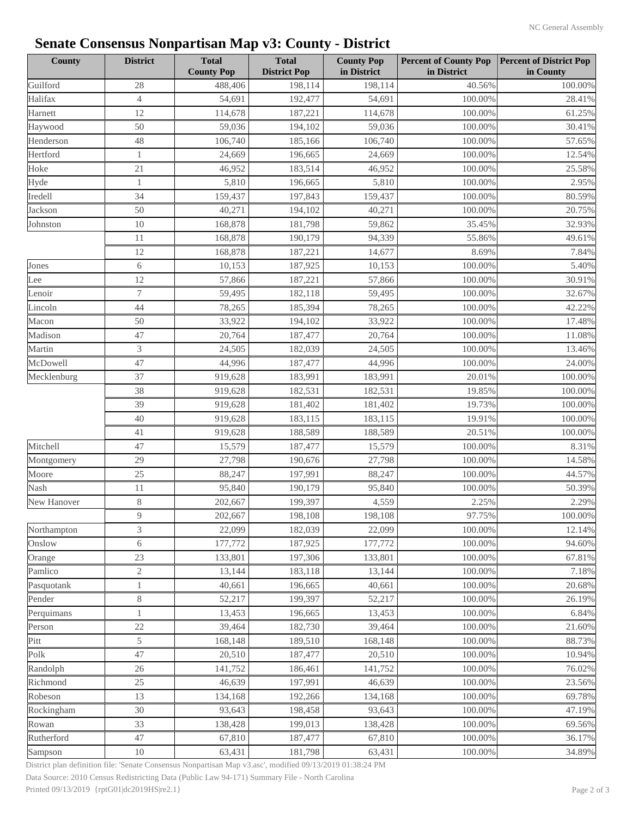| <b>County</b> | <b>District</b> | <b>Total</b><br><b>County Pop</b> | <b>Total</b><br><b>District Pop</b> | <b>County Pop</b><br>in District | <b>Percent of County Pop</b><br>in District | <b>Percent of District Pop</b><br>in County |
|---------------|-----------------|-----------------------------------|-------------------------------------|----------------------------------|---------------------------------------------|---------------------------------------------|
| Guilford      | 28              | 488,406                           | 198,114                             | 198,114                          | 40.56%                                      | 100.00%                                     |
| Halifax       | $\overline{4}$  | 54,691                            | 192,477                             | 54,691                           | 100.00%                                     | 28.41%                                      |
| Harnett       | 12              | 114,678                           | 187,221                             | 114,678                          | 100.00%                                     | 61.25%                                      |
| Haywood       | 50              | 59,036                            | 194,102                             | 59,036                           | 100.00%                                     | 30.41%                                      |
| Henderson     | 48              | 106,740                           | 185,166                             | 106,740                          | 100.00%                                     | 57.65%                                      |
| Hertford      | $\mathbf{1}$    | 24,669                            | 196,665                             | 24,669                           | 100.00%                                     | 12.54%                                      |
| Hoke          | 21              | 46,952                            | 183,514                             | 46,952                           | 100.00%                                     | 25.58%                                      |
| Hyde          | 1               | 5,810                             | 196,665                             | 5,810                            | 100.00%                                     | 2.95%                                       |
| Iredell       | 34              | 159,437                           | 197,843                             | 159,437                          | 100.00%                                     | 80.59%                                      |
| Jackson       | 50              | 40,271                            | 194,102                             | 40,271                           | 100.00%                                     | 20.75%                                      |
| Johnston      | 10              | 168,878                           | 181,798                             | 59,862                           | 35.45%                                      | 32.93%                                      |
|               | 11              | 168,878                           | 190,179                             | 94,339                           | 55.86%                                      | 49.61%                                      |
|               | 12              | 168,878                           | 187,221                             | 14,677                           | 8.69%                                       | 7.84%                                       |
| Jones         | 6               | 10,153                            | 187,925                             | 10,153                           | 100.00%                                     | 5.40%                                       |
| Lee           | 12              | 57,866                            | 187,221                             | 57,866                           | 100.00%                                     | 30.91%                                      |
| Lenoir        | 7               | 59,495                            | 182,118                             | 59,495                           | 100.00%                                     | 32.67%                                      |
| Lincoln       | 44              | 78,265                            | 185,394                             | 78,265                           | 100.00%                                     | 42.22%                                      |
| Macon         | 50              | 33,922                            | 194,102                             | 33,922                           | 100.00%                                     | 17.48%                                      |
| Madison       | 47              | 20,764                            | 187,477                             | 20,764                           | 100.00%                                     | 11.08%                                      |
| Martin        | 3               | 24,505                            | 182,039                             | 24,505                           | 100.00%                                     | 13.46%                                      |
| McDowell      | 47              | 44,996                            | 187,477                             | 44,996                           | 100.00%                                     | 24.00%                                      |
| Mecklenburg   | 37              | 919,628                           | 183,991                             | 183,991                          | 20.01%                                      | 100.00%                                     |
|               | 38              | 919,628                           | 182,531                             | 182,531                          | 19.85%                                      | 100.00%                                     |
|               | 39              | 919,628                           | 181,402                             | 181,402                          | 19.73%                                      | 100.00%                                     |
|               | 40              | 919,628                           | 183,115                             | 183,115                          | 19.91%                                      | 100.00%                                     |
|               | 41              | 919,628                           | 188,589                             | 188,589                          | 20.51%                                      | 100.00%                                     |
| Mitchell      | 47              | 15,579                            | 187,477                             | 15,579                           | 100.00%                                     | 8.31%                                       |
| Montgomery    | 29              | 27,798                            | 190,676                             | 27,798                           | 100.00%                                     | 14.58%                                      |
| Moore         | 25              | 88,247                            | 197,991                             | 88,247                           | 100.00%                                     | 44.57%                                      |
| Nash          | 11              | 95,840                            | 190,179                             | 95,840                           | 100.00%                                     | 50.39%                                      |
| New Hanover   | 8               | 202,667                           | 199,397                             | 4,559                            | 2.25%                                       | 2.29%                                       |
|               | 9               | 202,667                           | 198,108                             | 198,108                          | 97.75%                                      | 100.00%                                     |
| Northampton   | 3               | 22,099                            | 182,039                             | 22,099                           | 100.00%                                     | 12.14%                                      |
| Onslow        | 6               | 177,772                           | 187,925                             | 177,772                          | 100.00%                                     | 94.60%                                      |
| Orange        | 23              | 133,801                           | 197,306                             | 133,801                          | 100.00%                                     | 67.81%                                      |
| Pamlico       | $\mathbf{2}$    | 13,144                            | 183,118                             | 13,144                           | 100.00%                                     | 7.18%                                       |
| Pasquotank    | 1               | 40,661                            | 196,665                             | 40,661                           | 100.00%                                     | 20.68%                                      |
| Pender        | $8\,$           | 52,217                            | 199,397                             | 52,217                           | 100.00%                                     | 26.19%                                      |
| Perquimans    | 1               | 13,453                            | 196,665                             | 13,453                           | 100.00%                                     | 6.84%                                       |
| Person        | 22              | 39,464                            | 182,730                             | 39,464                           | 100.00%                                     | 21.60%                                      |
| Pitt          | 5               | 168,148                           | 189,510                             | 168,148                          | 100.00%                                     | 88.73%                                      |
| Polk          | 47              | 20,510                            | 187,477                             | 20,510                           | 100.00%                                     | 10.94%                                      |
| Randolph      | 26              | 141,752                           | 186,461                             | 141,752                          | 100.00%                                     | 76.02%                                      |
|               | 25              |                                   |                                     |                                  | 100.00%                                     |                                             |
| Richmond      |                 | 46,639                            | 197,991                             | 46,639                           |                                             | 23.56%                                      |
| Robeson       | 13              | 134,168                           | 192,266                             | 134,168                          | 100.00%                                     | 69.78%                                      |
| Rockingham    | 30              | 93,643                            | 198,458                             | 93,643                           | 100.00%                                     | 47.19%                                      |
| Rowan         | 33              | 138,428                           | 199,013                             | 138,428                          | 100.00%                                     | 69.56%                                      |
| Rutherford    | 47              | 67,810                            | 187,477                             | 67,810                           | 100.00%                                     | 36.17%                                      |
| Sampson       | 10              | 63,431                            | 181,798                             | 63,431                           | 100.00%                                     | 34.89%                                      |

Data Source: 2010 Census Redistricting Data (Public Law 94-171) Summary File - North Carolina District plan definition file: 'Senate Consensus Nonpartisan Map v3.asc', modified 09/13/2019 01:38:24 PM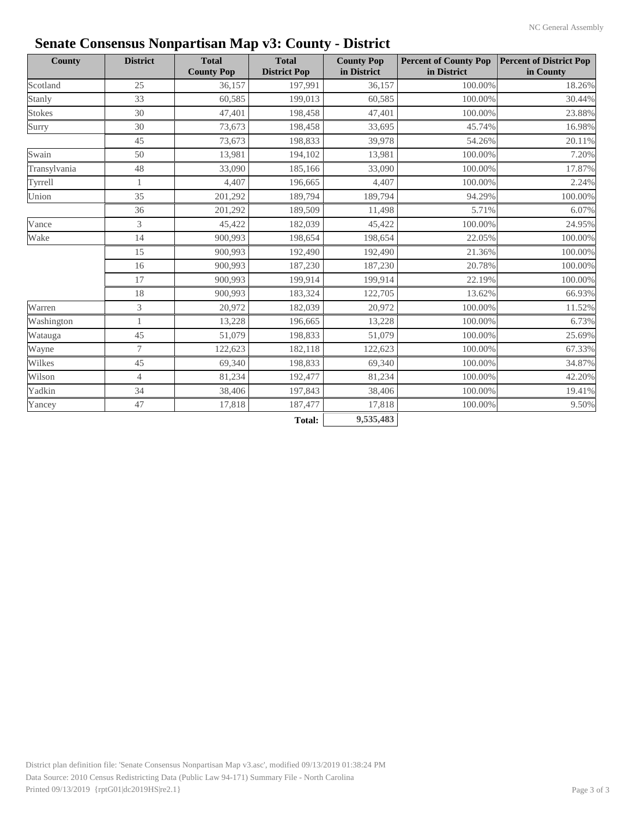| <b>County</b> | <b>District</b> | л.<br><b>Total</b><br><b>County Pop</b> | <b>Total</b><br><b>District Pop</b> | <b>County Pop</b><br>in District | <b>Percent of County Pop</b><br>in District | <b>Percent of District Pop</b><br>in County |
|---------------|-----------------|-----------------------------------------|-------------------------------------|----------------------------------|---------------------------------------------|---------------------------------------------|
| Scotland      | 25              | 36,157                                  | 197,991                             | 36,157                           | 100.00%                                     | 18.26%                                      |
| Stanly        | 33              | 60,585                                  | 199,013                             | 60,585                           | 100.00%                                     | 30.44%                                      |
| <b>Stokes</b> | 30              | 47,401                                  | 198,458                             | 47,401                           | 100.00%                                     | 23.88%                                      |
| Surry         | 30              | 73,673                                  | 198,458                             | 33,695                           | 45.74%                                      | 16.98%                                      |
|               | 45              | 73,673                                  | 198,833                             | 39,978                           | 54.26%                                      | 20.11%                                      |
| Swain         | 50              | 13,981                                  | 194,102                             | 13,981                           | 100.00%                                     | 7.20%                                       |
| Transylvania  | 48              | 33,090                                  | 185,166                             | 33,090                           | 100.00%                                     | 17.87%                                      |
| Tyrrell       | 1               | 4,407                                   | 196,665                             | 4,407                            | 100.00%                                     | 2.24%                                       |
| Union         | 35              | 201,292                                 | 189,794                             | 189,794                          | 94.29%                                      | 100.00%                                     |
|               | 36              | 201,292                                 | 189,509                             | 11,498                           | 5.71%                                       | 6.07%                                       |
| Vance         | 3               | 45,422                                  | 182,039                             | 45,422                           | 100.00%                                     | 24.95%                                      |
| Wake          | 14              | 900,993                                 | 198,654                             | 198,654                          | 22.05%                                      | 100.00%                                     |
|               | 15              | 900,993                                 | 192,490                             | 192,490                          | 21.36%                                      | 100.00%                                     |
|               | 16              | 900,993                                 | 187,230                             | 187,230                          | 20.78%                                      | 100.00%                                     |
|               | 17              | 900,993                                 | 199,914                             | 199,914                          | 22.19%                                      | 100.00%                                     |
|               | 18              | 900,993                                 | 183,324                             | 122,705                          | 13.62%                                      | 66.93%                                      |
| Warren        | 3               | 20,972                                  | 182,039                             | 20,972                           | 100.00%                                     | 11.52%                                      |
| Washington    | 1               | 13,228                                  | 196,665                             | 13,228                           | 100.00%                                     | 6.73%                                       |
| Watauga       | 45              | 51,079                                  | 198,833                             | 51,079                           | 100.00%                                     | 25.69%                                      |
| Wayne         | 7               | 122,623                                 | 182,118                             | 122,623                          | 100.00%                                     | 67.33%                                      |
| Wilkes        | 45              | 69,340                                  | 198,833                             | 69,340                           | 100.00%                                     | 34.87%                                      |
| Wilson        | $\overline{4}$  | 81,234                                  | 192,477                             | 81,234                           | 100.00%                                     | 42.20%                                      |
| Yadkin        | 34              | 38,406                                  | 197,843                             | 38,406                           | 100.00%                                     | 19.41%                                      |
| Yancey        | 47              | 17,818                                  | 187,477                             | 17,818                           | 100.00%                                     | 9.50%                                       |
|               |                 |                                         | <b>Total:</b>                       | 9,535,483                        |                                             |                                             |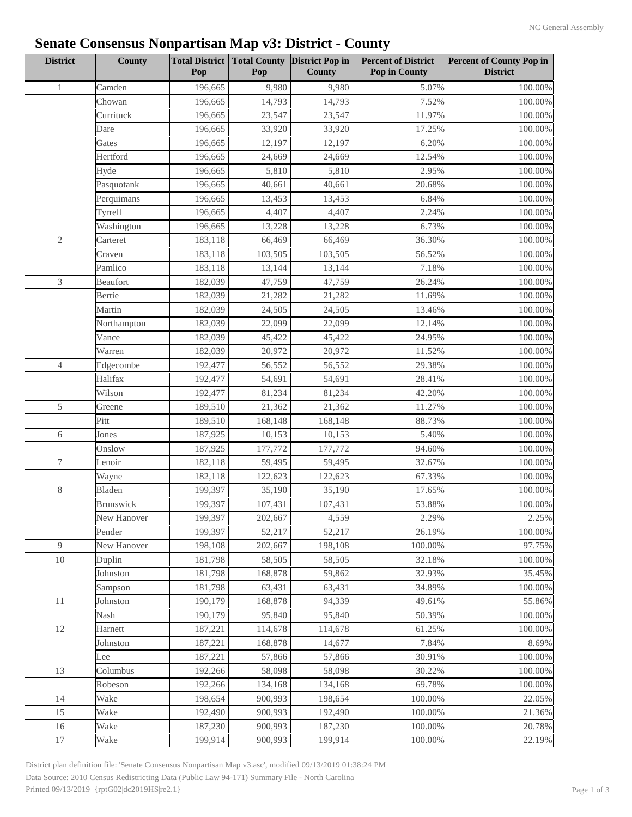| <b>District</b> | County      | <b>Total District</b><br>Pop | <b>Total County</b><br>Pop | <b>District Pop in</b><br><b>County</b> | <b>Percent of District</b><br><b>Pop in County</b> | <b>Percent of County Pop in</b><br><b>District</b> |
|-----------------|-------------|------------------------------|----------------------------|-----------------------------------------|----------------------------------------------------|----------------------------------------------------|
| $\mathbf{1}$    | Camden      | 196,665                      | 9,980                      | 9,980                                   | 5.07%                                              | 100.00%                                            |
|                 | Chowan      | 196,665                      | 14,793                     | 14,793                                  | 7.52%                                              | 100.00%                                            |
|                 | Currituck   | 196,665                      | 23,547                     | 23,547                                  | 11.97%                                             | 100.00%                                            |
|                 | Dare        | 196,665                      | 33,920                     | 33,920                                  | 17.25%                                             | 100.00%                                            |
|                 | Gates       | 196,665                      | 12,197                     | 12,197                                  | 6.20%                                              | 100.00%                                            |
|                 | Hertford    | 196,665                      | 24,669                     | 24,669                                  | 12.54%                                             | 100.00%                                            |
|                 | Hyde        | 196,665                      | 5,810                      | 5,810                                   | 2.95%                                              | 100.00%                                            |
|                 | Pasquotank  | 196,665                      | 40,661                     | 40,661                                  | 20.68%                                             | 100.00%                                            |
|                 | Perquimans  | 196,665                      | 13,453                     | 13,453                                  | 6.84%                                              | 100.00%                                            |
|                 | Tyrrell     | 196,665                      | 4,407                      | 4,407                                   | 2.24%                                              | 100.00%                                            |
|                 | Washington  | 196,665                      | 13,228                     | 13,228                                  | 6.73%                                              | 100.00%                                            |
| $\mathbf{2}$    | Carteret    | 183,118                      | 66,469                     | 66,469                                  | 36.30%                                             | 100.00%                                            |
|                 | Craven      | 183,118                      | 103,505                    | 103,505                                 | 56.52%                                             | 100.00%                                            |
|                 | Pamlico     | 183,118                      | 13,144                     | 13,144                                  | 7.18%                                              | 100.00%                                            |
| $\mathfrak{Z}$  | Beaufort    | 182,039                      | 47,759                     | 47,759                                  | 26.24%                                             | 100.00%                                            |
|                 | Bertie      | 182,039                      | 21,282                     | 21,282                                  | 11.69%                                             | 100.00%                                            |
|                 | Martin      | 182,039                      | 24,505                     | 24,505                                  | 13.46%                                             | 100.00%                                            |
|                 | Northampton | 182,039                      | 22,099                     | 22,099                                  | 12.14%                                             | 100.00%                                            |
|                 | Vance       | 182,039                      | 45,422                     | 45,422                                  | 24.95%                                             | 100.00%                                            |
|                 | Warren      | 182,039                      | 20,972                     | 20,972                                  | 11.52%                                             | 100.00%                                            |
| $\overline{4}$  | Edgecombe   | 192,477                      | 56,552                     | 56,552                                  | 29.38%                                             | 100.00%                                            |
|                 | Halifax     | 192,477                      | 54,691                     | 54,691                                  | 28.41%                                             | 100.00%                                            |
|                 | Wilson      | 192,477                      | 81,234                     | 81,234                                  | 42.20%                                             | 100.00%                                            |
| 5               | Greene      | 189,510                      | 21,362                     | 21,362                                  | 11.27%                                             | 100.00%                                            |
|                 | Pitt        | 189,510                      | 168,148                    | 168,148                                 | 88.73%                                             | 100.00%                                            |
| 6               | Jones       | 187,925                      | 10,153                     | 10,153                                  | 5.40%                                              | 100.00%                                            |
|                 | Onslow      | 187,925                      | 177,772                    | 177,772                                 | 94.60%                                             | 100.00%                                            |
| 7               | Lenoir      | 182,118                      | 59,495                     | 59,495                                  | 32.67%                                             | 100.00%                                            |
|                 | Wayne       | 182,118                      | 122,623                    | 122,623                                 | 67.33%                                             | 100.00%                                            |
| $8\,$           | Bladen      | 199,397                      | 35,190                     | 35,190                                  | 17.65%                                             | 100.00%                                            |
|                 | Brunswick   | 199,397                      | 107,431                    | 107,431                                 | 53.88%                                             | 100.00%                                            |
|                 | New Hanover | 199,397                      | 202,667                    | 4,559                                   | 2.29%                                              | 2.25%                                              |
|                 | Pender      | 199,397                      | 52,217                     | 52,217                                  | 26.19%                                             | 100.00%                                            |
| 9               | New Hanover | 198,108                      | 202,667                    | 198,108                                 | 100.00%                                            | 97.75%                                             |
| $10\,$          | Duplin      | 181,798                      | 58,505                     | 58,505                                  | 32.18%                                             | 100.00%                                            |
|                 | Johnston    | 181,798                      | 168,878                    | 59,862                                  | 32.93%                                             | 35.45%                                             |
|                 | Sampson     | 181,798                      | 63,431                     | 63,431                                  | 34.89%                                             | 100.00%                                            |
| 11              | Johnston    | 190,179                      | 168,878                    | 94,339                                  | 49.61%                                             | 55.86%                                             |
|                 | Nash        | 190,179                      | 95,840                     | 95,840                                  | 50.39%                                             | 100.00%                                            |
| 12              | Harnett     | 187,221                      | 114,678                    | 114,678                                 | 61.25%                                             | 100.00%                                            |
|                 | Johnston    | 187,221                      | 168,878                    | 14,677                                  | 7.84%                                              | 8.69%                                              |
|                 | Lee         | 187,221                      | 57,866                     | 57,866                                  | 30.91%                                             | 100.00%                                            |
| 13              | Columbus    | 192,266                      | 58,098                     | 58,098                                  | 30.22%                                             | 100.00%                                            |
|                 | Robeson     | 192,266                      | 134,168                    | 134,168                                 | 69.78%                                             | 100.00%                                            |
| 14              | Wake        | 198,654                      | 900,993                    | 198,654                                 | 100.00%                                            | 22.05%                                             |
| 15              | Wake        | 192,490                      | 900,993                    | 192,490                                 | 100.00%                                            | 21.36%                                             |
| 16              | Wake        | 187,230                      | 900,993                    | 187,230                                 | 100.00%                                            | 20.78%                                             |
| 17              | Wake        | 199,914                      | 900,993                    | 199,914                                 | 100.00%                                            | 22.19%                                             |

District plan definition file: 'Senate Consensus Nonpartisan Map v3.asc', modified 09/13/2019 01:38:24 PM Data Source: 2010 Census Redistricting Data (Public Law 94-171) Summary File - North Carolina Printed 09/13/2019 {rptG02|dc2019HS|re2.1} Page 1 of 3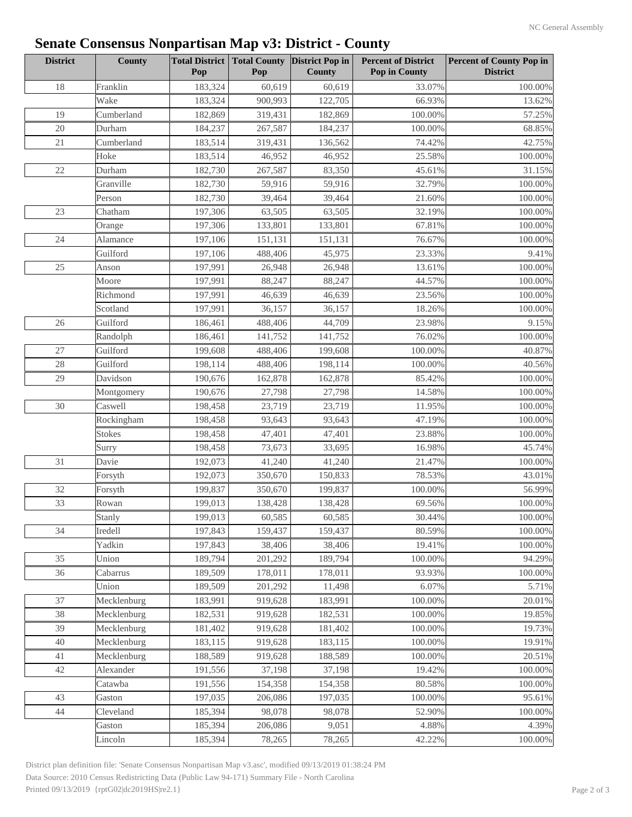| <b>District</b> | <b>County</b> | Pop     | Pop     | Total District   Total County   District Pop in<br><b>County</b> | <b>Percent of District</b><br>Pop in County | <b>Percent of County Pop in</b><br><b>District</b> |
|-----------------|---------------|---------|---------|------------------------------------------------------------------|---------------------------------------------|----------------------------------------------------|
| 18              | Franklin      | 183,324 | 60,619  | 60,619                                                           | 33.07%                                      | 100.00%                                            |
|                 | Wake          | 183,324 | 900,993 | 122,705                                                          | 66.93%                                      | 13.62%                                             |
| 19              | Cumberland    | 182,869 | 319,431 | 182,869                                                          | 100.00%                                     | 57.25%                                             |
| 20              | Durham        | 184,237 | 267,587 | 184,237                                                          | 100.00%                                     | 68.85%                                             |
| 21              | Cumberland    | 183,514 | 319,431 | 136,562                                                          | 74.42%                                      | 42.75%                                             |
|                 | Hoke          | 183,514 | 46,952  | 46,952                                                           | 25.58%                                      | 100.00%                                            |
| $22\,$          | Durham        | 182,730 | 267,587 | 83,350                                                           | 45.61%                                      | 31.15%                                             |
|                 | Granville     | 182,730 | 59,916  | 59,916                                                           | 32.79%                                      | 100.00%                                            |
|                 | Person        | 182,730 | 39,464  | 39,464                                                           | 21.60%                                      | 100.00%                                            |
| $23\,$          | Chatham       | 197,306 | 63,505  | 63,505                                                           | 32.19%                                      | 100.00%                                            |
|                 | Orange        | 197,306 | 133,801 | 133,801                                                          | 67.81%                                      | 100.00%                                            |
| 24              | Alamance      | 197,106 | 151,131 | 151,131                                                          | 76.67%                                      | 100.00%                                            |
|                 | Guilford      | 197,106 | 488,406 | 45,975                                                           | 23.33%                                      | 9.41%                                              |
| $25\,$          | Anson         | 197,991 | 26,948  | 26,948                                                           | 13.61%                                      | 100.00%                                            |
|                 | Moore         | 197,991 | 88,247  | 88,247                                                           | 44.57%                                      | 100.00%                                            |
|                 | Richmond      | 197,991 | 46,639  | 46,639                                                           | 23.56%                                      | 100.00%                                            |
|                 | Scotland      | 197,991 | 36,157  | 36,157                                                           | 18.26%                                      | 100.00%                                            |
| 26              | Guilford      | 186,461 | 488,406 | 44,709                                                           | 23.98%                                      | 9.15%                                              |
|                 | Randolph      | 186,461 | 141,752 | 141,752                                                          | 76.02%                                      | 100.00%                                            |
| 27              | Guilford      | 199,608 | 488,406 | 199,608                                                          | 100.00%                                     | 40.87%                                             |
| 28              | Guilford      | 198,114 | 488,406 | 198,114                                                          | 100.00%                                     | 40.56%                                             |
| 29              | Davidson      | 190,676 | 162,878 | 162,878                                                          | 85.42%                                      | 100.00%                                            |
|                 | Montgomery    | 190,676 | 27,798  | 27,798                                                           | 14.58%                                      | 100.00%                                            |
| 30              | Caswell       | 198,458 | 23,719  | 23,719                                                           | 11.95%                                      | 100.00%                                            |
|                 | Rockingham    | 198,458 | 93,643  | 93,643                                                           | 47.19%                                      | 100.00%                                            |
|                 | <b>Stokes</b> | 198,458 | 47,401  | 47,401                                                           | 23.88%                                      | 100.00%                                            |
|                 | Surry         | 198,458 | 73,673  | 33,695                                                           | 16.98%                                      | 45.74%                                             |
| 31              | Davie         | 192,073 | 41,240  | 41,240                                                           | 21.47%                                      | 100.00%                                            |
|                 | Forsyth       | 192,073 | 350,670 | 150,833                                                          | 78.53%                                      | 43.01%                                             |
| 32              | Forsyth       | 199,837 | 350,670 | 199,837                                                          | 100.00%                                     | 56.99%                                             |
| 33              | Rowan         | 199,013 | 138,428 | 138,428                                                          | 69.56%                                      | 100.00%                                            |
|                 | Stanly        | 199,013 | 60,585  | 60,585                                                           | 30.44%                                      | $100.00\%$                                         |
| 34              | Iredell       | 197,843 | 159,437 | 159,437                                                          | 80.59%                                      | 100.00%                                            |
|                 | Yadkin        |         |         |                                                                  |                                             |                                                    |
| 35              |               | 197,843 | 38,406  | 38,406                                                           | 19.41%                                      | 100.00%                                            |
|                 | Union         | 189,794 | 201,292 | 189,794                                                          | 100.00%                                     | 94.29%                                             |
| 36              | Cabarrus      | 189,509 | 178,011 | 178,011                                                          | 93.93%                                      | 100.00%                                            |
|                 | Union         | 189,509 | 201,292 | 11,498                                                           | 6.07%                                       | 5.71%                                              |
| 37              | Mecklenburg   | 183,991 | 919,628 | 183,991                                                          | 100.00%                                     | 20.01%                                             |
| 38              | Mecklenburg   | 182,531 | 919,628 | 182,531                                                          | 100.00%                                     | 19.85%                                             |
| 39              | Mecklenburg   | 181,402 | 919,628 | 181,402                                                          | 100.00%                                     | 19.73%                                             |
| 40              | Mecklenburg   | 183,115 | 919,628 | 183,115                                                          | 100.00%                                     | 19.91%                                             |
| 41              | Mecklenburg   | 188,589 | 919,628 | 188,589                                                          | 100.00%                                     | 20.51%                                             |
| 42              | Alexander     | 191,556 | 37,198  | 37,198                                                           | 19.42%                                      | 100.00%                                            |
|                 | Catawba       | 191,556 | 154,358 | 154,358                                                          | 80.58%                                      | 100.00%                                            |
| 43              | Gaston        | 197,035 | 206,086 | 197,035                                                          | 100.00%                                     | 95.61%                                             |
| 44              | Cleveland     | 185,394 | 98,078  | 98,078                                                           | 52.90%                                      | 100.00%                                            |
|                 | Gaston        | 185,394 | 206,086 | 9,051                                                            | 4.88%                                       | 4.39%                                              |
|                 | Lincoln       | 185,394 | 78,265  | 78,265                                                           | 42.22%                                      | 100.00%                                            |

District plan definition file: 'Senate Consensus Nonpartisan Map v3.asc', modified 09/13/2019 01:38:24 PM Data Source: 2010 Census Redistricting Data (Public Law 94-171) Summary File - North Carolina Printed 09/13/2019 {rptG02|dc2019HS|re2.1} Page 2 of 3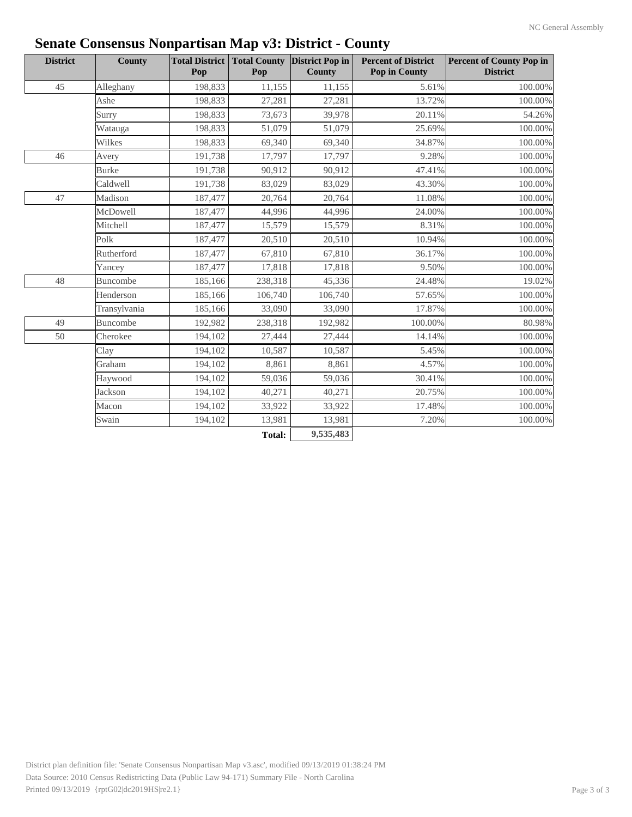| <b>District</b> | <b>County</b>   | <b>Total District</b><br>Pop | Pop     | <b>Total County District Pop in</b><br><b>County</b> | <b>Percent of District</b><br><b>Pop in County</b> | <b>Percent of County Pop in</b><br><b>District</b> |
|-----------------|-----------------|------------------------------|---------|------------------------------------------------------|----------------------------------------------------|----------------------------------------------------|
| 45              | Alleghany       | 198,833                      | 11,155  | 11,155                                               | 5.61%                                              | 100.00%                                            |
|                 | Ashe            | 198,833                      | 27,281  | 27,281                                               | 13.72%                                             | 100.00%                                            |
|                 | Surry           | 198,833                      | 73,673  | 39,978                                               | 20.11%                                             | 54.26%                                             |
|                 | Watauga         | 198,833                      | 51,079  | 51,079                                               | 25.69%                                             | 100.00%                                            |
|                 | Wilkes          | 198,833                      | 69,340  | 69,340                                               | 34.87%                                             | 100.00%                                            |
| 46              | Avery           | 191,738                      | 17,797  | 17,797                                               | 9.28%                                              | 100.00%                                            |
|                 | <b>Burke</b>    | 191,738                      | 90,912  | 90,912                                               | 47.41%                                             | 100.00%                                            |
|                 | Caldwell        | 191,738                      | 83,029  | 83,029                                               | 43.30%                                             | 100.00%                                            |
| 47              | Madison         | 187,477                      | 20,764  | 20,764                                               | 11.08%                                             | 100.00%                                            |
|                 | McDowell        | 187,477                      | 44,996  | 44,996                                               | 24.00%                                             | 100.00%                                            |
|                 | Mitchell        | 187,477                      | 15,579  | 15,579                                               | 8.31%                                              | 100.00%                                            |
|                 | Polk            | 187,477                      | 20,510  | 20,510                                               | 10.94%                                             | 100.00%                                            |
|                 | Rutherford      | 187,477                      | 67,810  | 67,810                                               | 36.17%                                             | 100.00%                                            |
|                 | Yancey          | 187,477                      | 17,818  | 17,818                                               | 9.50%                                              | 100.00%                                            |
| 48              | <b>Buncombe</b> | 185,166                      | 238,318 | 45,336                                               | 24.48%                                             | 19.02%                                             |
|                 | Henderson       | 185,166                      | 106,740 | 106,740                                              | 57.65%                                             | 100.00%                                            |
|                 | Transylvania    | 185,166                      | 33,090  | 33,090                                               | 17.87%                                             | 100.00%                                            |
| 49              | Buncombe        | 192,982                      | 238,318 | 192,982                                              | 100.00%                                            | 80.98%                                             |
| 50              | Cherokee        | 194,102                      | 27,444  | 27,444                                               | 14.14%                                             | 100.00%                                            |
|                 | Clay            | 194,102                      | 10,587  | 10,587                                               | 5.45%                                              | 100.00%                                            |
|                 | Graham          | 194,102                      | 8,861   | 8,861                                                | 4.57%                                              | 100.00%                                            |
|                 | Haywood         | 194,102                      | 59,036  | 59,036                                               | 30.41%                                             | 100.00%                                            |
|                 | Jackson         | 194,102                      | 40,271  | 40,271                                               | 20.75%                                             | 100.00%                                            |
|                 | Macon           | 194,102                      | 33,922  | 33,922                                               | 17.48%                                             | 100.00%                                            |
|                 | Swain           | 194,102                      | 13,981  | 13,981                                               | 7.20%                                              | 100.00%                                            |
|                 |                 |                              | Total:  | 9,535,483                                            |                                                    |                                                    |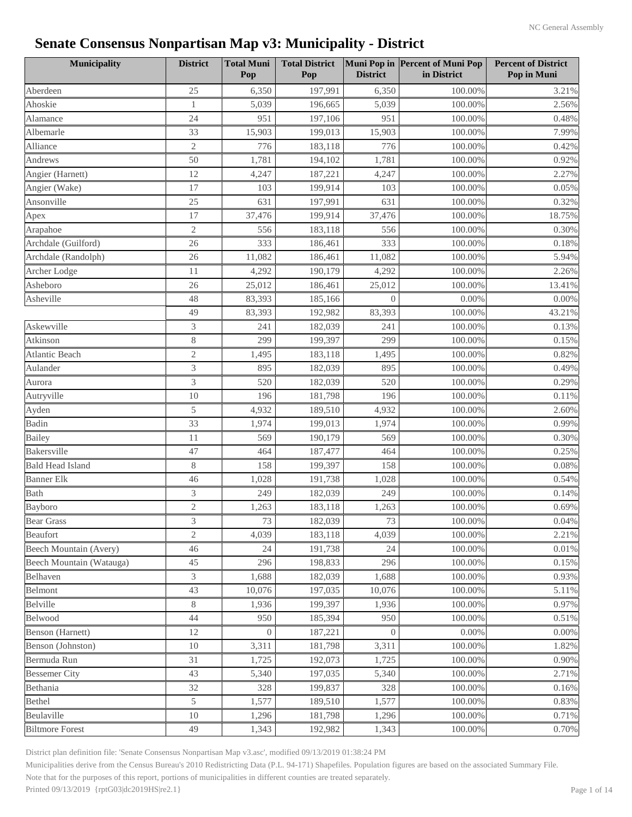| <b>Municipality</b>      | <b>District</b> | <b>Total Muni</b><br>Pop | <b>Total District</b><br>Pop | <b>District</b> | Muni Pop in Percent of Muni Pop<br>in District | <b>Percent of District</b><br>Pop in Muni |
|--------------------------|-----------------|--------------------------|------------------------------|-----------------|------------------------------------------------|-------------------------------------------|
| Aberdeen                 | 25              | 6,350                    | 197,991                      | 6,350           | 100.00%                                        | 3.21%                                     |
| Ahoskie                  | $\mathbf{1}$    | 5,039                    | 196,665                      | 5,039           | 100.00%                                        | 2.56%                                     |
| Alamance                 | 24              | 951                      | 197,106                      | 951             | 100.00%                                        | 0.48%                                     |
| Albemarle                | 33              | 15,903                   | 199,013                      | 15,903          | 100.00%                                        | 7.99%                                     |
| Alliance                 | $\mathfrak{2}$  | 776                      | 183,118                      | 776             | 100.00%                                        | 0.42%                                     |
| Andrews                  | 50              | 1,781                    | 194,102                      | 1,781           | 100.00%                                        | 0.92%                                     |
| Angier (Harnett)         | 12              | 4,247                    | 187,221                      | 4,247           | 100.00%                                        | 2.27%                                     |
| Angier (Wake)            | 17              | 103                      | 199,914                      | 103             | 100.00%                                        | 0.05%                                     |
| Ansonville               | 25              | 631                      | 197,991                      | 631             | 100.00%                                        | 0.32%                                     |
| Apex                     | 17              | 37,476                   | 199,914                      | 37,476          | 100.00%                                        | 18.75%                                    |
| Arapahoe                 | $\mathfrak{2}$  | 556                      | 183,118                      | 556             | 100.00%                                        | 0.30%                                     |
| Archdale (Guilford)      | 26              | 333                      | 186,461                      | 333             | 100.00%                                        | 0.18%                                     |
| Archdale (Randolph)      | 26              | 11,082                   | 186,461                      | 11,082          | 100.00%                                        | 5.94%                                     |
| Archer Lodge             | 11              | 4,292                    | 190,179                      | 4,292           | 100.00%                                        | 2.26%                                     |
| Asheboro                 | 26              | 25,012                   | 186,461                      | 25,012          | 100.00%                                        | 13.41%                                    |
| Asheville                | 48              | 83,393                   | 185,166                      | $\Omega$        | 0.00%                                          | 0.00%                                     |
|                          | 49              | 83,393                   | 192,982                      | 83,393          | 100.00%                                        | 43.21%                                    |
| Askewville               | 3               | 241                      | 182,039                      | 241             | 100.00%                                        | 0.13%                                     |
| Atkinson                 | $8\,$           | 299                      | 199,397                      | 299             | 100.00%                                        | $0.15\%$                                  |
| <b>Atlantic Beach</b>    | $\mathbf{2}$    | 1,495                    | 183,118                      | 1,495           | 100.00%                                        | 0.82%                                     |
| Aulander                 | 3               | 895                      | 182,039                      | 895             | 100.00%                                        | 0.49%                                     |
| Aurora                   | 3               | 520                      | 182,039                      | 520             | 100.00%                                        | 0.29%                                     |
| Autryville               | 10              | 196                      | 181,798                      | 196             | 100.00%                                        | 0.11%                                     |
| Ayden                    | 5               | 4,932                    | 189,510                      | 4,932           | 100.00%                                        | 2.60%                                     |
| Badin                    | 33              | 1,974                    | 199,013                      | 1,974           | 100.00%                                        | 0.99%                                     |
| <b>Bailey</b>            | 11              | 569                      | 190,179                      | 569             | 100.00%                                        | 0.30%                                     |
| Bakersville              | 47              | 464                      | 187,477                      | 464             | 100.00%                                        | 0.25%                                     |
| <b>Bald Head Island</b>  | $8\,$           | 158                      | 199,397                      | 158             | 100.00%                                        | 0.08%                                     |
| <b>Banner Elk</b>        | 46              | 1,028                    | 191,738                      | 1,028           | 100.00%                                        | 0.54%                                     |
| <b>Bath</b>              | 3               | 249                      | 182,039                      | 249             | 100.00%                                        | 0.14%                                     |
| Bayboro                  | $\sqrt{2}$      | 1,263                    | 183,118                      | 1,263           | 100.00%                                        | 0.69%                                     |
| <b>Bear Grass</b>        | 3               | 73                       | 182,039                      | 73              | 100.00%                                        | 0.04%                                     |
| Beaufort                 | 2               | 4,039                    | 183,118                      | 4,039           | 100.00%                                        | 2.21%                                     |
| Beech Mountain (Avery)   | 46              | 24                       | 191,738                      | 24              | 100.00%                                        | 0.01%                                     |
| Beech Mountain (Watauga) | 45              | 296                      | 198,833                      | 296             | 100.00%                                        | 0.15%                                     |
| Belhaven                 | 3               | 1,688                    | 182,039                      | 1,688           | 100.00%                                        | 0.93%                                     |
| Belmont                  | 43              | 10,076                   | 197,035                      | 10,076          | 100.00%                                        | 5.11%                                     |
| Belville                 | $8\,$           | 1,936                    | 199,397                      | 1,936           | 100.00%                                        | 0.97%                                     |
| Belwood                  | 44              | 950                      | 185,394                      | 950             | 100.00%                                        | 0.51%                                     |
| Benson (Harnett)         | $12\,$          | $\boldsymbol{0}$         | 187,221                      | $\overline{0}$  | 0.00%                                          | $0.00\%$                                  |
| Benson (Johnston)        | 10              | 3,311                    | 181,798                      | 3,311           | 100.00%                                        | 1.82%                                     |
| Bermuda Run              | 31              | 1,725                    | 192,073                      | 1,725           | 100.00%                                        | 0.90%                                     |
| <b>Bessemer City</b>     | 43              | 5,340                    | 197,035                      | 5,340           | 100.00%                                        | 2.71%                                     |
| Bethania                 | 32              | 328                      | 199,837                      | 328             | 100.00%                                        | 0.16%                                     |
| <b>Bethel</b>            | 5               | 1,577                    | 189,510                      | 1,577           | 100.00%                                        | 0.83%                                     |
| Beulaville               | 10              | 1,296                    | 181,798                      | 1,296           | 100.00%                                        | 0.71%                                     |
| <b>Biltmore Forest</b>   | 49              | 1,343                    | 192,982                      | 1,343           | 100.00%                                        | 0.70%                                     |

District plan definition file: 'Senate Consensus Nonpartisan Map v3.asc', modified 09/13/2019 01:38:24 PM

Municipalities derive from the Census Bureau's 2010 Redistricting Data (P.L. 94-171) Shapefiles. Population figures are based on the associated Summary File.

Note that for the purposes of this report, portions of municipalities in different counties are treated separately.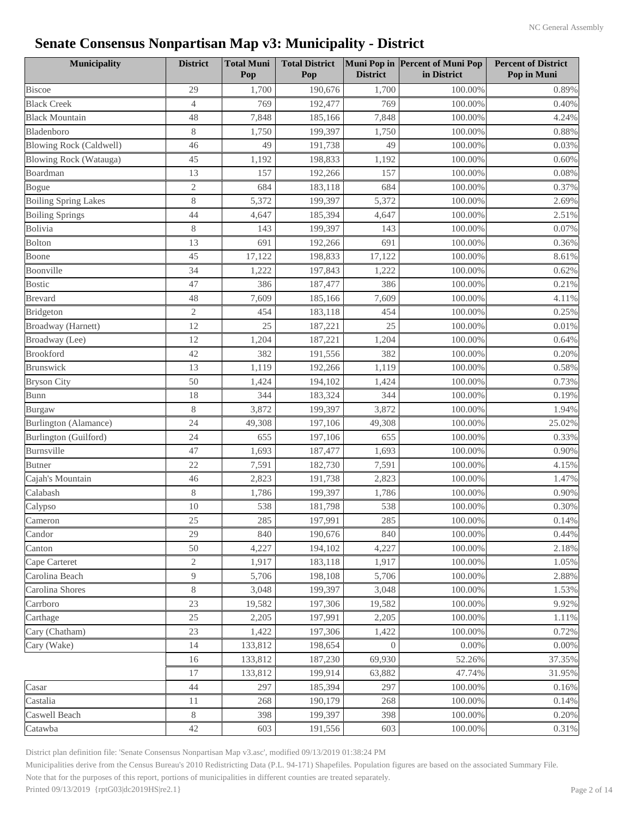| Municipality                   | <b>District</b> | <b>Total Muni</b><br>Pop | <b>Total District</b><br>Pop | <b>District</b> | Muni Pop in Percent of Muni Pop<br>in District | <b>Percent of District</b><br>Pop in Muni |
|--------------------------------|-----------------|--------------------------|------------------------------|-----------------|------------------------------------------------|-------------------------------------------|
| <b>Biscoe</b>                  | 29              | 1,700                    | 190,676                      | 1,700           | 100.00%                                        | 0.89%                                     |
| <b>Black Creek</b>             | $\overline{4}$  | 769                      | 192,477                      | 769             | 100.00%                                        | 0.40%                                     |
| <b>Black Mountain</b>          | 48              | 7,848                    | 185,166                      | 7,848           | 100.00%                                        | 4.24%                                     |
| Bladenboro                     | 8               | 1,750                    | 199,397                      | 1,750           | 100.00%                                        | 0.88%                                     |
| <b>Blowing Rock (Caldwell)</b> | 46              | 49                       | 191,738                      | 49              | 100.00%                                        | 0.03%                                     |
| <b>Blowing Rock (Watauga)</b>  | 45              | 1,192                    | 198,833                      | 1,192           | 100.00%                                        | 0.60%                                     |
| Boardman                       | 13              | 157                      | 192,266                      | 157             | 100.00%                                        | 0.08%                                     |
| Bogue                          | $\mathfrak{2}$  | 684                      | 183,118                      | 684             | 100.00%                                        | 0.37%                                     |
| <b>Boiling Spring Lakes</b>    | $8\,$           | 5,372                    | 199,397                      | 5,372           | 100.00%                                        | 2.69%                                     |
| <b>Boiling Springs</b>         | 44              | 4,647                    | 185,394                      | 4,647           | 100.00%                                        | 2.51%                                     |
| Bolivia                        | $8\,$           | 143                      | 199,397                      | 143             | 100.00%                                        | 0.07%                                     |
| <b>Bolton</b>                  | 13              | 691                      | 192,266                      | 691             | 100.00%                                        | 0.36%                                     |
| Boone                          | 45              | 17,122                   | 198,833                      | 17,122          | 100.00%                                        | 8.61%                                     |
| Boonville                      | 34              | 1,222                    | 197,843                      | 1,222           | 100.00%                                        | 0.62%                                     |
| <b>Bostic</b>                  | 47              | 386                      | 187,477                      | 386             | 100.00%                                        | 0.21%                                     |
| <b>Brevard</b>                 | 48              | 7,609                    | 185,166                      | 7,609           | 100.00%                                        | 4.11%                                     |
| Bridgeton                      | $\mathbf{2}$    | 454                      | 183,118                      | 454             | 100.00%                                        | 0.25%                                     |
| Broadway (Harnett)             | 12              | 25                       | 187,221                      | 25              | 100.00%                                        | 0.01%                                     |
| Broadway (Lee)                 | 12              | 1,204                    | 187,221                      | 1,204           | 100.00%                                        | 0.64%                                     |
| <b>Brookford</b>               | 42              | 382                      | 191,556                      | 382             | 100.00%                                        | 0.20%                                     |
| <b>Brunswick</b>               | 13              | 1,119                    | 192,266                      | 1,119           | 100.00%                                        | 0.58%                                     |
| <b>Bryson City</b>             | 50              | 1,424                    | 194,102                      | 1,424           | 100.00%                                        | 0.73%                                     |
| <b>Bunn</b>                    | 18              | 344                      | 183,324                      | 344             | 100.00%                                        | 0.19%                                     |
| Burgaw                         | 8               | 3,872                    | 199,397                      | 3,872           | 100.00%                                        | 1.94%                                     |
| Burlington (Alamance)          | 24              | 49,308                   | 197,106                      | 49,308          | 100.00%                                        | 25.02%                                    |
| Burlington (Guilford)          | 24              | 655                      | 197,106                      | 655             | 100.00%                                        | 0.33%                                     |
| Burnsville                     | 47              | 1,693                    | 187,477                      | 1,693           | 100.00%                                        | 0.90%                                     |
| <b>Butner</b>                  | 22              | 7,591                    | 182,730                      | 7,591           | 100.00%                                        | 4.15%                                     |
| Cajah's Mountain               | 46              | 2,823                    | 191,738                      | 2,823           | 100.00%                                        | 1.47%                                     |
| Calabash                       | $8\,$           | 1,786                    | 199,397                      | 1,786           | 100.00%                                        | 0.90%                                     |
| Calypso                        | 10              | 538                      | 181,798                      | 538             | 100.00%                                        | 0.30%                                     |
| Cameron                        | 25              | 285                      | 197,991                      | 285             | 100.00%                                        | 0.14%                                     |
| Candor                         | 29              | 840                      | 190,676                      | 840             | 100.00%                                        | 0.44%                                     |
| Canton                         | 50              | 4,227                    | 194,102                      | 4,227           | 100.00%                                        | 2.18%                                     |
| Cape Carteret                  | $\overline{2}$  | 1,917                    | 183,118                      | 1,917           | 100.00%                                        | 1.05%                                     |
| Carolina Beach                 | 9               | 5,706                    | 198,108                      | 5,706           | 100.00%                                        | 2.88%                                     |
| Carolina Shores                | $8\,$           | 3,048                    | 199,397                      | 3,048           | 100.00%                                        | 1.53%                                     |
| Carrboro                       | 23              | 19,582                   | 197,306                      | 19,582          | 100.00%                                        | 9.92%                                     |
| Carthage                       | 25              | 2,205                    | 197,991                      | 2,205           | 100.00%                                        | 1.11%                                     |
| Cary (Chatham)                 | 23              | 1,422                    | 197,306                      | 1,422           | 100.00%                                        | 0.72%                                     |
| Cary (Wake)                    | 14              | 133,812                  | 198,654                      | $\overline{0}$  | 0.00%                                          | $0.00\%$                                  |
|                                | 16              | 133,812                  | 187,230                      | 69,930          | 52.26%                                         | 37.35%                                    |
|                                | 17              | 133,812                  | 199,914                      | 63,882          | 47.74%                                         | 31.95%                                    |
| Casar                          | 44              | 297                      | 185,394                      | 297             | 100.00%                                        | 0.16%                                     |
| Castalia                       | 11              | 268                      | 190,179                      | 268             | 100.00%                                        | 0.14%                                     |
| Caswell Beach                  | $8\,$           | 398                      | 199,397                      | 398             | 100.00%                                        | 0.20%                                     |
| Catawba                        | 42              | 603                      | 191,556                      | 603             | 100.00%                                        | 0.31%                                     |

District plan definition file: 'Senate Consensus Nonpartisan Map v3.asc', modified 09/13/2019 01:38:24 PM

Municipalities derive from the Census Bureau's 2010 Redistricting Data (P.L. 94-171) Shapefiles. Population figures are based on the associated Summary File.

Note that for the purposes of this report, portions of municipalities in different counties are treated separately.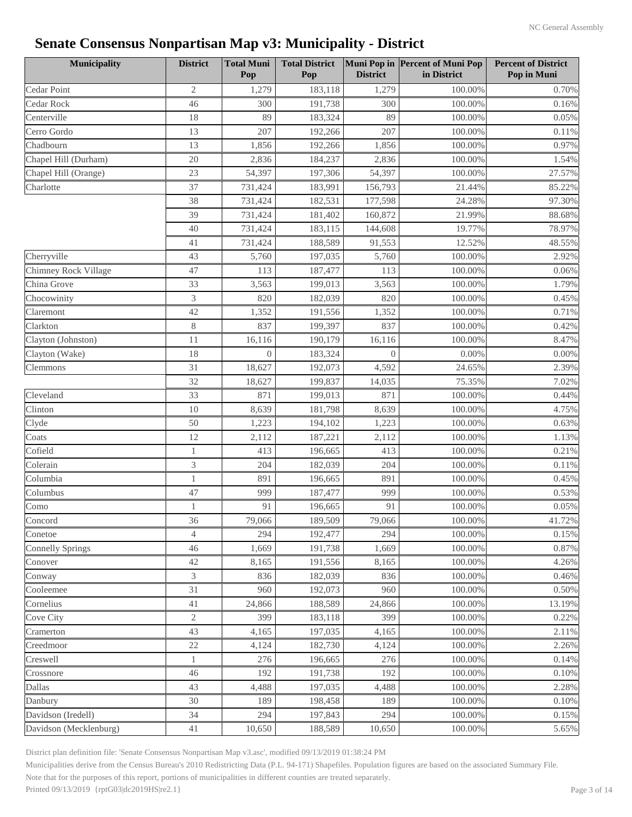| <b>Municipality</b>     | <b>District</b> | <b>Total Muni</b><br>Pop | <b>Total District</b><br>Pop | <b>District</b> | Muni Pop in Percent of Muni Pop<br>in District | <b>Percent of District</b><br>Pop in Muni |
|-------------------------|-----------------|--------------------------|------------------------------|-----------------|------------------------------------------------|-------------------------------------------|
| Cedar Point             | $\overline{2}$  | 1,279                    | 183,118                      | 1,279           | 100.00%                                        | 0.70%                                     |
| Cedar Rock              | 46              | 300                      | 191,738                      | 300             | 100.00%                                        | 0.16%                                     |
| Centerville             | 18              | 89                       | 183,324                      | 89              | 100.00%                                        | 0.05%                                     |
| Cerro Gordo             | 13              | 207                      | 192,266                      | 207             | 100.00%                                        | 0.11%                                     |
| Chadbourn               | 13              | 1,856                    | 192,266                      | 1,856           | 100.00%                                        | 0.97%                                     |
| Chapel Hill (Durham)    | 20              | 2,836                    | 184,237                      | 2,836           | 100.00%                                        | 1.54%                                     |
| Chapel Hill (Orange)    | 23              | 54,397                   | 197,306                      | 54,397          | 100.00%                                        | 27.57%                                    |
| Charlotte               | 37              | 731,424                  | 183,991                      | 156,793         | 21.44%                                         | 85.22%                                    |
|                         | 38              | 731,424                  | 182,531                      | 177,598         | 24.28%                                         | 97.30%                                    |
|                         | 39              | 731,424                  | 181,402                      | 160,872         | 21.99%                                         | 88.68%                                    |
|                         | 40              | 731,424                  | 183,115                      | 144,608         | 19.77%                                         | 78.97%                                    |
|                         | 41              | 731,424                  | 188,589                      | 91,553          | 12.52%                                         | 48.55%                                    |
| Cherryville             | 43              | 5,760                    | 197,035                      | 5,760           | 100.00%                                        | 2.92%                                     |
| Chimney Rock Village    | 47              | 113                      | 187,477                      | 113             | 100.00%                                        | 0.06%                                     |
| China Grove             | 33              | 3,563                    | 199,013                      | 3,563           | 100.00%                                        | 1.79%                                     |
| Chocowinity             | 3               | 820                      | 182,039                      | 820             | 100.00%                                        | 0.45%                                     |
| Claremont               | 42              | 1,352                    | 191,556                      | 1,352           | 100.00%                                        | 0.71%                                     |
| Clarkton                | $8\,$           | 837                      | 199,397                      | 837             | 100.00%                                        | 0.42%                                     |
| Clayton (Johnston)      | 11              | 16,116                   | 190,179                      | 16,116          | 100.00%                                        | 8.47%                                     |
| Clayton (Wake)          | 18              | $\overline{0}$           | 183,324                      | $\overline{0}$  | $0.00\%$                                       | 0.00%                                     |
| Clemmons                | 31              | 18,627                   | 192,073                      | 4,592           | 24.65%                                         | 2.39%                                     |
|                         | 32              | 18,627                   | 199,837                      | 14,035          | 75.35%                                         | 7.02%                                     |
| Cleveland               | 33              | 871                      | 199,013                      | 871             | 100.00%                                        | 0.44%                                     |
| Clinton                 | 10              | 8,639                    | 181,798                      | 8,639           | 100.00%                                        | 4.75%                                     |
| Clyde                   | 50              | 1,223                    | 194,102                      | 1,223           | 100.00%                                        | 0.63%                                     |
| Coats                   | 12              | 2,112                    | 187,221                      | 2,112           | 100.00%                                        | 1.13%                                     |
| Cofield                 | 1               | 413                      | 196,665                      | 413             | 100.00%                                        | 0.21%                                     |
| Colerain                | 3               | 204                      | 182,039                      | 204             | 100.00%                                        | 0.11%                                     |
| Columbia                | $\mathbf{1}$    | 891                      | 196,665                      | 891             | 100.00%                                        | 0.45%                                     |
| Columbus                | 47              | 999                      | 187,477                      | 999             | 100.00%                                        | 0.53%                                     |
| Como                    | $\mathbf{1}$    | 91                       | 196,665                      | 91              | 100.00%                                        | 0.05%                                     |
| Concord                 | 36              | 79,066                   | 189,509                      | 79,066          | $100.00\%$                                     | 41.72%                                    |
| Conetoe                 | $\overline{4}$  | 294                      | 192,477                      | 294             | 100.00%                                        | 0.15%                                     |
| <b>Connelly Springs</b> | 46              | 1,669                    | 191,738                      | 1,669           | 100.00%                                        | 0.87%                                     |
| Conover                 | 42              | 8,165                    | 191,556                      | 8,165           | 100.00%                                        | 4.26%                                     |
| Conway                  | 3               | 836                      | 182,039                      | 836             | 100.00%                                        | 0.46%                                     |
| Cooleemee               | 31              | 960                      | 192,073                      | 960             | 100.00%                                        | 0.50%                                     |
| Cornelius               | 41              | 24,866                   | 188,589                      | 24,866          | 100.00%                                        | 13.19%                                    |
| Cove City               | $\overline{2}$  | 399                      | 183,118                      | 399             | 100.00%                                        | 0.22%                                     |
| Cramerton               | 43              | 4,165                    | 197,035                      | 4,165           | 100.00%                                        | 2.11%                                     |
| Creedmoor               | $22\,$          | 4,124                    | 182,730                      | 4,124           | 100.00%                                        | 2.26%                                     |
| Creswell                | $\mathbf{1}$    | 276                      | 196,665                      | 276             | 100.00%                                        | 0.14%                                     |
| Crossnore               | 46              | 192                      | 191,738                      | 192             | 100.00%                                        | 0.10%                                     |
| Dallas                  | 43              | 4,488                    | 197,035                      | 4,488           | 100.00%                                        | 2.28%                                     |
| Danbury                 | 30              | 189                      | 198,458                      | 189             | 100.00%                                        | 0.10%                                     |
| Davidson (Iredell)      | 34              | 294                      | 197,843                      | 294             | 100.00%                                        | 0.15%                                     |
| Davidson (Mecklenburg)  | 41              | 10,650                   | 188,589                      | 10,650          | 100.00%                                        | 5.65%                                     |

District plan definition file: 'Senate Consensus Nonpartisan Map v3.asc', modified 09/13/2019 01:38:24 PM

Municipalities derive from the Census Bureau's 2010 Redistricting Data (P.L. 94-171) Shapefiles. Population figures are based on the associated Summary File.

Note that for the purposes of this report, portions of municipalities in different counties are treated separately.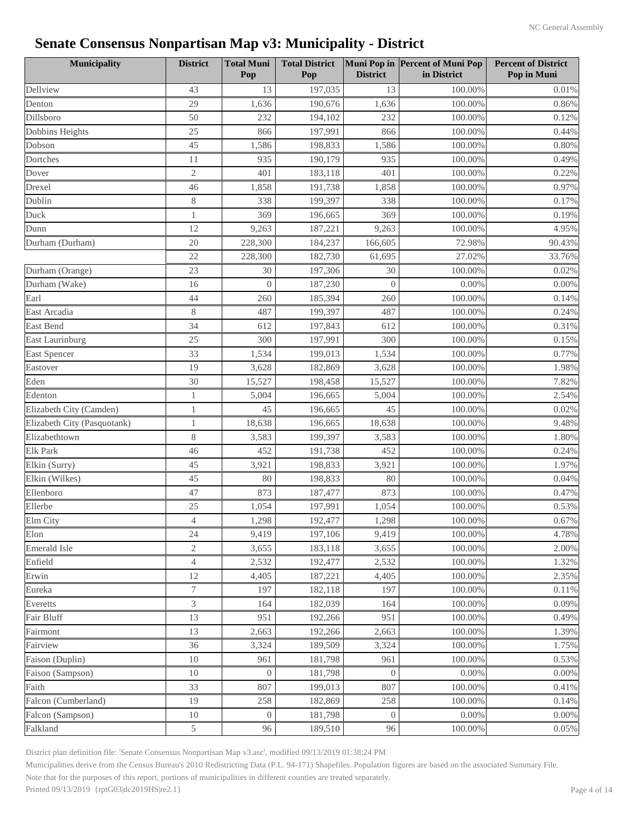| Municipality                | <b>District</b> | <b>Total Muni</b><br>Pop | <b>Total District</b><br>Pop | <b>District</b> | Muni Pop in Percent of Muni Pop<br>in District | <b>Percent of District</b><br>Pop in Muni |
|-----------------------------|-----------------|--------------------------|------------------------------|-----------------|------------------------------------------------|-------------------------------------------|
| Dellview                    | 43              | 13                       | 197,035                      | 13              | 100.00%                                        | 0.01%                                     |
| Denton                      | 29              | 1,636                    | 190,676                      | 1,636           | 100.00%                                        | 0.86%                                     |
| Dillsboro                   | 50              | 232                      | 194,102                      | 232             | 100.00%                                        | 0.12%                                     |
| Dobbins Heights             | 25              | 866                      | 197,991                      | 866             | 100.00%                                        | 0.44%                                     |
| Dobson                      | 45              | 1,586                    | 198,833                      | 1,586           | 100.00%                                        | 0.80%                                     |
| Dortches                    | 11              | 935                      | 190,179                      | 935             | 100.00%                                        | 0.49%                                     |
| Dover                       | $\mathfrak{2}$  | 401                      | 183,118                      | 401             | 100.00%                                        | 0.22%                                     |
| Drexel                      | 46              | 1,858                    | 191,738                      | 1,858           | 100.00%                                        | 0.97%                                     |
| Dublin                      | 8               | 338                      | 199,397                      | 338             | 100.00%                                        | 0.17%                                     |
| Duck                        | $\mathbf{1}$    | 369                      | 196,665                      | 369             | 100.00%                                        | 0.19%                                     |
| Dunn                        | 12              | 9,263                    | 187,221                      | 9,263           | 100.00%                                        | 4.95%                                     |
| Durham (Durham)             | 20              | 228,300                  | 184,237                      | 166,605         | 72.98%                                         | 90.43%                                    |
|                             | 22              | 228,300                  | 182,730                      | 61,695          | 27.02%                                         | 33.76%                                    |
| Durham (Orange)             | 23              | 30                       | 197,306                      | 30              | 100.00%                                        | 0.02%                                     |
| Durham (Wake)               | 16              | $\overline{0}$           | 187,230                      | $\overline{0}$  | 0.00%                                          | 0.00%                                     |
| Earl                        | 44              | 260                      | 185,394                      | 260             | 100.00%                                        | 0.14%                                     |
| East Arcadia                | 8               | 487                      | 199,397                      | 487             | 100.00%                                        | 0.24%                                     |
| <b>East Bend</b>            | 34              | 612                      | 197,843                      | 612             | 100.00%                                        | 0.31%                                     |
| East Laurinburg             | 25              | 300                      | 197,991                      | 300             | 100.00%                                        | 0.15%                                     |
| <b>East Spencer</b>         | 33              | 1,534                    | 199,013                      | 1,534           | 100.00%                                        | 0.77%                                     |
| Eastover                    | 19              | 3,628                    | 182,869                      | 3,628           | 100.00%                                        | 1.98%                                     |
| Eden                        | 30              | 15,527                   | 198,458                      | 15,527          | 100.00%                                        | 7.82%                                     |
| Edenton                     | 1               | 5,004                    | 196,665                      | 5,004           | 100.00%                                        | 2.54%                                     |
| Elizabeth City (Camden)     |                 | 45                       | 196,665                      | 45              | 100.00%                                        | 0.02%                                     |
| Elizabeth City (Pasquotank) | 1               | 18,638                   | 196,665                      | 18,638          | 100.00%                                        | 9.48%                                     |
| Elizabethtown               | 8               | 3,583                    | 199,397                      | 3,583           | 100.00%                                        | 1.80%                                     |
| <b>Elk Park</b>             | 46              | 452                      | 191,738                      | 452             | 100.00%                                        | 0.24%                                     |
| Elkin (Surry)               | 45              | 3,921                    | 198,833                      | 3,921           | 100.00%                                        | 1.97%                                     |
| Elkin (Wilkes)              | 45              | 80                       | 198,833                      | 80              | 100.00%                                        | 0.04%                                     |
| Ellenboro                   | 47              | 873                      | 187,477                      | 873             | 100.00%                                        | 0.47%                                     |
| Ellerbe                     | 25              | 1,054                    | 197,991                      | 1,054           | 100.00%                                        | 0.53%                                     |
| Elm City                    | 4               | 1,298                    | 192,477                      | 1,298           | $100.00\%$                                     | 0.67%                                     |
| Elon                        | 24              | 9,419                    | 197,106                      | 9,419           | 100.00%                                        | 4.78%                                     |
| <b>Emerald Isle</b>         | $\overline{2}$  | 3,655                    | 183,118                      | 3,655           | 100.00%                                        | 2.00%                                     |
| Enfield                     | $\overline{4}$  | 2,532                    | 192,477                      | 2,532           | 100.00%                                        | 1.32%                                     |
| Erwin                       | 12              | 4,405                    | 187,221                      | 4,405           | 100.00%                                        | 2.35%                                     |
| Eureka                      | 7               | 197                      | 182,118                      | 197             | 100.00%                                        | 0.11%                                     |
| Everetts                    | 3               | 164                      | 182,039                      | 164             | 100.00%                                        | 0.09%                                     |
| Fair Bluff                  | 13              | 951                      | 192,266                      | 951             | 100.00%                                        | 0.49%                                     |
| Fairmont                    | 13              | 2,663                    | 192,266                      | 2,663           | 100.00%                                        | 1.39%                                     |
| Fairview                    | 36              | 3,324                    | 189,509                      | 3,324           | 100.00%                                        | 1.75%                                     |
| Faison (Duplin)             | 10              | 961                      | 181,798                      | 961             | 100.00%                                        | 0.53%                                     |
| Faison (Sampson)            | 10              | $\overline{0}$           | 181,798                      | $\overline{0}$  | 0.00%                                          | 0.00%                                     |
| Faith                       | 33              | 807                      | 199,013                      | 807             | 100.00%                                        | 0.41%                                     |
| Falcon (Cumberland)         | 19              | 258                      | 182,869                      | 258             | 100.00%                                        | 0.14%                                     |
| Falcon (Sampson)            | $10\,$          | $\overline{0}$           | 181,798                      | $\Omega$        | 0.00%                                          | $0.00\%$                                  |
| Falkland                    | 5               | 96                       | 189,510                      | 96              | 100.00%                                        | 0.05%                                     |

District plan definition file: 'Senate Consensus Nonpartisan Map v3.asc', modified 09/13/2019 01:38:24 PM

Municipalities derive from the Census Bureau's 2010 Redistricting Data (P.L. 94-171) Shapefiles. Population figures are based on the associated Summary File.

Note that for the purposes of this report, portions of municipalities in different counties are treated separately.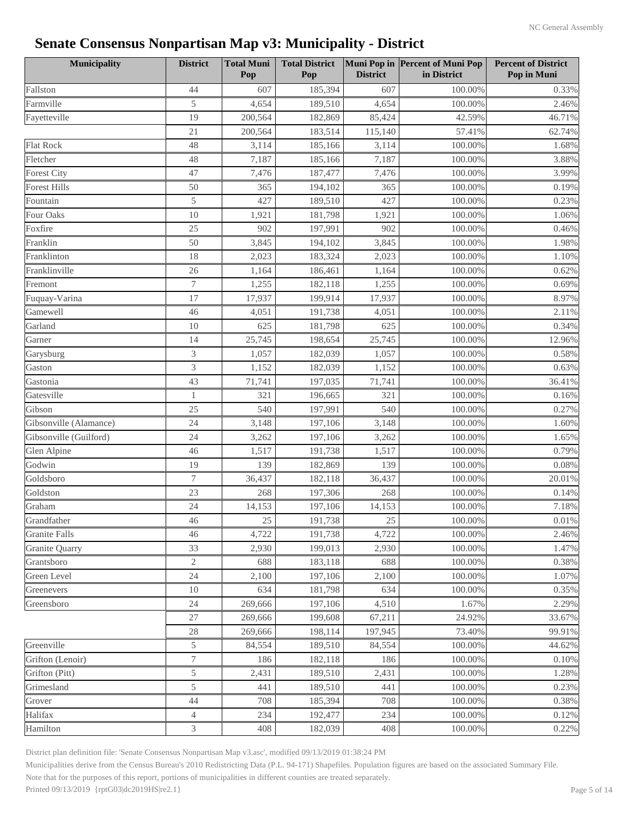| <b>Municipality</b>    | <b>District</b> | <b>Total Muni</b><br>Pop | <b>Total District</b><br>Pop | <b>District</b> | Muni Pop in Percent of Muni Pop<br>in District | <b>Percent of District</b><br>Pop in Muni |
|------------------------|-----------------|--------------------------|------------------------------|-----------------|------------------------------------------------|-------------------------------------------|
| Fallston               | 44              | 607                      | 185,394                      | 607             | 100.00%                                        | 0.33%                                     |
| Farmville              | 5               | 4,654                    | 189,510                      | 4,654           | 100.00%                                        | 2.46%                                     |
| Fayetteville           | 19              | 200,564                  | 182,869                      | 85,424          | 42.59%                                         | 46.71%                                    |
|                        | 21              | 200,564                  | 183,514                      | 115,140         | 57.41%                                         | 62.74%                                    |
| <b>Flat Rock</b>       | 48              | 3,114                    | 185,166                      | 3,114           | 100.00%                                        | 1.68%                                     |
| Fletcher               | 48              | 7,187                    | 185,166                      | 7,187           | 100.00%                                        | 3.88%                                     |
| <b>Forest City</b>     | 47              | 7,476                    | 187,477                      | 7,476           | 100.00%                                        | 3.99%                                     |
| <b>Forest Hills</b>    | 50              | 365                      | 194,102                      | 365             | 100.00%                                        | 0.19%                                     |
| Fountain               | 5               | 427                      | 189,510                      | 427             | 100.00%                                        | 0.23%                                     |
| Four Oaks              | 10              | 1,921                    | 181,798                      | 1,921           | 100.00%                                        | 1.06%                                     |
| Foxfire                | 25              | 902                      | 197,991                      | 902             | 100.00%                                        | 0.46%                                     |
| Franklin               | 50              | 3,845                    | 194,102                      | 3,845           | 100.00%                                        | 1.98%                                     |
| Franklinton            | 18              | 2,023                    | 183,324                      | 2,023           | 100.00%                                        | 1.10%                                     |
| Franklinville          | 26              | 1,164                    | 186,461                      | 1,164           | 100.00%                                        | 0.62%                                     |
| Fremont                | 7               | 1,255                    | 182,118                      | 1,255           | 100.00%                                        | 0.69%                                     |
| Fuquay-Varina          | 17              | 17,937                   | 199,914                      | 17,937          | 100.00%                                        | 8.97%                                     |
| Gamewell               | 46              | 4,051                    | 191,738                      | 4,051           | 100.00%                                        | 2.11%                                     |
| Garland                | 10              | 625                      | 181,798                      | 625             | 100.00%                                        | 0.34%                                     |
| Garner                 | 14              | 25,745                   | 198,654                      | 25,745          | 100.00%                                        | 12.96%                                    |
| Garysburg              | 3               | 1,057                    | 182,039                      | 1,057           | 100.00%                                        | 0.58%                                     |
| Gaston                 | 3               | 1,152                    | 182,039                      | 1,152           | 100.00%                                        | 0.63%                                     |
| Gastonia               | 43              | 71,741                   | 197,035                      | 71,741          | 100.00%                                        | 36.41%                                    |
| Gatesville             | $\mathbf{1}$    | 321                      | 196,665                      | 321             | 100.00%                                        | 0.16%                                     |
| Gibson                 | 25              | 540                      | 197,991                      | 540             | 100.00%                                        | 0.27%                                     |
| Gibsonville (Alamance) | 24              | 3,148                    | 197,106                      | 3,148           | 100.00%                                        | 1.60%                                     |
| Gibsonville (Guilford) | 24              | 3,262                    | 197,106                      | 3,262           | 100.00%                                        | 1.65%                                     |
| Glen Alpine            | 46              | 1,517                    | 191,738                      | 1,517           | 100.00%                                        | 0.79%                                     |
| Godwin                 | 19              | 139                      | 182,869                      | 139             | 100.00%                                        | 0.08%                                     |
| Goldsboro              | 7               | 36,437                   | 182,118                      | 36,437          | 100.00%                                        | 20.01%                                    |
| Goldston               | 23              | 268                      | 197,306                      | 268             | 100.00%                                        | 0.14%                                     |
| Graham                 | 24              | 14,153                   | 197,106                      | 14,153          | 100.00%                                        | 7.18%                                     |
| Grandfather            | 46              | $25\,$                   | 191,738                      | 25              | 100.00%                                        | $0.01\%$                                  |
| <b>Granite Falls</b>   | 46              | 4,722                    | 191,738                      | 4,722           | 100.00%                                        | 2.46%                                     |
| <b>Granite Quarry</b>  | 33              | 2,930                    | 199,013                      | 2,930           | 100.00%                                        | 1.47%                                     |
| Grantsboro             | $\mathfrak{2}$  | 688                      | 183,118                      | 688             | 100.00%                                        | 0.38%                                     |
| Green Level            | 24              | 2,100                    | 197,106                      | 2,100           | 100.00%                                        | 1.07%                                     |
| Greenevers             | 10              | 634                      | 181,798                      | 634             | 100.00%                                        | 0.35%                                     |
| Greensboro             | 24              | 269,666                  | 197,106                      | 4,510           | 1.67%                                          | 2.29%                                     |
|                        | 27              | 269,666                  | 199,608                      | 67,211          | 24.92%                                         | 33.67%                                    |
|                        | 28              | 269,666                  | 198,114                      | 197,945         | 73.40%                                         | 99.91%                                    |
| Greenville             | 5               | 84,554                   | 189,510                      | 84,554          | 100.00%                                        | 44.62%                                    |
| Grifton (Lenoir)       | $\tau$          | 186                      | 182,118                      | 186             | 100.00%                                        | 0.10%                                     |
| Grifton (Pitt)         | 5               | 2,431                    | 189,510                      | 2,431           | 100.00%                                        | 1.28%                                     |
| Grimesland             | 5               | 441                      | 189,510                      | 441             | 100.00%                                        | 0.23%                                     |
| Grover                 | 44              | 708                      | 185,394                      | 708             | 100.00%                                        | 0.38%                                     |
| Halifax                | 4               | 234                      | 192,477                      | 234             | 100.00%                                        | 0.12%                                     |
| Hamilton               | 3               | 408                      | 182,039                      | 408             | 100.00%                                        | 0.22%                                     |

District plan definition file: 'Senate Consensus Nonpartisan Map v3.asc', modified 09/13/2019 01:38:24 PM

Municipalities derive from the Census Bureau's 2010 Redistricting Data (P.L. 94-171) Shapefiles. Population figures are based on the associated Summary File.

Note that for the purposes of this report, portions of municipalities in different counties are treated separately.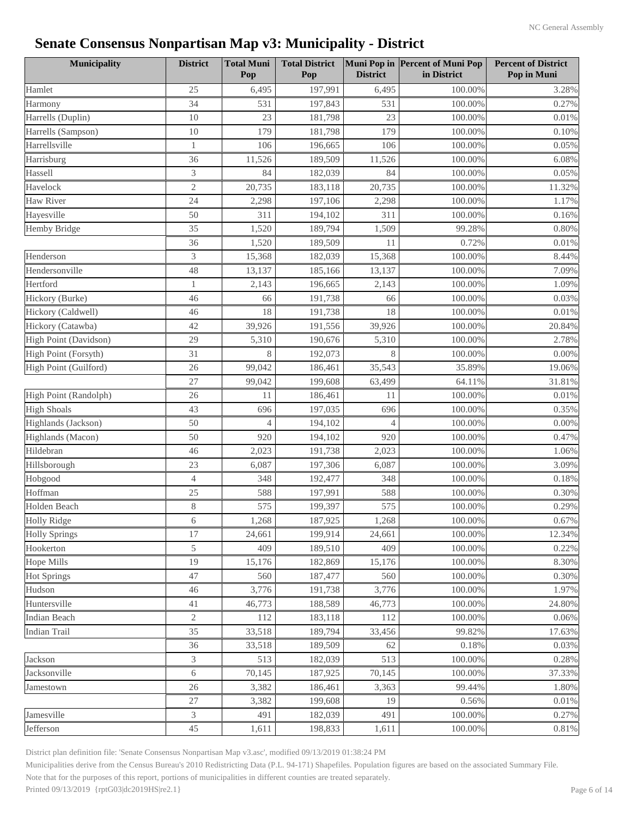| <b>Municipality</b>   | <b>District</b> | <b>Total Muni</b><br>Pop | <b>Total District</b><br>Pop | <b>District</b> | Muni Pop in Percent of Muni Pop<br>in District | <b>Percent of District</b><br>Pop in Muni |
|-----------------------|-----------------|--------------------------|------------------------------|-----------------|------------------------------------------------|-------------------------------------------|
| Hamlet                | 25              | 6,495                    | 197,991                      | 6,495           | 100.00%                                        | 3.28%                                     |
| Harmony               | 34              | 531                      | 197,843                      | 531             | 100.00%                                        | 0.27%                                     |
| Harrells (Duplin)     | 10              | 23                       | 181,798                      | 23              | 100.00%                                        | 0.01%                                     |
| Harrells (Sampson)    | 10              | 179                      | 181,798                      | 179             | 100.00%                                        | 0.10%                                     |
| Harrellsville         | $\mathbf{1}$    | 106                      | 196,665                      | 106             | 100.00%                                        | 0.05%                                     |
| Harrisburg            | 36              | 11,526                   | 189,509                      | 11,526          | 100.00%                                        | 6.08%                                     |
| Hassell               | 3               | 84                       | 182,039                      | 84              | 100.00%                                        | 0.05%                                     |
| Havelock              | $\sqrt{2}$      | 20,735                   | 183,118                      | 20,735          | 100.00%                                        | 11.32%                                    |
| <b>Haw River</b>      | 24              | 2,298                    | 197,106                      | 2,298           | 100.00%                                        | 1.17%                                     |
| Hayesville            | 50              | 311                      | 194,102                      | 311             | 100.00%                                        | 0.16%                                     |
| <b>Hemby Bridge</b>   | 35              | 1,520                    | 189,794                      | 1,509           | 99.28%                                         | 0.80%                                     |
|                       | 36              | 1,520                    | 189,509                      | 11              | 0.72%                                          | 0.01%                                     |
| Henderson             | 3               | 15,368                   | 182,039                      | 15,368          | 100.00%                                        | 8.44%                                     |
| Hendersonville        | 48              | 13,137                   | 185,166                      | 13,137          | 100.00%                                        | 7.09%                                     |
| Hertford              | 1               | 2,143                    | 196,665                      | 2,143           | 100.00%                                        | 1.09%                                     |
| Hickory (Burke)       | 46              | 66                       | 191,738                      | 66              | 100.00%                                        | 0.03%                                     |
| Hickory (Caldwell)    | 46              | 18                       | 191,738                      | 18              | 100.00%                                        | 0.01%                                     |
| Hickory (Catawba)     | 42              | 39,926                   | 191,556                      | 39,926          | 100.00%                                        | 20.84%                                    |
| High Point (Davidson) | 29              | 5,310                    | 190,676                      | 5,310           | 100.00%                                        | 2.78%                                     |
| High Point (Forsyth)  | 31              | 8                        | 192,073                      | 8               | 100.00%                                        | 0.00%                                     |
| High Point (Guilford) | 26              | 99,042                   | 186,461                      | 35,543          | 35.89%                                         | 19.06%                                    |
|                       | 27              | 99,042                   | 199,608                      | 63,499          | 64.11%                                         | 31.81%                                    |
| High Point (Randolph) | 26              | 11                       | 186,461                      | 11              | 100.00%                                        | 0.01%                                     |
| <b>High Shoals</b>    | 43              | 696                      | 197,035                      | 696             | 100.00%                                        | 0.35%                                     |
| Highlands (Jackson)   | 50              | $\overline{4}$           | 194,102                      | $\overline{4}$  | 100.00%                                        | 0.00%                                     |
| Highlands (Macon)     | 50              | 920                      | 194,102                      | 920             | 100.00%                                        | 0.47%                                     |
| Hildebran             | 46              | 2,023                    | 191,738                      | 2,023           | 100.00%                                        | 1.06%                                     |
| Hillsborough          | 23              | 6,087                    | 197,306                      | 6,087           | 100.00%                                        | 3.09%                                     |
| Hobgood               | $\overline{4}$  | 348                      | 192,477                      | 348             | 100.00%                                        | 0.18%                                     |
| Hoffman               | 25              | 588                      | 197,991                      | 588             | 100.00%                                        | 0.30%                                     |
| Holden Beach          | $8\,$           | 575                      | 199,397                      | 575             | 100.00%                                        | 0.29%                                     |
| <b>Holly Ridge</b>    | $\theta$        | 1,268                    | 187,925                      | 1,268           | $100.00\%$                                     | 0.67%                                     |
| <b>Holly Springs</b>  | 17              | 24,661                   | 199,914                      | 24,661          | 100.00%                                        | 12.34%                                    |
| Hookerton             | 5               | 409                      | 189,510                      | 409             | 100.00%                                        | 0.22%                                     |
| <b>Hope Mills</b>     | 19              | 15,176                   | 182,869                      | 15,176          | 100.00%                                        | 8.30%                                     |
| <b>Hot Springs</b>    | 47              | 560                      | 187,477                      | 560             | 100.00%                                        | 0.30%                                     |
| Hudson                | 46              | 3,776                    | 191,738                      | 3,776           | 100.00%                                        | 1.97%                                     |
| Huntersville          | 41              | 46,773                   | 188,589                      | 46,773          | 100.00%                                        | 24.80%                                    |
| <b>Indian Beach</b>   | $\mathbf{2}$    | 112                      | 183,118                      | 112             | 100.00%                                        | 0.06%                                     |
| <b>Indian Trail</b>   | 35              | 33,518                   | 189,794                      | 33,456          | 99.82%                                         | 17.63%                                    |
|                       | 36              | 33,518                   | 189,509                      | 62              | 0.18%                                          | 0.03%                                     |
| Jackson               | 3               | 513                      | 182,039                      | 513             | 100.00%                                        | 0.28%                                     |
| Jacksonville          | 6               | 70,145                   | 187,925                      | 70,145          | 100.00%                                        | 37.33%                                    |
| Jamestown             | 26              | 3,382                    | 186,461                      | 3,363           | 99.44%                                         | 1.80%                                     |
|                       | 27              | 3,382                    | 199,608                      | 19              | 0.56%                                          | 0.01%                                     |
| Jamesville            | 3               | 491                      | 182,039                      | 491             | 100.00%                                        | 0.27%                                     |
| Jefferson             | 45              | 1,611                    | 198,833                      | 1,611           | 100.00%                                        | 0.81%                                     |

District plan definition file: 'Senate Consensus Nonpartisan Map v3.asc', modified 09/13/2019 01:38:24 PM

Municipalities derive from the Census Bureau's 2010 Redistricting Data (P.L. 94-171) Shapefiles. Population figures are based on the associated Summary File.

Note that for the purposes of this report, portions of municipalities in different counties are treated separately.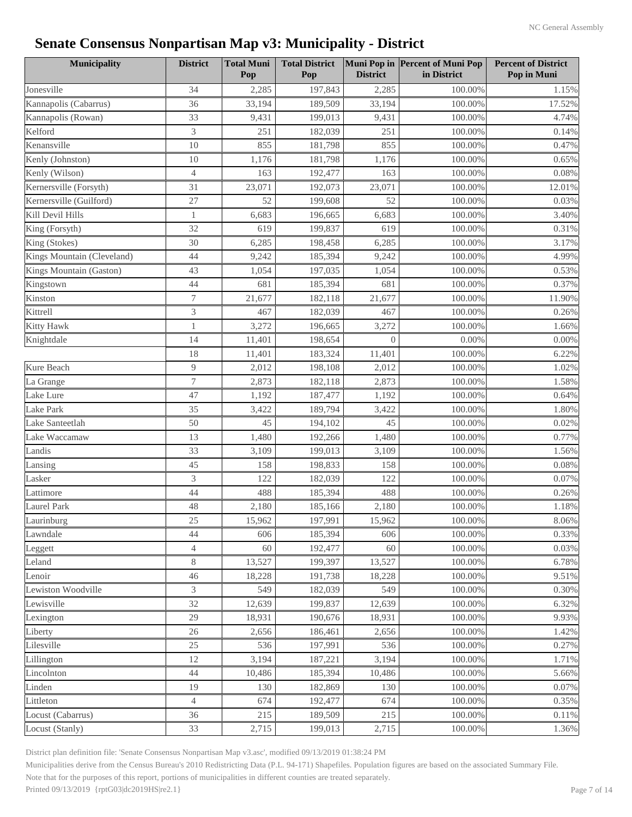| <b>Municipality</b>        | <b>District</b> | <b>Total Muni</b><br>Pop | <b>Total District</b><br>Pop | <b>District</b> | Muni Pop in Percent of Muni Pop<br>in District | <b>Percent of District</b><br>Pop in Muni |
|----------------------------|-----------------|--------------------------|------------------------------|-----------------|------------------------------------------------|-------------------------------------------|
| Jonesville                 | 34              | 2,285                    | 197,843                      | 2,285           | 100.00%                                        | 1.15%                                     |
| Kannapolis (Cabarrus)      | 36              | 33,194                   | 189,509                      | 33,194          | 100.00%                                        | 17.52%                                    |
| Kannapolis (Rowan)         | 33              | 9,431                    | 199,013                      | 9,431           | 100.00%                                        | 4.74%                                     |
| Kelford                    | 3               | 251                      | 182,039                      | 251             | 100.00%                                        | 0.14%                                     |
| Kenansville                | 10              | 855                      | 181,798                      | 855             | 100.00%                                        | 0.47%                                     |
| Kenly (Johnston)           | 10              | 1,176                    | 181,798                      | 1,176           | 100.00%                                        | 0.65%                                     |
| Kenly (Wilson)             | $\overline{4}$  | 163                      | 192,477                      | 163             | 100.00%                                        | 0.08%                                     |
| Kernersville (Forsyth)     | 31              | 23,071                   | 192,073                      | 23,071          | 100.00%                                        | 12.01%                                    |
| Kernersville (Guilford)    | 27              | 52                       | 199,608                      | 52              | 100.00%                                        | 0.03%                                     |
| Kill Devil Hills           | $\mathbf{1}$    | 6,683                    | 196,665                      | 6,683           | 100.00%                                        | 3.40%                                     |
| King (Forsyth)             | 32              | 619                      | 199,837                      | 619             | 100.00%                                        | 0.31%                                     |
| King (Stokes)              | 30              | 6,285                    | 198,458                      | 6,285           | 100.00%                                        | 3.17%                                     |
| Kings Mountain (Cleveland) | 44              | 9,242                    | 185,394                      | 9,242           | 100.00%                                        | 4.99%                                     |
| Kings Mountain (Gaston)    | 43              | 1,054                    | 197,035                      | 1,054           | 100.00%                                        | 0.53%                                     |
| Kingstown                  | 44              | 681                      | 185,394                      | 681             | 100.00%                                        | 0.37%                                     |
| Kinston                    | 7               | 21,677                   | 182,118                      | 21,677          | 100.00%                                        | 11.90%                                    |
| Kittrell                   | 3               | 467                      | 182,039                      | 467             | 100.00%                                        | 0.26%                                     |
| Kitty Hawk                 | $\mathbf{1}$    | 3,272                    | 196,665                      | 3,272           | 100.00%                                        | 1.66%                                     |
| Knightdale                 | 14              | 11,401                   | 198,654                      | $\Omega$        | 0.00%                                          | 0.00%                                     |
|                            | 18              | 11,401                   | 183,324                      | 11,401          | 100.00%                                        | 6.22%                                     |
| Kure Beach                 | $\overline{9}$  | 2,012                    | 198,108                      | 2,012           | 100.00%                                        | 1.02%                                     |
| La Grange                  | $\overline{7}$  | 2,873                    | 182,118                      | 2,873           | 100.00%                                        | 1.58%                                     |
| Lake Lure                  | 47              | 1,192                    | 187,477                      | 1,192           | 100.00%                                        | 0.64%                                     |
| Lake Park                  | 35              | 3,422                    | 189,794                      | 3,422           | 100.00%                                        | 1.80%                                     |
| Lake Santeetlah            | 50              | 45                       | 194,102                      | 45              | 100.00%                                        | 0.02%                                     |
| Lake Waccamaw              | 13              | 1,480                    | 192,266                      | 1,480           | 100.00%                                        | 0.77%                                     |
| Landis                     | 33              | 3,109                    | 199,013                      | 3,109           | 100.00%                                        | 1.56%                                     |
| Lansing                    | 45              | 158                      | 198,833                      | 158             | 100.00%                                        | 0.08%                                     |
| Lasker                     | 3               | 122                      | 182,039                      | 122             | 100.00%                                        | 0.07%                                     |
| Lattimore                  | 44              | 488                      | 185,394                      | 488             | 100.00%                                        | 0.26%                                     |
| <b>Laurel Park</b>         | 48              | 2,180                    | 185,166                      | 2,180           | 100.00%                                        | 1.18%                                     |
| Laurinburg                 | 25              | 15,962                   | 197,991                      | 15,962          | 100.00%                                        | $8.06\%$                                  |
| Lawndale                   | 44              | 606                      | 185,394                      | 606             | 100.00%                                        | 0.33%                                     |
| Leggett                    | 4               | 60                       | 192,477                      | 60              | 100.00%                                        | 0.03%                                     |
| Leland                     | $8\,$           | 13,527                   | 199,397                      | 13,527          | 100.00%                                        | 6.78%                                     |
| Lenoir                     | 46              | 18,228                   | 191,738                      | 18,228          | 100.00%                                        | 9.51%                                     |
| Lewiston Woodville         | 3               | 549                      | 182,039                      | 549             | 100.00%                                        | 0.30%                                     |
| Lewisville                 | 32              | 12,639                   | 199,837                      | 12,639          | 100.00%                                        | 6.32%                                     |
| Lexington                  | 29              | 18,931                   | 190,676                      | 18,931          | 100.00%                                        | 9.93%                                     |
| Liberty                    | 26              | 2,656                    | 186,461                      | 2,656           | 100.00%                                        | 1.42%                                     |
| Lilesville                 | $25\,$          | 536                      | 197,991                      | 536             | 100.00%                                        | 0.27%                                     |
| Lillington                 | 12              | 3,194                    | 187,221                      | 3,194           | 100.00%                                        | 1.71%                                     |
| Lincolnton                 | 44              | 10,486                   | 185,394                      | 10,486          | 100.00%                                        | 5.66%                                     |
| Linden                     | 19              | 130                      | 182,869                      | 130             | 100.00%                                        | 0.07%                                     |
| Littleton                  | $\overline{4}$  | 674                      | 192,477                      | 674             | 100.00%                                        | 0.35%                                     |
| Locust (Cabarrus)          | 36              | 215                      | 189,509                      | 215             | 100.00%                                        | 0.11%                                     |
| Locust (Stanly)            | 33              | 2,715                    | 199,013                      | 2,715           | 100.00%                                        | 1.36%                                     |

District plan definition file: 'Senate Consensus Nonpartisan Map v3.asc', modified 09/13/2019 01:38:24 PM

Municipalities derive from the Census Bureau's 2010 Redistricting Data (P.L. 94-171) Shapefiles. Population figures are based on the associated Summary File.

Note that for the purposes of this report, portions of municipalities in different counties are treated separately.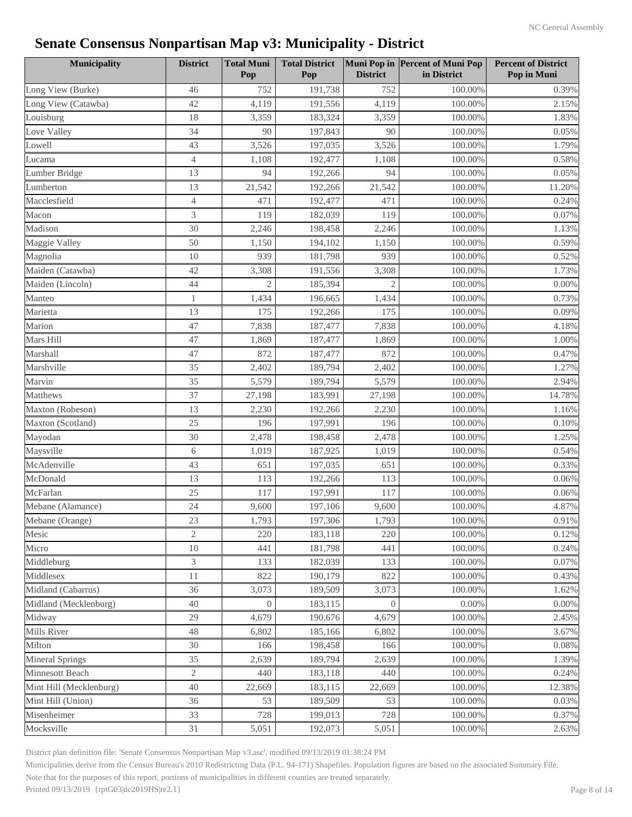| <b>Municipality</b>     | <b>District</b> | <b>Total Muni</b><br>Pop | <b>Total District</b><br>Pop | <b>District</b> | Muni Pop in Percent of Muni Pop<br>in District | <b>Percent of District</b><br>Pop in Muni |
|-------------------------|-----------------|--------------------------|------------------------------|-----------------|------------------------------------------------|-------------------------------------------|
| Long View (Burke)       | 46              | 752                      | 191,738                      | 752             | 100.00%                                        | 0.39%                                     |
| Long View (Catawba)     | 42              | 4,119                    | 191,556                      | 4,119           | 100.00%                                        | 2.15%                                     |
| Louisburg               | 18              | 3,359                    | 183,324                      | 3,359           | 100.00%                                        | 1.83%                                     |
| Love Valley             | 34              | 90                       | 197,843                      | 90              | 100.00%                                        | 0.05%                                     |
| Lowell                  | 43              | 3,526                    | 197,035                      | 3,526           | 100.00%                                        | 1.79%                                     |
| Lucama                  | $\overline{4}$  | 1,108                    | 192,477                      | 1,108           | 100.00%                                        | 0.58%                                     |
| Lumber Bridge           | 13              | 94                       | 192,266                      | 94              | 100.00%                                        | 0.05%                                     |
| Lumberton               | 13              | 21,542                   | 192,266                      | 21,542          | 100.00%                                        | 11.20%                                    |
| Macclesfield            | $\overline{4}$  | 471                      | 192,477                      | 471             | 100.00%                                        | 0.24%                                     |
| Macon                   | 3               | 119                      | 182,039                      | 119             | 100.00%                                        | 0.07%                                     |
| Madison                 | 30              | 2,246                    | 198,458                      | 2,246           | 100.00%                                        | 1.13%                                     |
| Maggie Valley           | 50              | 1,150                    | 194,102                      | 1,150           | 100.00%                                        | 0.59%                                     |
| Magnolia                | 10              | 939                      | 181,798                      | 939             | 100.00%                                        | 0.52%                                     |
| Maiden (Catawba)        | 42              | 3,308                    | 191,556                      | 3,308           | 100.00%                                        | 1.73%                                     |
| Maiden (Lincoln)        | 44              | $\overline{2}$           | 185,394                      | $\overline{2}$  | 100.00%                                        | 0.00%                                     |
| Manteo                  | $\mathbf{1}$    | 1,434                    | 196,665                      | 1,434           | 100.00%                                        | 0.73%                                     |
| Marietta                | 13              | 175                      | 192,266                      | 175             | 100.00%                                        | 0.09%                                     |
| Marion                  | 47              | 7,838                    | 187,477                      | 7,838           | 100.00%                                        | 4.18%                                     |
| Mars Hill               | 47              | 1,869                    | 187,477                      | 1,869           | 100.00%                                        | 1.00%                                     |
| Marshall                | 47              | 872                      | 187,477                      | 872             | 100.00%                                        | 0.47%                                     |
| Marshville              | 35              | 2,402                    | 189,794                      | 2,402           | 100.00%                                        | 1.27%                                     |
| Marvin                  | 35              | 5,579                    | 189,794                      | 5,579           | 100.00%                                        | 2.94%                                     |
| Matthews                | 37              | 27,198                   | 183,991                      | 27,198          | 100.00%                                        | 14.78%                                    |
| Maxton (Robeson)        | 13              | 2,230                    | 192,266                      | 2,230           | 100.00%                                        | 1.16%                                     |
| Maxton (Scotland)       | 25              | 196                      | 197,991                      | 196             | 100.00%                                        | 0.10%                                     |
| Mayodan                 | 30              | 2,478                    | 198,458                      | 2,478           | 100.00%                                        | 1.25%                                     |
| Maysville               | 6               | 1,019                    | 187,925                      | 1,019           | 100.00%                                        | 0.54%                                     |
| McAdenville             | 43              | 651                      | 197,035                      | 651             | 100.00%                                        | 0.33%                                     |
| McDonald                | 13              | 113                      | 192,266                      | 113             | 100.00%                                        | 0.06%                                     |
| McFarlan                | 25              | 117                      | 197,991                      | 117             | 100.00%                                        | 0.06%                                     |
| Mebane (Alamance)       | 24              | 9,600                    | 197,106                      | 9,600           | 100.00%                                        | 4.87%                                     |
| Mebane (Orange)         | 23              | 1,793                    | 197,306                      | 1,793           | 100.00%                                        | 0.91%                                     |
| Mesic                   | 2               | 220                      | 183,118                      | 220             | 100.00%                                        | 0.12%                                     |
| Micro                   | 10              | 441                      | 181,798                      | 441             | 100.00%                                        | 0.24%                                     |
| Middleburg              | 3               | 133                      | 182,039                      | 133             | 100.00%                                        | 0.07%                                     |
| Middlesex               | 11              | 822                      | 190,179                      | 822             | 100.00%                                        | 0.43%                                     |
| Midland (Cabarrus)      | 36              | 3,073                    | 189,509                      | 3,073           | 100.00%                                        | 1.62%                                     |
| Midland (Mecklenburg)   | 40              | $\Omega$                 | 183,115                      | $\Omega$        | 0.00%                                          | $0.00\%$                                  |
| Midway                  | 29              | 4,679                    | 190,676                      | 4,679           | 100.00%                                        | 2.45%                                     |
| <b>Mills River</b>      | 48              | 6,802                    | 185,166                      | 6,802           | 100.00%                                        | 3.67%                                     |
| Milton                  | 30              | 166                      | 198,458                      | 166             | 100.00%                                        | 0.08%                                     |
| <b>Mineral Springs</b>  | 35              | 2,639                    | 189,794                      | 2,639           | 100.00%                                        | 1.39%                                     |
| Minnesott Beach         | $\mathbf{2}$    | 440                      | 183,118                      | 440             | 100.00%                                        | 0.24%                                     |
| Mint Hill (Mecklenburg) | 40              | 22,669                   | 183,115                      | 22,669          | 100.00%                                        | 12.38%                                    |
| Mint Hill (Union)       | 36              | 53                       | 189,509                      | 53              | 100.00%                                        | 0.03%                                     |
| Misenheimer             | 33              | 728                      | 199,013                      | 728             | 100.00%                                        | 0.37%                                     |
| Mocksville              | 31              | 5,051                    | 192,073                      | 5,051           | 100.00%                                        | 2.63%                                     |

District plan definition file: 'Senate Consensus Nonpartisan Map v3.asc', modified 09/13/2019 01:38:24 PM

Municipalities derive from the Census Bureau's 2010 Redistricting Data (P.L. 94-171) Shapefiles. Population figures are based on the associated Summary File.

Note that for the purposes of this report, portions of municipalities in different counties are treated separately.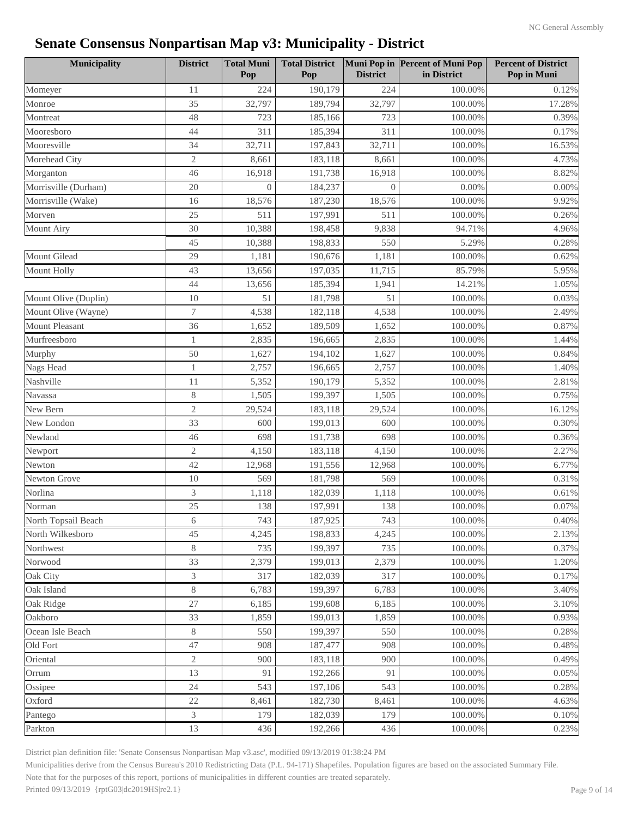| <b>Municipality</b>   | <b>District</b> | <b>Total Muni</b><br>Pop | <b>Total District</b><br>Pop | <b>District</b> | Muni Pop in Percent of Muni Pop<br>in District | <b>Percent of District</b><br>Pop in Muni |
|-----------------------|-----------------|--------------------------|------------------------------|-----------------|------------------------------------------------|-------------------------------------------|
| Momeyer               | 11              | 224                      | 190,179                      | 224             | 100.00%                                        | 0.12%                                     |
| Monroe                | 35              | 32,797                   | 189,794                      | 32,797          | 100.00%                                        | 17.28%                                    |
| Montreat              | 48              | 723                      | 185,166                      | 723             | 100.00%                                        | 0.39%                                     |
| Mooresboro            | 44              | 311                      | 185,394                      | 311             | 100.00%                                        | 0.17%                                     |
| Mooresville           | 34              | 32,711                   | 197,843                      | 32,711          | 100.00%                                        | 16.53%                                    |
| Morehead City         | $\sqrt{2}$      | 8,661                    | 183,118                      | 8,661           | 100.00%                                        | 4.73%                                     |
| Morganton             | 46              | 16,918                   | 191,738                      | 16,918          | 100.00%                                        | 8.82%                                     |
| Morrisville (Durham)  | 20              | $\Omega$                 | 184,237                      | $\Omega$        | 0.00%                                          | 0.00%                                     |
| Morrisville (Wake)    | 16              | 18,576                   | 187,230                      | 18,576          | 100.00%                                        | 9.92%                                     |
| Morven                | 25              | 511                      | 197,991                      | 511             | 100.00%                                        | 0.26%                                     |
| <b>Mount Airy</b>     | 30              | 10,388                   | 198,458                      | 9,838           | 94.71%                                         | 4.96%                                     |
|                       | 45              | 10,388                   | 198,833                      | 550             | 5.29%                                          | 0.28%                                     |
| Mount Gilead          | 29              | 1,181                    | 190,676                      | 1,181           | 100.00%                                        | 0.62%                                     |
| <b>Mount Holly</b>    | 43              | 13,656                   | 197,035                      | 11,715          | 85.79%                                         | 5.95%                                     |
|                       | 44              | 13,656                   | 185,394                      | 1,941           | 14.21%                                         | 1.05%                                     |
| Mount Olive (Duplin)  | 10              | 51                       | 181,798                      | 51              | 100.00%                                        | 0.03%                                     |
| Mount Olive (Wayne)   | 7               | 4,538                    | 182,118                      | 4,538           | 100.00%                                        | 2.49%                                     |
| <b>Mount Pleasant</b> | 36              | 1,652                    | 189,509                      | 1,652           | 100.00%                                        | 0.87%                                     |
| Murfreesboro          | 1               | 2,835                    | 196,665                      | 2,835           | 100.00%                                        | 1.44%                                     |
| Murphy                | 50              | 1,627                    | 194,102                      | 1,627           | 100.00%                                        | 0.84%                                     |
| Nags Head             | $\mathbf{1}$    | 2,757                    | 196,665                      | 2,757           | 100.00%                                        | 1.40%                                     |
| Nashville             | 11              | 5,352                    | 190,179                      | 5,352           | 100.00%                                        | 2.81%                                     |
| Navassa               | $8\,$           | 1,505                    | 199,397                      | 1,505           | 100.00%                                        | 0.75%                                     |
| New Bern              | $\sqrt{2}$      | 29,524                   | 183,118                      | 29,524          | 100.00%                                        | 16.12%                                    |
| New London            | 33              | 600                      | 199,013                      | 600             | 100.00%                                        | 0.30%                                     |
| Newland               | 46              | 698                      | 191,738                      | 698             | 100.00%                                        | 0.36%                                     |
| Newport               | $\sqrt{2}$      | 4,150                    | 183,118                      | 4,150           | 100.00%                                        | 2.27%                                     |
| Newton                | 42              | 12,968                   | 191,556                      | 12,968          | 100.00%                                        | 6.77%                                     |
| Newton Grove          | 10              | 569                      | 181,798                      | 569             | 100.00%                                        | 0.31%                                     |
| Norlina               | 3               | 1,118                    | 182,039                      | 1,118           | 100.00%                                        | 0.61%                                     |
| Norman                | 25              | 138                      | 197,991                      | 138             | 100.00%                                        | 0.07%                                     |
| North Topsail Beach   | 6               | 743                      | 187,925                      | 743             | $100.00\%$                                     | $0.40\%$                                  |
| North Wilkesboro      | 45              | 4,245                    | 198,833                      | 4,245           | 100.00%                                        | 2.13%                                     |
| Northwest             | 8               | 735                      | 199,397                      | 735             | 100.00%                                        | 0.37%                                     |
| Norwood               | 33              | 2,379                    | 199,013                      | 2,379           | 100.00%                                        | 1.20%                                     |
| Oak City              | 3               | 317                      | 182,039                      | 317             | 100.00%                                        | 0.17%                                     |
| Oak Island            | 8               | 6,783                    | 199,397                      | 6,783           | 100.00%                                        | 3.40%                                     |
| Oak Ridge             | 27              | 6,185                    | 199,608                      | 6,185           | 100.00%                                        | 3.10%                                     |
| Oakboro               | 33              | 1,859                    | 199,013                      | 1,859           | 100.00%                                        | 0.93%                                     |
| Ocean Isle Beach      | $8\,$           | 550                      | 199,397                      | 550             | 100.00%                                        | 0.28%                                     |
| Old Fort              | 47              | 908                      | 187,477                      | 908             | 100.00%                                        | 0.48%                                     |
| Oriental              | $\overline{2}$  | 900                      | 183,118                      | 900             | 100.00%                                        | 0.49%                                     |
| Orrum                 | 13              | 91                       | 192,266                      | 91              | 100.00%                                        | 0.05%                                     |
| Ossipee               | 24              | 543                      | 197,106                      | 543             | 100.00%                                        | 0.28%                                     |
| Oxford                | 22              | 8,461                    | 182,730                      | 8,461           | 100.00%                                        | 4.63%                                     |
| Pantego               | $\overline{3}$  | 179                      | 182,039                      | 179             | 100.00%                                        | 0.10%                                     |
| Parkton               | 13              | 436                      | 192,266                      | 436             | 100.00%                                        | 0.23%                                     |

District plan definition file: 'Senate Consensus Nonpartisan Map v3.asc', modified 09/13/2019 01:38:24 PM

Municipalities derive from the Census Bureau's 2010 Redistricting Data (P.L. 94-171) Shapefiles. Population figures are based on the associated Summary File.

Note that for the purposes of this report, portions of municipalities in different counties are treated separately.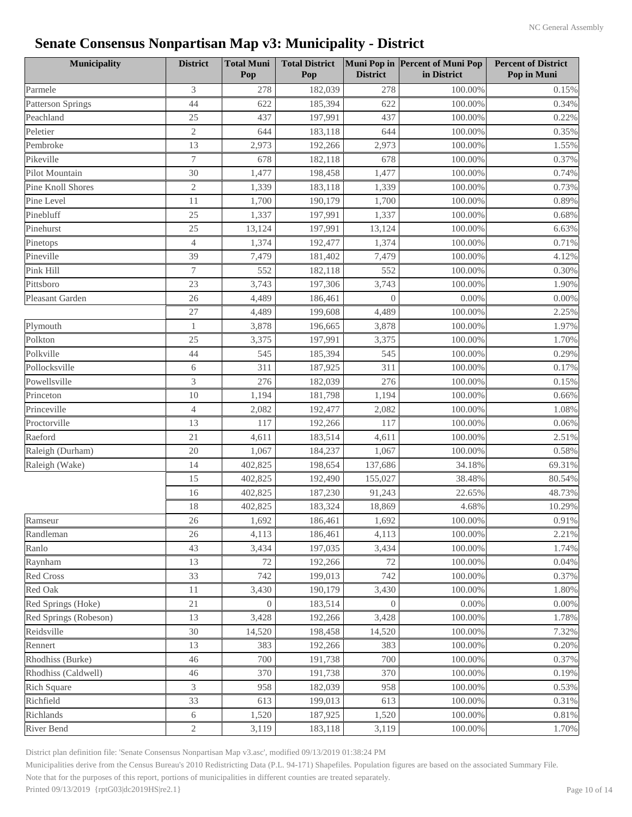| <b>Municipality</b>      | <b>District</b>  | <b>Total Muni</b><br>Pop | <b>Total District</b><br>Pop | <b>District</b> | Muni Pop in Percent of Muni Pop<br>in District | <b>Percent of District</b><br>Pop in Muni |
|--------------------------|------------------|--------------------------|------------------------------|-----------------|------------------------------------------------|-------------------------------------------|
| Parmele                  | 3                | 278                      | 182,039                      | 278             | 100.00%                                        | 0.15%                                     |
| <b>Patterson Springs</b> | 44               | 622                      | 185,394                      | 622             | 100.00%                                        | 0.34%                                     |
| Peachland                | 25               | 437                      | 197,991                      | 437             | 100.00%                                        | 0.22%                                     |
| Peletier                 | $\mathfrak{2}$   | 644                      | 183,118                      | 644             | 100.00%                                        | 0.35%                                     |
| Pembroke                 | 13               | 2,973                    | 192,266                      | 2,973           | 100.00%                                        | 1.55%                                     |
| Pikeville                | $\tau$           | 678                      | 182,118                      | 678             | 100.00%                                        | 0.37%                                     |
| Pilot Mountain           | 30               | 1,477                    | 198,458                      | 1,477           | 100.00%                                        | 0.74%                                     |
| Pine Knoll Shores        | $\mathfrak{2}$   | 1,339                    | 183,118                      | 1,339           | 100.00%                                        | 0.73%                                     |
| Pine Level               | 11               | 1,700                    | 190,179                      | 1,700           | 100.00%                                        | 0.89%                                     |
| Pinebluff                | 25               | 1,337                    | 197,991                      | 1,337           | 100.00%                                        | 0.68%                                     |
| Pinehurst                | 25               | 13,124                   | 197,991                      | 13,124          | 100.00%                                        | 6.63%                                     |
| Pinetops                 | $\overline{4}$   | 1,374                    | 192,477                      | 1,374           | 100.00%                                        | 0.71%                                     |
| Pineville                | 39               | 7,479                    | 181,402                      | 7,479           | 100.00%                                        | 4.12%                                     |
| Pink Hill                | $\boldsymbol{7}$ | 552                      | 182,118                      | 552             | 100.00%                                        | 0.30%                                     |
| Pittsboro                | 23               | 3,743                    | 197,306                      | 3,743           | 100.00%                                        | 1.90%                                     |
| Pleasant Garden          | 26               | 4,489                    | 186,461                      | $\Omega$        | 0.00%                                          | $0.00\%$                                  |
|                          | 27               | 4,489                    | 199,608                      | 4,489           | 100.00%                                        | 2.25%                                     |
| Plymouth                 | $\mathbf{1}$     | 3,878                    | 196,665                      | 3,878           | 100.00%                                        | 1.97%                                     |
| Polkton                  | 25               | 3,375                    | 197,991                      | 3,375           | 100.00%                                        | 1.70%                                     |
| Polkville                | 44               | 545                      | 185,394                      | 545             | 100.00%                                        | 0.29%                                     |
| Pollocksville            | 6                | 311                      | 187,925                      | 311             | 100.00%                                        | 0.17%                                     |
| Powellsville             | 3                | 276                      | 182,039                      | 276             | 100.00%                                        | 0.15%                                     |
| Princeton                | 10               | 1,194                    | 181,798                      | 1,194           | 100.00%                                        | 0.66%                                     |
| Princeville              | 4                | 2,082                    | 192,477                      | 2,082           | 100.00%                                        | 1.08%                                     |
| Proctorville             | 13               | 117                      | 192,266                      | 117             | 100.00%                                        | 0.06%                                     |
| Raeford                  | 21               | 4,611                    | 183,514                      | 4,611           | 100.00%                                        | 2.51%                                     |
| Raleigh (Durham)         | 20               | 1,067                    | 184,237                      | 1,067           | 100.00%                                        | 0.58%                                     |
| Raleigh (Wake)           | 14               | 402,825                  | 198,654                      | 137,686         | 34.18%                                         | 69.31%                                    |
|                          | 15               | 402,825                  | 192,490                      | 155,027         | 38.48%                                         | 80.54%                                    |
|                          | 16               | 402,825                  | 187,230                      | 91,243          | 22.65%                                         | 48.73%                                    |
|                          | 18               | 402,825                  | 183,324                      | 18,869          | 4.68%                                          | 10.29%                                    |
| Ramseur                  | 26               | 1,692                    | 186,461                      | 1,692           | $100.00\%$                                     | $0.91\%$                                  |
| Randleman                | 26               | 4,113                    | 186,461                      | 4,113           | 100.00%                                        | 2.21%                                     |
| Ranlo                    | 43               | 3,434                    | 197,035                      | 3,434           | 100.00%                                        | 1.74%                                     |
| Raynham                  | 13               | 72                       | 192,266                      | 72              | 100.00%                                        | 0.04%                                     |
| <b>Red Cross</b>         | 33               | 742                      | 199,013                      | 742             | 100.00%                                        | 0.37%                                     |
| Red Oak                  | 11               | 3,430                    | 190,179                      | 3,430           | 100.00%                                        | 1.80%                                     |
| Red Springs (Hoke)       | 21               | $\Omega$                 | 183,514                      | $\Omega$        | 0.00%                                          | $0.00\%$                                  |
| Red Springs (Robeson)    | 13               | 3,428                    | 192,266                      | 3,428           | 100.00%                                        | 1.78%                                     |
| Reidsville               | $30\,$           | 14,520                   | 198,458                      | 14,520          | 100.00%                                        | 7.32%                                     |
| Rennert                  | 13               | 383                      | 192,266                      | 383             | 100.00%                                        | 0.20%                                     |
| Rhodhiss (Burke)         | 46               | 700                      | 191,738                      | 700             | 100.00%                                        | 0.37%                                     |
| Rhodhiss (Caldwell)      | 46               | 370                      | 191,738                      | 370             | 100.00%                                        | 0.19%                                     |
| <b>Rich Square</b>       | 3                | 958                      | 182,039                      | 958             | 100.00%                                        | 0.53%                                     |
| Richfield                | 33               | 613                      | 199,013                      | 613             | 100.00%                                        | 0.31%                                     |
| Richlands                | 6                | 1,520                    | 187,925                      | 1,520           | 100.00%                                        | 0.81%                                     |
| River Bend               | $\overline{c}$   | 3,119                    | 183,118                      | 3,119           | 100.00%                                        | 1.70%                                     |

District plan definition file: 'Senate Consensus Nonpartisan Map v3.asc', modified 09/13/2019 01:38:24 PM

Municipalities derive from the Census Bureau's 2010 Redistricting Data (P.L. 94-171) Shapefiles. Population figures are based on the associated Summary File.

Note that for the purposes of this report, portions of municipalities in different counties are treated separately.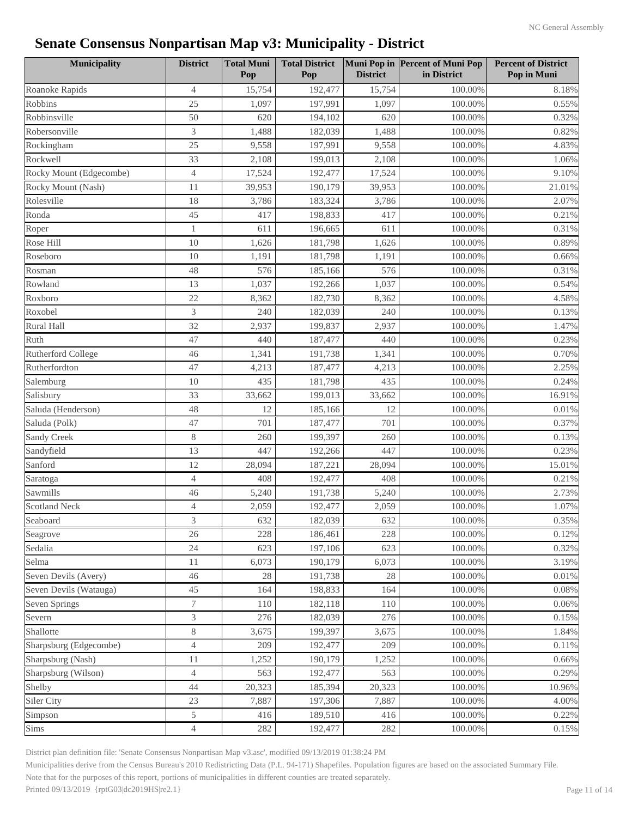| Municipality            | <b>District</b> | <b>Total Muni</b><br>Pop | <b>Total District</b><br>Pop | <b>District</b> | Muni Pop in Percent of Muni Pop<br>in District | <b>Percent of District</b><br>Pop in Muni |
|-------------------------|-----------------|--------------------------|------------------------------|-----------------|------------------------------------------------|-------------------------------------------|
| Roanoke Rapids          | $\overline{4}$  | 15,754                   | 192,477                      | 15,754          | 100.00%                                        | 8.18%                                     |
| Robbins                 | 25              | 1,097                    | 197,991                      | 1,097           | 100.00%                                        | 0.55%                                     |
| Robbinsville            | 50              | 620                      | 194,102                      | 620             | 100.00%                                        | 0.32%                                     |
| Robersonville           | 3               | 1,488                    | 182,039                      | 1,488           | 100.00%                                        | 0.82%                                     |
| Rockingham              | 25              | 9,558                    | 197,991                      | 9,558           | 100.00%                                        | 4.83%                                     |
| Rockwell                | 33              | 2,108                    | 199,013                      | 2,108           | 100.00%                                        | 1.06%                                     |
| Rocky Mount (Edgecombe) | $\overline{4}$  | 17,524                   | 192,477                      | 17,524          | 100.00%                                        | 9.10%                                     |
| Rocky Mount (Nash)      | 11              | 39,953                   | 190,179                      | 39,953          | 100.00%                                        | 21.01%                                    |
| Rolesville              | 18              | 3,786                    | 183,324                      | 3,786           | 100.00%                                        | 2.07%                                     |
| Ronda                   | 45              | 417                      | 198,833                      | 417             | 100.00%                                        | 0.21%                                     |
| Roper                   | $\mathbf{1}$    | 611                      | 196,665                      | 611             | 100.00%                                        | 0.31%                                     |
| Rose Hill               | 10              | 1,626                    | 181,798                      | 1,626           | 100.00%                                        | 0.89%                                     |
| Roseboro                | 10              | 1,191                    | 181,798                      | 1,191           | 100.00%                                        | 0.66%                                     |
| Rosman                  | 48              | 576                      | 185,166                      | 576             | 100.00%                                        | 0.31%                                     |
| Rowland                 | 13              | 1,037                    | 192,266                      | 1,037           | 100.00%                                        | 0.54%                                     |
| Roxboro                 | 22              | 8,362                    | 182,730                      | 8,362           | 100.00%                                        | 4.58%                                     |
| Roxobel                 | 3               | 240                      | 182,039                      | 240             | 100.00%                                        | 0.13%                                     |
| Rural Hall              | 32              | 2,937                    | 199,837                      | 2,937           | 100.00%                                        | 1.47%                                     |
| Ruth                    | 47              | 440                      | 187,477                      | 440             | 100.00%                                        | 0.23%                                     |
| Rutherford College      | 46              | 1,341                    | 191,738                      | 1,341           | 100.00%                                        | 0.70%                                     |
| Rutherfordton           | 47              | 4,213                    | 187,477                      | 4,213           | 100.00%                                        | 2.25%                                     |
| Salemburg               | 10              | 435                      | 181,798                      | 435             | 100.00%                                        | 0.24%                                     |
| Salisbury               | 33              | 33,662                   | 199,013                      | 33,662          | 100.00%                                        | 16.91%                                    |
| Saluda (Henderson)      | 48              | 12                       | 185,166                      | 12              | 100.00%                                        | 0.01%                                     |
| Saluda (Polk)           | 47              | 701                      | 187,477                      | 701             | 100.00%                                        | 0.37%                                     |
| <b>Sandy Creek</b>      | $8\,$           | 260                      | 199,397                      | 260             | 100.00%                                        | 0.13%                                     |
| Sandyfield              | 13              | 447                      | 192,266                      | 447             | 100.00%                                        | 0.23%                                     |
| Sanford                 | 12              | 28,094                   | 187,221                      | 28,094          | 100.00%                                        | 15.01%                                    |
| Saratoga                | $\overline{4}$  | 408                      | 192,477                      | 408             | 100.00%                                        | 0.21%                                     |
| Sawmills                | 46              | 5,240                    | 191,738                      | 5,240           | 100.00%                                        | 2.73%                                     |
| <b>Scotland Neck</b>    | $\overline{4}$  | 2,059                    | 192,477                      | 2,059           | 100.00%                                        | 1.07%                                     |
| Seaboard                | 3               | 632                      | 182,039                      | 632             | 100.00%                                        | 0.35%                                     |
| Seagrove                | 26              | 228                      | 186,461                      | 228             | 100.00%                                        | 0.12%                                     |
| Sedalia                 | 24              | 623                      | 197,106                      | 623             | 100.00%                                        | 0.32%                                     |
| Selma                   | 11              | 6,073                    | 190,179                      | 6,073           | 100.00%                                        | 3.19%                                     |
| Seven Devils (Avery)    | 46              | 28                       | 191,738                      | $28\,$          | 100.00%                                        | 0.01%                                     |
| Seven Devils (Watauga)  | 45              | 164                      | 198,833                      | 164             | 100.00%                                        | 0.08%                                     |
| Seven Springs           | $\tau$          | 110                      | 182,118                      | 110             | 100.00%                                        | 0.06%                                     |
| Severn                  | 3               | 276                      | 182,039                      | 276             | 100.00%                                        | 0.15%                                     |
| Shallotte               | $8\,$           | 3,675                    | 199,397                      | 3,675           | 100.00%                                        | 1.84%                                     |
| Sharpsburg (Edgecombe)  | $\overline{4}$  | 209                      | 192,477                      | 209             | 100.00%                                        | 0.11%                                     |
| Sharpsburg (Nash)       | 11              | 1,252                    | 190,179                      | 1,252           | 100.00%                                        | 0.66%                                     |
| Sharpsburg (Wilson)     | $\overline{4}$  | 563                      | 192,477                      | 563             | 100.00%                                        | 0.29%                                     |
| Shelby                  | 44              | 20,323                   | 185,394                      | 20,323          | 100.00%                                        | 10.96%                                    |
| Siler City              | 23              | 7,887                    | 197,306                      | 7,887           | 100.00%                                        | 4.00%                                     |
| Simpson                 | 5               | 416                      | 189,510                      | 416             | 100.00%                                        | 0.22%                                     |
| Sims                    | $\overline{4}$  | 282                      | 192,477                      | 282             | 100.00%                                        | 0.15%                                     |

District plan definition file: 'Senate Consensus Nonpartisan Map v3.asc', modified 09/13/2019 01:38:24 PM

Municipalities derive from the Census Bureau's 2010 Redistricting Data (P.L. 94-171) Shapefiles. Population figures are based on the associated Summary File.

Note that for the purposes of this report, portions of municipalities in different counties are treated separately.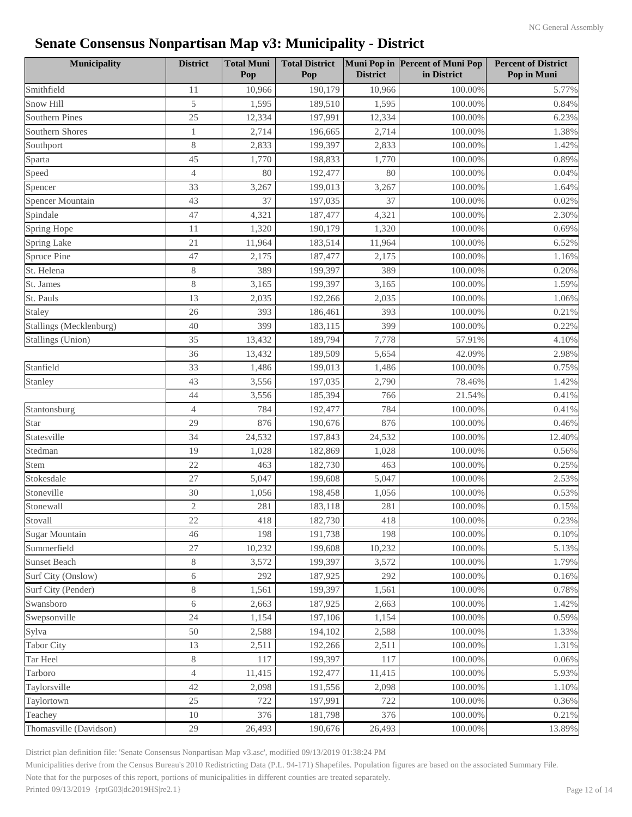| Municipality            | <b>District</b> | <b>Total Muni</b><br>Pop | <b>Total District</b><br>Pop | <b>District</b> | Muni Pop in Percent of Muni Pop<br>in District | <b>Percent of District</b><br>Pop in Muni |
|-------------------------|-----------------|--------------------------|------------------------------|-----------------|------------------------------------------------|-------------------------------------------|
| Smithfield              | 11              | 10,966                   | 190,179                      | 10,966          | 100.00%                                        | 5.77%                                     |
| Snow Hill               | 5               | 1,595                    | 189,510                      | 1,595           | 100.00%                                        | 0.84%                                     |
| <b>Southern Pines</b>   | 25              | 12,334                   | 197,991                      | 12,334          | 100.00%                                        | 6.23%                                     |
|                         |                 |                          |                              |                 |                                                |                                           |
| Southern Shores         | $\mathbf{1}$    | 2,714                    | 196,665                      | 2,714           | 100.00%                                        | 1.38%                                     |
| Southport               | $8\,$           | 2,833                    | 199,397                      | 2,833           | 100.00%                                        | 1.42%                                     |
| Sparta                  | 45              | 1,770                    | 198,833                      | 1,770           | 100.00%                                        | 0.89%                                     |
| Speed                   | $\overline{4}$  | 80                       | 192,477                      | 80              | 100.00%                                        | 0.04%                                     |
| Spencer                 | 33              | 3,267                    | 199,013                      | 3,267           | 100.00%                                        | 1.64%                                     |
| Spencer Mountain        | 43              | 37                       | 197,035                      | 37              | 100.00%                                        | 0.02%                                     |
| Spindale                | 47              | 4,321                    | 187,477                      | 4,321           | 100.00%                                        | 2.30%                                     |
| Spring Hope             | 11              | 1,320                    | 190,179                      | 1,320           | 100.00%                                        | 0.69%                                     |
| <b>Spring Lake</b>      | 21              | 11,964                   | 183,514                      | 11,964          | 100.00%                                        | 6.52%                                     |
| Spruce Pine             | 47              | 2,175                    | 187,477                      | 2,175           | 100.00%                                        | 1.16%                                     |
| St. Helena              | $8\,$           | 389                      | 199,397                      | 389             | 100.00%                                        | 0.20%                                     |
| St. James               | 8               | 3,165                    | 199,397                      | 3,165           | 100.00%                                        | 1.59%                                     |
| St. Pauls               | 13              | 2,035                    | 192,266                      | 2,035           | 100.00%                                        | 1.06%                                     |
| Staley                  | 26              | 393                      | 186,461                      | 393             | 100.00%                                        | 0.21%                                     |
| Stallings (Mecklenburg) | 40              | 399                      | 183,115                      | 399             | 100.00%                                        | 0.22%                                     |
| Stallings (Union)       | 35              | 13,432                   | 189,794                      | 7,778           | 57.91%                                         | 4.10%                                     |
|                         | 36              | 13,432                   | 189,509                      | 5,654           | 42.09%                                         | 2.98%                                     |
| Stanfield               | 33              | 1,486                    | 199,013                      | 1,486           | 100.00%                                        | 0.75%                                     |
| Stanley                 | 43              | 3,556                    | 197,035                      | 2,790           | 78.46%                                         | 1.42%                                     |
|                         | 44              | 3,556                    | 185,394                      | 766             | 21.54%                                         | 0.41%                                     |
| Stantonsburg            | $\overline{4}$  | 784                      | 192,477                      | 784             | 100.00%                                        | 0.41%                                     |
| Star                    | 29              | 876                      | 190,676                      | 876             | 100.00%                                        | 0.46%                                     |
| Statesville             | 34              | 24,532                   | 197,843                      | 24,532          | 100.00%                                        | 12.40%                                    |
| Stedman                 | 19              | 1,028                    | 182,869                      | 1,028           | 100.00%                                        | 0.56%                                     |
| Stem                    | 22              | 463                      | 182,730                      | 463             | 100.00%                                        | 0.25%                                     |
| Stokesdale              | 27              | 5,047                    | 199,608                      | 5,047           | 100.00%                                        | 2.53%                                     |
| Stoneville              | 30              | 1,056                    | 198,458                      | 1,056           | 100.00%                                        | 0.53%                                     |
| Stonewall               | $\sqrt{2}$      | 281                      | 183,118                      | 281             | 100.00%                                        | 0.15%                                     |
| Stovall                 | $22\,$          | 418                      | 182,730                      | 418             | 100.00%                                        | 0.23%                                     |
| <b>Sugar Mountain</b>   | 46              | 198                      | 191,738                      | 198             | 100.00%                                        | 0.10%                                     |
| Summerfield             | 27              | 10,232                   | 199,608                      | 10,232          | 100.00%                                        | 5.13%                                     |
| <b>Sunset Beach</b>     | $8\,$           | 3,572                    | 199,397                      | 3,572           | 100.00%                                        | 1.79%                                     |
| Surf City (Onslow)      | $\sqrt{6}$      | 292                      | 187,925                      | 292             | 100.00%                                        | 0.16%                                     |
| Surf City (Pender)      | $8\,$           | 1,561                    | 199,397                      | 1,561           | 100.00%                                        | 0.78%                                     |
| Swansboro               | $6\,$           | 2,663                    | 187,925                      | 2,663           | 100.00%                                        | 1.42%                                     |
| Swepsonville            | 24              | 1,154                    | 197,106                      | 1,154           | 100.00%                                        | 0.59%                                     |
| Sylva                   | 50              | 2,588                    | 194,102                      | 2,588           | 100.00%                                        | 1.33%                                     |
| <b>Tabor City</b>       | 13              | 2,511                    | 192,266                      | 2,511           | 100.00%                                        | 1.31%                                     |
| Tar Heel                | 8               | 117                      | 199,397                      | 117             | 100.00%                                        | 0.06%                                     |
| Tarboro                 | $\overline{4}$  | 11,415                   | 192,477                      | 11,415          | 100.00%                                        | 5.93%                                     |
| Taylorsville            | 42              | 2,098                    | 191,556                      | 2,098           | 100.00%                                        | 1.10%                                     |
| Taylortown              | $25\,$          | 722                      | 197,991                      | 722             | 100.00%                                        | 0.36%                                     |
| Teachey                 | $10\,$          | 376                      | 181,798                      | 376             | 100.00%                                        | 0.21%                                     |
| Thomasville (Davidson)  | 29              | 26,493                   | 190,676                      | 26,493          | 100.00%                                        | 13.89%                                    |
|                         |                 |                          |                              |                 |                                                |                                           |

District plan definition file: 'Senate Consensus Nonpartisan Map v3.asc', modified 09/13/2019 01:38:24 PM

Municipalities derive from the Census Bureau's 2010 Redistricting Data (P.L. 94-171) Shapefiles. Population figures are based on the associated Summary File.

Note that for the purposes of this report, portions of municipalities in different counties are treated separately.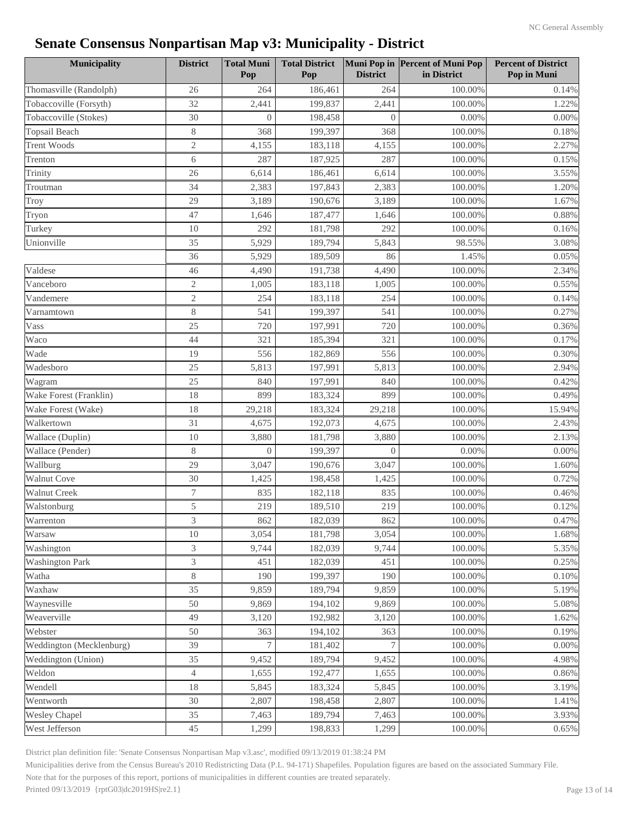| <b>Municipality</b>      | <b>District</b> | <b>Total Muni</b><br>Pop | <b>Total District</b><br>Pop | <b>District</b> | Muni Pop in Percent of Muni Pop<br>in District | <b>Percent of District</b><br>Pop in Muni |
|--------------------------|-----------------|--------------------------|------------------------------|-----------------|------------------------------------------------|-------------------------------------------|
| Thomasville (Randolph)   | 26              | 264                      | 186,461                      | 264             | 100.00%                                        | 0.14%                                     |
| Tobaccoville (Forsyth)   | 32              | 2,441                    | 199,837                      | 2,441           | 100.00%                                        | 1.22%                                     |
| Tobaccoville (Stokes)    | 30              | $\overline{0}$           | 198,458                      | $\overline{0}$  | 0.00%                                          | 0.00%                                     |
| Topsail Beach            | 8               | 368                      | 199.397                      | 368             | 100.00%                                        | 0.18%                                     |
| <b>Trent Woods</b>       | $\mathfrak{2}$  | 4,155                    | 183,118                      | 4,155           | 100.00%                                        | 2.27%                                     |
| Trenton                  | 6               | 287                      | 187,925                      | 287             | 100.00%                                        | 0.15%                                     |
| Trinity                  | 26              | 6,614                    | 186,461                      | 6,614           | 100.00%                                        | 3.55%                                     |
| Troutman                 | 34              | 2,383                    | 197,843                      | 2,383           | 100.00%                                        | 1.20%                                     |
| Troy                     | 29              | 3,189                    | 190,676                      | 3,189           | 100.00%                                        | 1.67%                                     |
| Tryon                    | 47              | 1,646                    | 187,477                      | 1,646           | 100.00%                                        | 0.88%                                     |
| Turkey                   | 10              | 292                      | 181,798                      | 292             | 100.00%                                        | 0.16%                                     |
| Unionville               | 35              | 5,929                    | 189,794                      | 5,843           | 98.55%                                         | 3.08%                                     |
|                          | 36              | 5,929                    | 189,509                      | 86              | 1.45%                                          | 0.05%                                     |
| Valdese                  | 46              | 4,490                    | 191,738                      | 4,490           | 100.00%                                        | 2.34%                                     |
| Vanceboro                | $\mathfrak{2}$  | 1,005                    | 183,118                      | 1,005           | 100.00%                                        | 0.55%                                     |
| Vandemere                | $\sqrt{2}$      | 254                      | 183,118                      | 254             | 100.00%                                        | 0.14%                                     |
| Varnamtown               | $8\,$           | 541                      | 199,397                      | 541             | 100.00%                                        | 0.27%                                     |
| Vass                     | 25              | 720                      | 197,991                      | 720             | 100.00%                                        | 0.36%                                     |
| Waco                     | 44              | 321                      | 185,394                      | 321             | 100.00%                                        | 0.17%                                     |
| Wade                     | 19              | 556                      | 182,869                      | 556             | 100.00%                                        | 0.30%                                     |
| Wadesboro                | 25              | 5,813                    | 197,991                      | 5,813           | 100.00%                                        | 2.94%                                     |
| Wagram                   | 25              | 840                      | 197,991                      | 840             | 100.00%                                        | 0.42%                                     |
| Wake Forest (Franklin)   | 18              | 899                      | 183,324                      | 899             | 100.00%                                        | 0.49%                                     |
| Wake Forest (Wake)       | 18              | 29,218                   | 183,324                      | 29,218          | 100.00%                                        | 15.94%                                    |
| Walkertown               | 31              | 4,675                    | 192,073                      | 4,675           | 100.00%                                        | 2.43%                                     |
| Wallace (Duplin)         | 10              | 3,880                    | 181,798                      | 3,880           | 100.00%                                        | 2.13%                                     |
| Wallace (Pender)         | $8\,$           | $\overline{0}$           | 199,397                      | $\overline{0}$  | 0.00%                                          | 0.00%                                     |
| Wallburg                 | 29              | 3,047                    | 190,676                      | 3,047           | 100.00%                                        | 1.60%                                     |
| <b>Walnut Cove</b>       | 30              | 1,425                    | 198,458                      | 1,425           | 100.00%                                        | 0.72%                                     |
| <b>Walnut Creek</b>      | $\tau$          | 835                      | 182,118                      | 835             | 100.00%                                        | 0.46%                                     |
| Walstonburg              | 5               | 219                      | 189,510                      | 219             | 100.00%                                        | 0.12%                                     |
| Warrenton                | 3               | 862                      | 182,039                      | 862             | $100.00\%$                                     | $0.47\%$                                  |
| Warsaw                   | 10              | 3,054                    | 181,798                      | 3,054           | 100.00%                                        | 1.68%                                     |
| Washington               | $\overline{3}$  | 9,744                    | 182,039                      | 9,744           | 100.00%                                        | 5.35%                                     |
| <b>Washington Park</b>   | 3               | 451                      | 182,039                      | 451             | 100.00%                                        | 0.25%                                     |
| Watha                    | 8               | 190                      | 199,397                      | 190             | 100.00%                                        | 0.10%                                     |
| Waxhaw                   | 35              | 9,859                    | 189,794                      | 9,859           | 100.00%                                        | 5.19%                                     |
| Waynesville              | 50              | 9,869                    | 194,102                      | 9,869           | 100.00%                                        | 5.08%                                     |
| Weaverville              | 49              | 3,120                    | 192,982                      | 3,120           | 100.00%                                        | 1.62%                                     |
| Webster                  | 50              | 363                      | 194,102                      | 363             | 100.00%                                        | 0.19%                                     |
| Weddington (Mecklenburg) | 39              | 7                        | 181,402                      | 7               | 100.00%                                        | 0.00%                                     |
| Weddington (Union)       | 35              | 9,452                    | 189,794                      | 9,452           | 100.00%                                        | 4.98%                                     |
| Weldon                   | $\overline{4}$  | 1,655                    | 192,477                      | 1,655           | 100.00%                                        | 0.86%                                     |
| Wendell                  | 18              | 5,845                    | 183,324                      | 5,845           | 100.00%                                        | 3.19%                                     |
| Wentworth                | $30\,$          | 2,807                    | 198,458                      | 2,807           | 100.00%                                        | 1.41%                                     |
| <b>Wesley Chapel</b>     | 35              | 7,463                    | 189,794                      | 7,463           | 100.00%                                        | 3.93%                                     |
| West Jefferson           | 45              | 1,299                    | 198,833                      | 1,299           | 100.00%                                        | 0.65%                                     |

District plan definition file: 'Senate Consensus Nonpartisan Map v3.asc', modified 09/13/2019 01:38:24 PM

Municipalities derive from the Census Bureau's 2010 Redistricting Data (P.L. 94-171) Shapefiles. Population figures are based on the associated Summary File.

Note that for the purposes of this report, portions of municipalities in different counties are treated separately.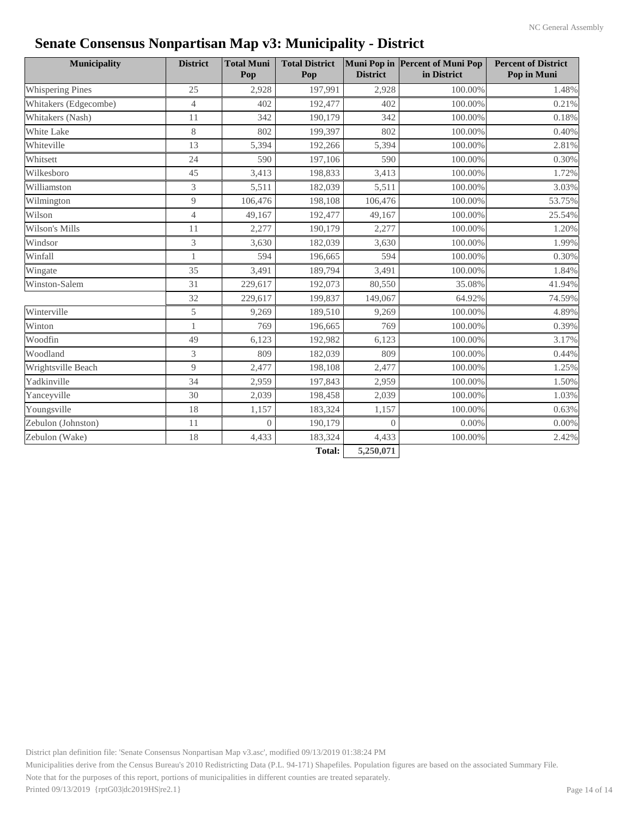| <b>Municipality</b>   | <b>District</b> | <b>Total Muni</b><br>Pop | <b>Total District</b><br>Pop | <b>District</b> | Muni Pop in Percent of Muni Pop<br>in District | <b>Percent of District</b><br>Pop in Muni |
|-----------------------|-----------------|--------------------------|------------------------------|-----------------|------------------------------------------------|-------------------------------------------|
| Whispering Pines      | 25              | 2,928                    | 197,991                      | 2,928           | 100.00%                                        | 1.48%                                     |
| Whitakers (Edgecombe) | $\overline{4}$  | 402                      | 192,477                      | 402             | 100.00%                                        | 0.21%                                     |
| Whitakers (Nash)      | 11              | 342                      | 190,179                      | 342             | 100.00%                                        | 0.18%                                     |
| White Lake            | 8               | 802                      | 199,397                      | 802             | 100.00%                                        | 0.40%                                     |
| Whiteville            | 13              | 5,394                    | 192,266                      | 5,394           | 100.00%                                        | 2.81%                                     |
| Whitsett              | 24              | 590                      | 197,106                      | 590             | 100.00%                                        | 0.30%                                     |
| Wilkesboro            | 45              | 3,413                    | 198,833                      | 3,413           | 100.00%                                        | 1.72%                                     |
| Williamston           | 3               | 5,511                    | 182,039                      | 5,511           | 100.00%                                        | 3.03%                                     |
| Wilmington            | 9               | 106,476                  | 198,108                      | 106,476         | 100.00%                                        | 53.75%                                    |
| Wilson                | $\overline{4}$  | 49,167                   | 192,477                      | 49,167          | 100.00%                                        | 25.54%                                    |
| Wilson's Mills        | 11              | 2,277                    | 190,179                      | 2,277           | 100.00%                                        | 1.20%                                     |
| Windsor               | 3               | 3,630                    | 182,039                      | 3,630           | 100.00%                                        | 1.99%                                     |
| Winfall               |                 | 594                      | 196,665                      | 594             | 100.00%                                        | 0.30%                                     |
| Wingate               | 35              | 3,491                    | 189,794                      | 3,491           | 100.00%                                        | 1.84%                                     |
| Winston-Salem         | 31              | 229,617                  | 192,073                      | 80,550          | 35.08%                                         | 41.94%                                    |
|                       | 32              | 229,617                  | 199,837                      | 149,067         | 64.92%                                         | 74.59%                                    |
| Winterville           | 5               | 9,269                    | 189,510                      | 9,269           | 100.00%                                        | 4.89%                                     |
| Winton                | 1               | 769                      | 196,665                      | 769             | 100.00%                                        | 0.39%                                     |
| Woodfin               | 49              | 6,123                    | 192,982                      | 6,123           | 100.00%                                        | 3.17%                                     |
| Woodland              | 3               | 809                      | 182,039                      | 809             | 100.00%                                        | 0.44%                                     |
| Wrightsville Beach    | 9               | 2,477                    | 198,108                      | 2,477           | 100.00%                                        | 1.25%                                     |
| Yadkinville           | 34              | 2,959                    | 197,843                      | 2,959           | 100.00%                                        | 1.50%                                     |
| Yanceyville           | 30              | 2,039                    | 198,458                      | 2,039           | 100.00%                                        | 1.03%                                     |
| Youngsville           | 18              | 1,157                    | 183,324                      | 1,157           | 100.00%                                        | 0.63%                                     |
| Zebulon (Johnston)    | 11              | $\Omega$                 | 190,179                      | $\Omega$        | $0.00\%$                                       | 0.00%                                     |
| Zebulon (Wake)        | 18              | 4,433                    | 183,324                      | 4,433           | 100.00%                                        | 2.42%                                     |
|                       |                 |                          | $Tofol$ .                    | 5.250.071       |                                                |                                           |

**Total: 5,250,071**

District plan definition file: 'Senate Consensus Nonpartisan Map v3.asc', modified 09/13/2019 01:38:24 PM

Municipalities derive from the Census Bureau's 2010 Redistricting Data (P.L. 94-171) Shapefiles. Population figures are based on the associated Summary File.

Note that for the purposes of this report, portions of municipalities in different counties are treated separately.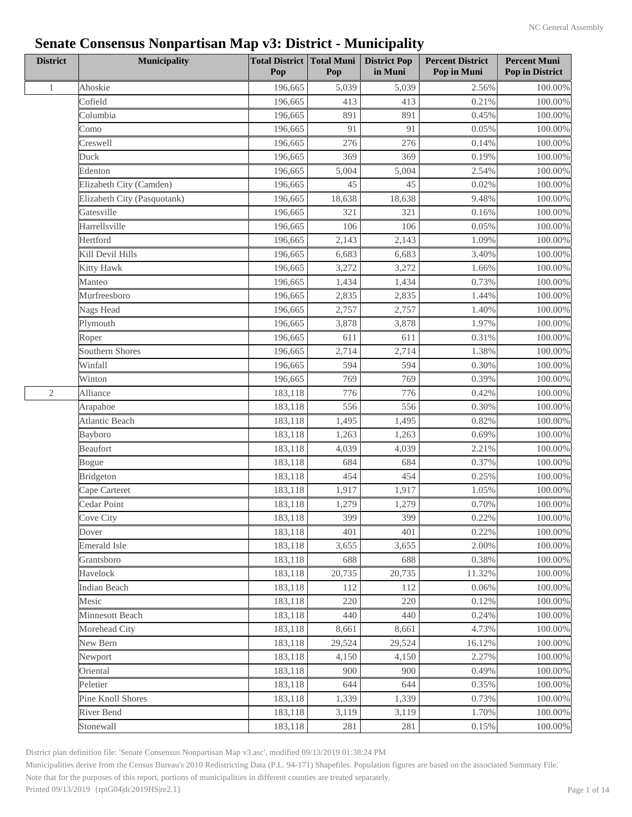| <b>District</b> | <b>Municipality</b>         | <b>Total District</b><br>Pop | Total Muni<br>Pop | <b>District Pop</b><br>in Muni | <b>Percent District</b><br>Pop in Muni | <b>Percent Muni</b><br>Pop in District |
|-----------------|-----------------------------|------------------------------|-------------------|--------------------------------|----------------------------------------|----------------------------------------|
| $\mathbf{1}$    | Ahoskie                     | 196,665                      | 5,039             | 5,039                          | 2.56%                                  | 100.00%                                |
|                 | Cofield                     | 196,665                      | 413               | 413                            | 0.21%                                  | 100.00%                                |
|                 | Columbia                    | 196,665                      | 891               | 891                            | 0.45%                                  | 100.00%                                |
|                 | Como                        | 196,665                      | 91                | 91                             | 0.05%                                  | 100.00%                                |
|                 | Creswell                    | 196,665                      | 276               | 276                            | 0.14%                                  | 100.00%                                |
|                 | Duck                        | 196,665                      | 369               | 369                            | 0.19%                                  | 100.00%                                |
|                 | Edenton                     | 196,665                      | 5,004             | 5,004                          | 2.54%                                  | 100.00%                                |
|                 | Elizabeth City (Camden)     | 196,665                      | 45                | 45                             | 0.02%                                  | 100.00%                                |
|                 | Elizabeth City (Pasquotank) | 196,665                      | 18,638            | 18,638                         | 9.48%                                  | 100.00%                                |
|                 | Gatesville                  | 196,665                      | 321               | 321                            | 0.16%                                  | 100.00%                                |
|                 | Harrellsville               | 196,665                      | 106               | 106                            | 0.05%                                  | 100.00%                                |
|                 | Hertford                    | 196,665                      | 2,143             | 2,143                          | 1.09%                                  | 100.00%                                |
|                 | Kill Devil Hills            | 196,665                      | 6,683             | 6,683                          | 3.40%                                  | 100.00%                                |
|                 | <b>Kitty Hawk</b>           | 196,665                      | 3,272             | 3,272                          | 1.66%                                  | 100.00%                                |
|                 | Manteo                      | 196,665                      | 1,434             | 1,434                          | 0.73%                                  | 100.00%                                |
|                 | Murfreesboro                | 196,665                      | 2,835             | 2,835                          | 1.44%                                  | 100.00%                                |
|                 | Nags Head                   | 196,665                      | 2,757             | 2,757                          | 1.40%                                  | $100.00\%$                             |
|                 | Plymouth                    | 196,665                      | 3,878             | 3,878                          | 1.97%                                  | 100.00%                                |
|                 | Roper                       | 196,665                      | 611               | 611                            | 0.31%                                  | 100.00%                                |
|                 | Southern Shores             | 196,665                      | 2,714             | 2,714                          | 1.38%                                  | $100.00\%$                             |
|                 | Winfall                     | 196,665                      | 594               | 594                            | 0.30%                                  | 100.00%                                |
|                 | Winton                      | 196,665                      | 769               | 769                            | 0.39%                                  | 100.00%                                |
| $\sqrt{2}$      | Alliance                    | 183,118                      | 776               | 776                            | 0.42%                                  | 100.00%                                |
|                 | Arapahoe                    | 183,118                      | 556               | 556                            | 0.30%                                  | $100.00\%$                             |
|                 | Atlantic Beach              | 183,118                      | 1,495             | 1,495                          | 0.82%                                  | 100.00%                                |
|                 | Bayboro                     | 183,118                      | 1,263             | 1,263                          | 0.69%                                  | 100.00%                                |
|                 | Beaufort                    | 183,118                      | 4,039             | 4,039                          | 2.21%                                  | 100.00%                                |
|                 | Bogue                       | 183,118                      | 684               | 684                            | 0.37%                                  | $100.00\%$                             |
|                 | <b>Bridgeton</b>            | 183,118                      | 454               | 454                            | 0.25%                                  | 100.00%                                |
|                 | Cape Carteret               | 183,118                      | 1,917             | 1,917                          | 1.05%                                  | 100.00%                                |
|                 | Cedar Point                 | 183,118                      | 1,279             | 1,279                          | 0.70%                                  | 100.00%                                |
|                 | Cove City                   | 183,118                      | 399               | 399                            | 0.22%                                  | $100.00\%$                             |
|                 | Dover                       | 183,118                      | 401               | 401                            | 0.22%                                  | 100.00%                                |
|                 | Emerald Isle                | 183,118                      | 3,655             | 3,655                          | 2.00%                                  | $100.00\%$                             |
|                 | Grantsboro                  | 183,118                      | 688               | 688                            | 0.38%                                  | 100.00%                                |
|                 | Havelock                    | 183,118                      | 20,735            | 20,735                         | 11.32%                                 | $100.00\%$                             |
|                 | <b>Indian Beach</b>         | 183,118                      | 112               | 112                            | 0.06%                                  | 100.00%                                |
|                 | Mesic                       | 183,118                      | 220               | 220                            | 0.12%                                  | 100.00%                                |
|                 | Minnesott Beach             | 183,118                      | 440               | 440                            | 0.24%                                  | 100.00%                                |
|                 | Morehead City               | 183,118                      | 8,661             | 8,661                          | 4.73%                                  | 100.00%                                |
|                 | New Bern                    | 183,118                      | 29,524            | 29,524                         | 16.12%                                 | 100.00%                                |
|                 | Newport                     | 183,118                      | 4,150             | 4,150                          | 2.27%                                  | 100.00%                                |
|                 | Oriental                    | 183,118                      | 900               | 900                            | 0.49%                                  | 100.00%                                |
|                 | Peletier                    | 183,118                      | 644               | 644                            | 0.35%                                  | $100.00\%$                             |
|                 | Pine Knoll Shores           | 183,118                      | 1,339             | 1,339                          | 0.73%                                  | 100.00%                                |
|                 | River Bend                  | 183,118                      | 3,119             | 3,119                          | 1.70%                                  | 100.00%                                |
|                 | Stonewall                   | 183,118                      | 281               | 281                            | 0.15%                                  | 100.00%                                |

District plan definition file: 'Senate Consensus Nonpartisan Map v3.asc', modified 09/13/2019 01:38:24 PM

Municipalities derive from the Census Bureau's 2010 Redistricting Data (P.L. 94-171) Shapefiles. Population figures are based on the associated Summary File.

Note that for the purposes of this report, portions of municipalities in different counties are treated separately.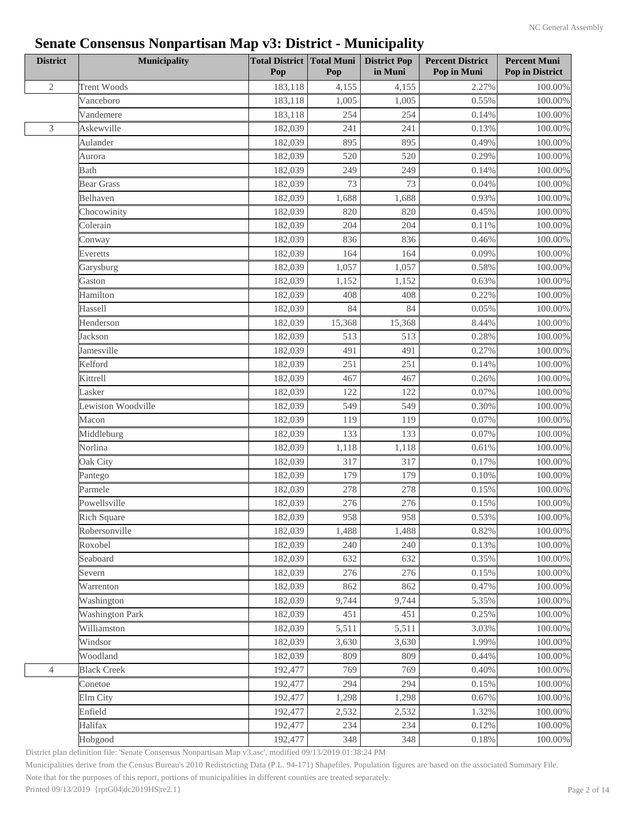| <b>District</b> | Municipality           | <b>Total District Total Muni</b><br>Pop | Pop    | <b>District Pop</b><br>in Muni | <b>Percent District</b><br>Pop in Muni | <b>Percent Muni</b><br>Pop in District |
|-----------------|------------------------|-----------------------------------------|--------|--------------------------------|----------------------------------------|----------------------------------------|
| $\mathbf{2}$    | <b>Trent Woods</b>     | 183,118                                 | 4,155  | 4,155                          | 2.27%                                  | 100.00%                                |
|                 | Vanceboro              | 183,118                                 | 1,005  | 1,005                          | 0.55%                                  | 100.00%                                |
|                 | Vandemere              | 183,118                                 | 254    | 254                            | 0.14%                                  | 100.00%                                |
| 3               | Askewville             | 182,039                                 | 241    | 241                            | 0.13%                                  | 100.00%                                |
|                 | Aulander               | 182,039                                 | 895    | 895                            | 0.49%                                  | 100.00%                                |
|                 | Aurora                 | 182,039                                 | 520    | 520                            | 0.29%                                  | 100.00%                                |
|                 | <b>Bath</b>            | 182,039                                 | 249    | 249                            | 0.14%                                  | $100.00\%$                             |
|                 | <b>Bear Grass</b>      | 182,039                                 | 73     | 73                             | 0.04%                                  | 100.00%                                |
|                 | Belhaven               | 182,039                                 | 1,688  | 1,688                          | 0.93%                                  | 100.00%                                |
|                 | Chocowinity            | 182,039                                 | 820    | 820                            | 0.45%                                  | 100.00%                                |
|                 | Colerain               | 182,039                                 | 204    | 204                            | 0.11%                                  | 100.00%                                |
|                 | Conway                 | 182,039                                 | 836    | 836                            | 0.46%                                  | 100.00%                                |
|                 | Everetts               | 182,039                                 | 164    | 164                            | 0.09%                                  | 100.00%                                |
|                 | Garysburg              | 182,039                                 | 1,057  | 1,057                          | 0.58%                                  | 100.00%                                |
|                 | Gaston                 | 182,039                                 | 1,152  | 1,152                          | 0.63%                                  | 100.00%                                |
|                 | Hamilton               | 182,039                                 | 408    | 408                            | 0.22%                                  | $100.00\%$                             |
|                 | Hassell                | 182,039                                 | 84     | 84                             | 0.05%                                  | 100.00%                                |
|                 | Henderson              | 182,039                                 | 15,368 | 15,368                         | 8.44%                                  | 100.00%                                |
|                 | Jackson                | 182,039                                 | 513    | 513                            | 0.28%                                  | 100.00%                                |
|                 | Jamesville             | 182,039                                 | 491    | 491                            | 0.27%                                  | 100.00%                                |
|                 | Kelford                | 182,039                                 | 251    | 251                            | 0.14%                                  | 100.00%                                |
|                 | Kittrell               | 182,039                                 | 467    | 467                            | 0.26%                                  | 100.00%                                |
|                 | Lasker                 | 182,039                                 | 122    | 122                            | 0.07%                                  | 100.00%                                |
|                 | Lewiston Woodville     | 182,039                                 | 549    | 549                            | 0.30%                                  | $100.00\%$                             |
|                 | Macon                  | 182,039                                 | 119    | 119                            | 0.07%                                  | 100.00%                                |
|                 | Middleburg             | 182,039                                 | 133    | 133                            | 0.07%                                  | 100.00%                                |
|                 | Norlina                | 182,039                                 | 1,118  | 1,118                          | 0.61%                                  | 100.00%                                |
|                 | Oak City               | 182,039                                 | 317    | 317                            | 0.17%                                  | $100.00\%$                             |
|                 | Pantego                | 182,039                                 | 179    | 179                            | 0.10%                                  | 100.00%                                |
|                 | Parmele                | 182,039                                 | 278    | 278                            | 0.15%                                  | 100.00%                                |
|                 | Powellsville           | 182,039                                 | 276    | 276                            | 0.15%                                  | 100.00%                                |
|                 | <b>Rich Square</b>     | 182,039                                 | 958    | 958                            | 0.53%                                  | $100.00\%$                             |
|                 | Robersonville          | 182,039                                 | 1,488  | 1,488                          | 0.82%                                  | 100.00%                                |
|                 |                        |                                         |        |                                | 0.13%                                  |                                        |
|                 | Roxobel                | 182,039<br>182,039                      | 240    | 240                            |                                        | 100.00%                                |
|                 | Seaboard<br>Severn     | 182,039                                 | 632    | 632                            | 0.35%                                  | $100.00\%$                             |
|                 |                        |                                         | 276    | 276                            | 0.15%                                  | $100.00\%$                             |
|                 | Warrenton              | 182,039                                 | 862    | 862                            | 0.47%                                  | 100.00%                                |
|                 | Washington             | 182,039                                 | 9,744  | 9,744                          | 5.35%                                  | 100.00%                                |
|                 | <b>Washington Park</b> | 182,039                                 | 451    | 451                            | 0.25%                                  | 100.00%                                |
|                 | Williamston            | 182,039                                 | 5,511  | 5,511                          | 3.03%                                  | 100.00%                                |
|                 | Windsor                | 182,039                                 | 3,630  | 3,630                          | 1.99%                                  | 100.00%                                |
|                 | Woodland               | 182,039                                 | 809    | 809                            | 0.44%                                  | 100.00%                                |
| $\overline{4}$  | <b>Black Creek</b>     | 192,477                                 | 769    | 769                            | 0.40%                                  | 100.00%                                |
|                 | Conetoe                | 192,477                                 | 294    | 294                            | 0.15%                                  | 100.00%                                |
|                 | Elm City               | 192,477                                 | 1,298  | 1,298                          | 0.67%                                  | 100.00%                                |
|                 | Enfield                | 192,477                                 | 2,532  | 2,532                          | 1.32%                                  | 100.00%                                |
|                 | Halifax                | 192,477                                 | 234    | 234                            | 0.12%                                  | 100.00%                                |
|                 | Hobgood                | 192,477                                 | 348    | 348                            | 0.18%                                  | 100.00%                                |

District plan definition file: 'Senate Consensus Nonpartisan Map v3.asc', modified 09/13/2019 01:38:24 PM

Municipalities derive from the Census Bureau's 2010 Redistricting Data (P.L. 94-171) Shapefiles. Population figures are based on the associated Summary File.

Note that for the purposes of this report, portions of municipalities in different counties are treated separately.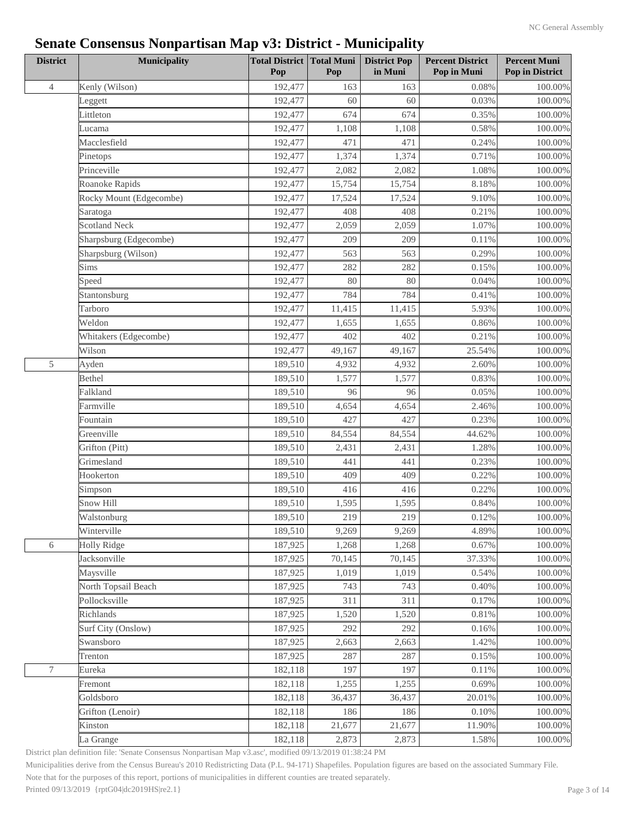| <b>District</b>  | <b>Municipality</b>     | <b>Total District Total Muni</b><br>Pop | Pop    | <b>District Pop</b><br>in Muni | <b>Percent District</b><br>Pop in Muni | <b>Percent Muni</b><br>Pop in District |
|------------------|-------------------------|-----------------------------------------|--------|--------------------------------|----------------------------------------|----------------------------------------|
| $\overline{4}$   | Kenly (Wilson)          | 192,477                                 | 163    | 163                            | 0.08%                                  | $100.00\%$                             |
|                  | Leggett                 | 192,477                                 | 60     | 60                             | 0.03%                                  | 100.00%                                |
|                  | Littleton               | 192,477                                 | 674    | 674                            | 0.35%                                  | 100.00%                                |
|                  | Lucama                  | 192,477                                 | 1,108  | 1,108                          | 0.58%                                  | 100.00%                                |
|                  | Macclesfield            | 192,477                                 | 471    | 471                            | 0.24%                                  | 100.00%                                |
|                  | Pinetops                | 192,477                                 | 1,374  | 1,374                          | 0.71%                                  | 100.00%                                |
|                  | Princeville             | 192,477                                 | 2,082  | 2,082                          | 1.08%                                  | $100.00\%$                             |
|                  | Roanoke Rapids          | 192,477                                 | 15,754 | 15,754                         | 8.18%                                  | $100.00\%$                             |
|                  | Rocky Mount (Edgecombe) | 192,477                                 | 17,524 | 17,524                         | 9.10%                                  | 100.00%                                |
|                  | Saratoga                | 192,477                                 | 408    | 408                            | 0.21%                                  | $100.00\%$                             |
|                  | <b>Scotland Neck</b>    | 192,477                                 | 2,059  | 2,059                          | 1.07%                                  | 100.00%                                |
|                  | Sharpsburg (Edgecombe)  | 192,477                                 | 209    | 209                            | 0.11%                                  | $100.00\%$                             |
|                  | Sharpsburg (Wilson)     | 192,477                                 | 563    | 563                            | 0.29%                                  | 100.00%                                |
|                  | Sims                    | 192,477                                 | 282    | 282                            | 0.15%                                  | $100.00\%$                             |
|                  | Speed                   | 192,477                                 | 80     | 80                             | 0.04%                                  | 100.00%                                |
|                  | Stantonsburg            | 192,477                                 | 784    | 784                            | 0.41%                                  | $100.00\%$                             |
|                  | Tarboro                 | 192,477                                 | 11,415 | 11,415                         | 5.93%                                  | 100.00%                                |
|                  | Weldon                  | 192,477                                 | 1,655  | 1,655                          | 0.86%                                  | 100.00%                                |
|                  | Whitakers (Edgecombe)   | 192,477                                 | 402    | 402                            | 0.21%                                  | 100.00%                                |
|                  | Wilson                  | 192,477                                 | 49,167 | 49,167                         | 25.54%                                 | 100.00%                                |
| 5                | Ayden                   | 189,510                                 | 4,932  | 4,932                          | 2.60%                                  | 100.00%                                |
|                  | Bethel                  | 189,510                                 | 1,577  | 1,577                          | 0.83%                                  | 100.00%                                |
|                  | Falkland                | 189,510                                 | 96     | 96                             | 0.05%                                  | $100.00\%$                             |
|                  | Farmville               | 189,510                                 | 4,654  | 4,654                          | 2.46%                                  | $100.00\%$                             |
|                  | Fountain                | 189,510                                 | 427    | 427                            | 0.23%                                  | 100.00%                                |
|                  | Greenville              | 189,510                                 | 84,554 | 84,554                         | 44.62%                                 | 100.00%                                |
|                  | Grifton (Pitt)          | 189,510                                 | 2,431  | 2,431                          | 1.28%                                  | 100.00%                                |
|                  | Grimesland              | 189,510                                 | 441    | 441                            | 0.23%                                  | 100.00%                                |
|                  | Hookerton               | 189,510                                 | 409    | 409                            | 0.22%                                  | 100.00%                                |
|                  | Simpson                 | 189,510                                 | 416    | 416                            | 0.22%                                  | 100.00%                                |
|                  | Snow Hill               | 189,510                                 | 1,595  | 1,595                          | 0.84%                                  | 100.00%                                |
|                  | Walstonburg             | 189,510                                 | 219    | 219                            | 0.12%                                  | $100.00\%$                             |
|                  | Winterville             | 189,510                                 | 9,269  | 9,269                          | 4.89%                                  | 100.00%                                |
| 6                | <b>Holly Ridge</b>      | 187,925                                 | 1,268  | 1,268                          | 0.67%                                  | 100.00%                                |
|                  | Jacksonville            | 187,925                                 | 70,145 | 70,145                         | 37.33%                                 | 100.00%                                |
|                  | Maysville               | 187,925                                 | 1,019  | 1,019                          | 0.54%                                  | $100.00\%$                             |
|                  | North Topsail Beach     | 187,925                                 | 743    | 743                            | 0.40%                                  | $100.00\%$                             |
|                  | Pollocksville           | 187,925                                 | 311    | 311                            | 0.17%                                  | 100.00%                                |
|                  | Richlands               | 187,925                                 | 1,520  | 1,520                          | 0.81%                                  | $100.00\%$                             |
|                  | Surf City (Onslow)      | 187,925                                 | 292    | 292                            | 0.16%                                  | 100.00%                                |
|                  | Swansboro               | 187,925                                 | 2,663  | 2,663                          | 1.42%                                  | 100.00%                                |
|                  | Trenton                 | 187,925                                 | 287    | 287                            | 0.15%                                  | 100.00%                                |
| $\boldsymbol{7}$ | Eureka                  | 182,118                                 | 197    | 197                            | 0.11%                                  | 100.00%                                |
|                  | Fremont                 | 182,118                                 | 1,255  | 1,255                          | 0.69%                                  | $100.00\%$                             |
|                  | Goldsboro               | 182,118                                 | 36,437 | 36,437                         | 20.01%                                 | $100.00\%$                             |
|                  | Grifton (Lenoir)        | 182,118                                 | 186    | 186                            | 0.10%                                  | 100.00%                                |
|                  | Kinston                 | 182,118                                 | 21,677 | 21,677                         | 11.90%                                 | 100.00%                                |
|                  | La Grange               | 182,118                                 | 2,873  | 2,873                          | 1.58%                                  | 100.00%                                |
|                  |                         |                                         |        |                                |                                        |                                        |

District plan definition file: 'Senate Consensus Nonpartisan Map v3.asc', modified 09/13/2019 01:38:24 PM

Municipalities derive from the Census Bureau's 2010 Redistricting Data (P.L. 94-171) Shapefiles. Population figures are based on the associated Summary File.

Note that for the purposes of this report, portions of municipalities in different counties are treated separately.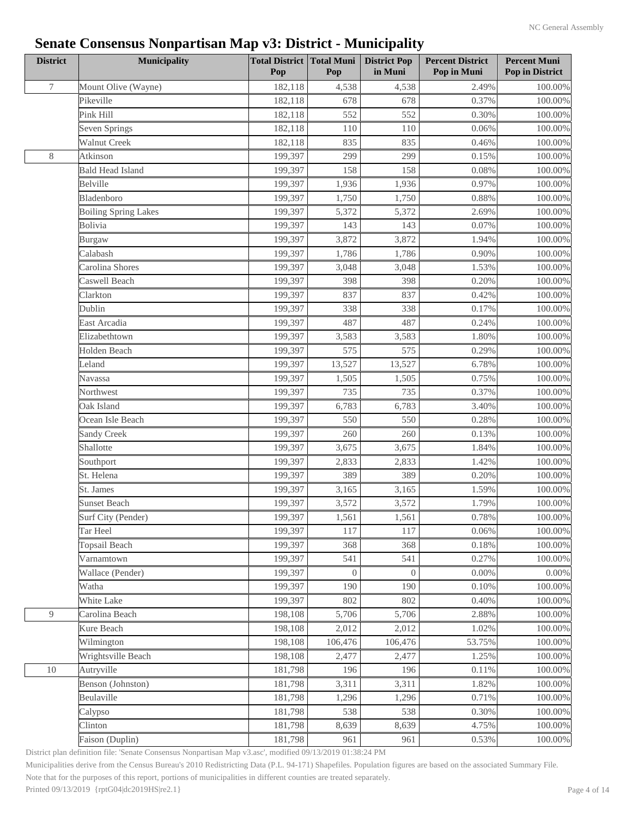| 7<br>Mount Olive (Wayne)<br>182,118<br>4,538<br>2.49%<br>$100.00\%$<br>4,538<br>Pikeville<br>678<br>678<br>0.37%<br>182,118<br>100.00%<br>Pink Hill<br>182,118<br>552<br>552<br>0.30%<br>100.00%<br>182,118<br>110<br>110<br>0.06%<br>100.00%<br>Seven Springs<br>835<br><b>Walnut Creek</b><br>182,118<br>835<br>0.46%<br>100.00%<br>$8\,$<br>Atkinson<br>199,397<br>299<br>299<br>0.15%<br>100.00%<br><b>Bald Head Island</b><br>199,397<br>158<br>158<br>0.08%<br>$100.00\%$<br>Belville<br>199,397<br>0.97%<br>100.00%<br>1,936<br>1,936<br>Bladenboro<br>199,397<br>1,750<br>1,750<br>0.88%<br>100.00%<br>199,397<br>5,372<br>5,372<br>2.69%<br>100.00%<br><b>Boiling Spring Lakes</b><br>Bolivia<br>199,397<br>143<br>143<br>0.07%<br>100.00%<br>199,397<br>3,872<br>3,872<br>1.94%<br>100.00%<br>Burgaw<br>Calabash<br>199,397<br>1,786<br>1,786<br>0.90%<br>Carolina Shores<br>199,397<br>3,048<br>3,048<br>1.53%<br>$100.00\%$<br>Caswell Beach<br>199,397<br>398<br>398<br>0.20%<br>100.00%<br>Clarkton<br>199,397<br>837<br>837<br>0.42%<br>338<br>338<br>Dublin<br>199,397<br>0.17%<br>100.00%<br>East Arcadia<br>199,397<br>487<br>487<br>0.24%<br>100.00%<br>Elizabethtown<br>199,397<br>3,583<br>3,583<br>100.00%<br>1.80%<br>Holden Beach<br>199,397<br>575<br>575<br>0.29%<br>100.00%<br>Leland<br>199,397<br>13,527<br>13,527<br>100.00%<br>6.78%<br>199,397<br>1,505<br>1,505<br>0.75%<br>Navassa<br>199,397<br>735<br>735<br>0.37%<br>Northwest<br>Oak Island<br>199,397<br>6,783<br>6,783<br>3.40%<br>$100.00\%$<br>199,397<br>550<br>550<br>0.28%<br>100.00%<br>Ocean Isle Beach<br>Sandy Creek<br>199,397<br>260<br>260<br>0.13%<br>100.00%<br>Shallotte<br>199,397<br>3,675<br>3,675<br>1.84%<br>100.00%<br>199,397<br>2,833<br>1.42%<br>$100.00\%$<br>Southport<br>2,833<br>389<br>St. Helena<br>199,397<br>389<br>0.20%<br>$100.00\%$<br>St. James<br>199,397<br>3,165<br>3,165<br>1.59%<br>100.00%<br><b>Sunset Beach</b><br>199,397<br>3,572<br>3,572<br>1.79%<br>100.00%<br>199,397<br>1,561<br>1,561<br>0.78%<br>$100.00\%$<br>Surf City (Pender)<br>199,397<br>117<br>117<br>100.00%<br>Tar Heel<br>0.06%<br>Topsail Beach<br>199,397<br>368<br>368<br>0.18%<br>100.00%<br>199,397<br>0.27%<br>Varnamtown<br>541<br>541<br>100.00%<br>199,397<br>Wallace (Pender)<br>$\overline{0}$<br>$\overline{0}$<br>0.00%<br>$0.00\%$<br>199,397<br>190<br>190<br>Watha<br>0.10%<br>100.00%<br>White Lake<br>199,397<br>802<br>802<br>0.40%<br>100.00%<br>9<br>2.88%<br>Carolina Beach<br>198,108<br>5,706<br>5,706<br>100.00%<br>Kure Beach<br>198,108<br>2,012<br>2,012<br>1.02%<br>100.00%<br>198,108<br>53.75%<br>100.00%<br>Wilmington<br>106,476<br>106,476<br>Wrightsville Beach<br>198,108<br>2,477<br>2,477<br>1.25%<br>100.00%<br>10<br>Autryville<br>181,798<br>196<br>196<br>0.11%<br>100.00%<br>Benson (Johnston)<br>181,798<br>3,311<br>1.82%<br>3,311<br>100.00%<br>Beulaville<br>181,798<br>1,296<br>1,296<br>0.71%<br>100.00%<br>181,798<br>538<br>538<br>0.30%<br>100.00%<br>Calypso<br>181,798<br>8,639<br>4.75%<br>Clinton<br>8,639<br>100.00%<br>181,798<br>961<br>Faison (Duplin)<br>961<br>0.53% | <b>District</b> | <b>Municipality</b> | <b>Total District Total Muni</b><br>Pop | Pop | <b>District Pop</b><br>in Muni | <b>Percent District</b><br>Pop in Muni | <b>Percent Muni</b><br>Pop in District |
|---------------------------------------------------------------------------------------------------------------------------------------------------------------------------------------------------------------------------------------------------------------------------------------------------------------------------------------------------------------------------------------------------------------------------------------------------------------------------------------------------------------------------------------------------------------------------------------------------------------------------------------------------------------------------------------------------------------------------------------------------------------------------------------------------------------------------------------------------------------------------------------------------------------------------------------------------------------------------------------------------------------------------------------------------------------------------------------------------------------------------------------------------------------------------------------------------------------------------------------------------------------------------------------------------------------------------------------------------------------------------------------------------------------------------------------------------------------------------------------------------------------------------------------------------------------------------------------------------------------------------------------------------------------------------------------------------------------------------------------------------------------------------------------------------------------------------------------------------------------------------------------------------------------------------------------------------------------------------------------------------------------------------------------------------------------------------------------------------------------------------------------------------------------------------------------------------------------------------------------------------------------------------------------------------------------------------------------------------------------------------------------------------------------------------------------------------------------------------------------------------------------------------------------------------------------------------------------------------------------------------------------------------------------------------------------------------------------------------------------------------------------------------------------------------------------------------------------------------------------------------------------------------------------------------------------------------------------------------------------------------------------------------------------------------------------------------------------------------------------------------------------------|-----------------|---------------------|-----------------------------------------|-----|--------------------------------|----------------------------------------|----------------------------------------|
|                                                                                                                                                                                                                                                                                                                                                                                                                                                                                                                                                                                                                                                                                                                                                                                                                                                                                                                                                                                                                                                                                                                                                                                                                                                                                                                                                                                                                                                                                                                                                                                                                                                                                                                                                                                                                                                                                                                                                                                                                                                                                                                                                                                                                                                                                                                                                                                                                                                                                                                                                                                                                                                                                                                                                                                                                                                                                                                                                                                                                                                                                                                                             |                 |                     |                                         |     |                                |                                        |                                        |
|                                                                                                                                                                                                                                                                                                                                                                                                                                                                                                                                                                                                                                                                                                                                                                                                                                                                                                                                                                                                                                                                                                                                                                                                                                                                                                                                                                                                                                                                                                                                                                                                                                                                                                                                                                                                                                                                                                                                                                                                                                                                                                                                                                                                                                                                                                                                                                                                                                                                                                                                                                                                                                                                                                                                                                                                                                                                                                                                                                                                                                                                                                                                             |                 |                     |                                         |     |                                |                                        |                                        |
| 100.00%<br>$100.00\%$<br>$100.00\%$<br>$100.00\%$                                                                                                                                                                                                                                                                                                                                                                                                                                                                                                                                                                                                                                                                                                                                                                                                                                                                                                                                                                                                                                                                                                                                                                                                                                                                                                                                                                                                                                                                                                                                                                                                                                                                                                                                                                                                                                                                                                                                                                                                                                                                                                                                                                                                                                                                                                                                                                                                                                                                                                                                                                                                                                                                                                                                                                                                                                                                                                                                                                                                                                                                                           |                 |                     |                                         |     |                                |                                        |                                        |
|                                                                                                                                                                                                                                                                                                                                                                                                                                                                                                                                                                                                                                                                                                                                                                                                                                                                                                                                                                                                                                                                                                                                                                                                                                                                                                                                                                                                                                                                                                                                                                                                                                                                                                                                                                                                                                                                                                                                                                                                                                                                                                                                                                                                                                                                                                                                                                                                                                                                                                                                                                                                                                                                                                                                                                                                                                                                                                                                                                                                                                                                                                                                             |                 |                     |                                         |     |                                |                                        |                                        |
|                                                                                                                                                                                                                                                                                                                                                                                                                                                                                                                                                                                                                                                                                                                                                                                                                                                                                                                                                                                                                                                                                                                                                                                                                                                                                                                                                                                                                                                                                                                                                                                                                                                                                                                                                                                                                                                                                                                                                                                                                                                                                                                                                                                                                                                                                                                                                                                                                                                                                                                                                                                                                                                                                                                                                                                                                                                                                                                                                                                                                                                                                                                                             |                 |                     |                                         |     |                                |                                        |                                        |
|                                                                                                                                                                                                                                                                                                                                                                                                                                                                                                                                                                                                                                                                                                                                                                                                                                                                                                                                                                                                                                                                                                                                                                                                                                                                                                                                                                                                                                                                                                                                                                                                                                                                                                                                                                                                                                                                                                                                                                                                                                                                                                                                                                                                                                                                                                                                                                                                                                                                                                                                                                                                                                                                                                                                                                                                                                                                                                                                                                                                                                                                                                                                             |                 |                     |                                         |     |                                |                                        |                                        |
|                                                                                                                                                                                                                                                                                                                                                                                                                                                                                                                                                                                                                                                                                                                                                                                                                                                                                                                                                                                                                                                                                                                                                                                                                                                                                                                                                                                                                                                                                                                                                                                                                                                                                                                                                                                                                                                                                                                                                                                                                                                                                                                                                                                                                                                                                                                                                                                                                                                                                                                                                                                                                                                                                                                                                                                                                                                                                                                                                                                                                                                                                                                                             |                 |                     |                                         |     |                                |                                        |                                        |
|                                                                                                                                                                                                                                                                                                                                                                                                                                                                                                                                                                                                                                                                                                                                                                                                                                                                                                                                                                                                                                                                                                                                                                                                                                                                                                                                                                                                                                                                                                                                                                                                                                                                                                                                                                                                                                                                                                                                                                                                                                                                                                                                                                                                                                                                                                                                                                                                                                                                                                                                                                                                                                                                                                                                                                                                                                                                                                                                                                                                                                                                                                                                             |                 |                     |                                         |     |                                |                                        |                                        |
|                                                                                                                                                                                                                                                                                                                                                                                                                                                                                                                                                                                                                                                                                                                                                                                                                                                                                                                                                                                                                                                                                                                                                                                                                                                                                                                                                                                                                                                                                                                                                                                                                                                                                                                                                                                                                                                                                                                                                                                                                                                                                                                                                                                                                                                                                                                                                                                                                                                                                                                                                                                                                                                                                                                                                                                                                                                                                                                                                                                                                                                                                                                                             |                 |                     |                                         |     |                                |                                        |                                        |
|                                                                                                                                                                                                                                                                                                                                                                                                                                                                                                                                                                                                                                                                                                                                                                                                                                                                                                                                                                                                                                                                                                                                                                                                                                                                                                                                                                                                                                                                                                                                                                                                                                                                                                                                                                                                                                                                                                                                                                                                                                                                                                                                                                                                                                                                                                                                                                                                                                                                                                                                                                                                                                                                                                                                                                                                                                                                                                                                                                                                                                                                                                                                             |                 |                     |                                         |     |                                |                                        |                                        |
|                                                                                                                                                                                                                                                                                                                                                                                                                                                                                                                                                                                                                                                                                                                                                                                                                                                                                                                                                                                                                                                                                                                                                                                                                                                                                                                                                                                                                                                                                                                                                                                                                                                                                                                                                                                                                                                                                                                                                                                                                                                                                                                                                                                                                                                                                                                                                                                                                                                                                                                                                                                                                                                                                                                                                                                                                                                                                                                                                                                                                                                                                                                                             |                 |                     |                                         |     |                                |                                        |                                        |
|                                                                                                                                                                                                                                                                                                                                                                                                                                                                                                                                                                                                                                                                                                                                                                                                                                                                                                                                                                                                                                                                                                                                                                                                                                                                                                                                                                                                                                                                                                                                                                                                                                                                                                                                                                                                                                                                                                                                                                                                                                                                                                                                                                                                                                                                                                                                                                                                                                                                                                                                                                                                                                                                                                                                                                                                                                                                                                                                                                                                                                                                                                                                             |                 |                     |                                         |     |                                |                                        |                                        |
|                                                                                                                                                                                                                                                                                                                                                                                                                                                                                                                                                                                                                                                                                                                                                                                                                                                                                                                                                                                                                                                                                                                                                                                                                                                                                                                                                                                                                                                                                                                                                                                                                                                                                                                                                                                                                                                                                                                                                                                                                                                                                                                                                                                                                                                                                                                                                                                                                                                                                                                                                                                                                                                                                                                                                                                                                                                                                                                                                                                                                                                                                                                                             |                 |                     |                                         |     |                                |                                        |                                        |
|                                                                                                                                                                                                                                                                                                                                                                                                                                                                                                                                                                                                                                                                                                                                                                                                                                                                                                                                                                                                                                                                                                                                                                                                                                                                                                                                                                                                                                                                                                                                                                                                                                                                                                                                                                                                                                                                                                                                                                                                                                                                                                                                                                                                                                                                                                                                                                                                                                                                                                                                                                                                                                                                                                                                                                                                                                                                                                                                                                                                                                                                                                                                             |                 |                     |                                         |     |                                |                                        |                                        |
|                                                                                                                                                                                                                                                                                                                                                                                                                                                                                                                                                                                                                                                                                                                                                                                                                                                                                                                                                                                                                                                                                                                                                                                                                                                                                                                                                                                                                                                                                                                                                                                                                                                                                                                                                                                                                                                                                                                                                                                                                                                                                                                                                                                                                                                                                                                                                                                                                                                                                                                                                                                                                                                                                                                                                                                                                                                                                                                                                                                                                                                                                                                                             |                 |                     |                                         |     |                                |                                        |                                        |
|                                                                                                                                                                                                                                                                                                                                                                                                                                                                                                                                                                                                                                                                                                                                                                                                                                                                                                                                                                                                                                                                                                                                                                                                                                                                                                                                                                                                                                                                                                                                                                                                                                                                                                                                                                                                                                                                                                                                                                                                                                                                                                                                                                                                                                                                                                                                                                                                                                                                                                                                                                                                                                                                                                                                                                                                                                                                                                                                                                                                                                                                                                                                             |                 |                     |                                         |     |                                |                                        |                                        |
|                                                                                                                                                                                                                                                                                                                                                                                                                                                                                                                                                                                                                                                                                                                                                                                                                                                                                                                                                                                                                                                                                                                                                                                                                                                                                                                                                                                                                                                                                                                                                                                                                                                                                                                                                                                                                                                                                                                                                                                                                                                                                                                                                                                                                                                                                                                                                                                                                                                                                                                                                                                                                                                                                                                                                                                                                                                                                                                                                                                                                                                                                                                                             |                 |                     |                                         |     |                                |                                        |                                        |
|                                                                                                                                                                                                                                                                                                                                                                                                                                                                                                                                                                                                                                                                                                                                                                                                                                                                                                                                                                                                                                                                                                                                                                                                                                                                                                                                                                                                                                                                                                                                                                                                                                                                                                                                                                                                                                                                                                                                                                                                                                                                                                                                                                                                                                                                                                                                                                                                                                                                                                                                                                                                                                                                                                                                                                                                                                                                                                                                                                                                                                                                                                                                             |                 |                     |                                         |     |                                |                                        |                                        |
|                                                                                                                                                                                                                                                                                                                                                                                                                                                                                                                                                                                                                                                                                                                                                                                                                                                                                                                                                                                                                                                                                                                                                                                                                                                                                                                                                                                                                                                                                                                                                                                                                                                                                                                                                                                                                                                                                                                                                                                                                                                                                                                                                                                                                                                                                                                                                                                                                                                                                                                                                                                                                                                                                                                                                                                                                                                                                                                                                                                                                                                                                                                                             |                 |                     |                                         |     |                                |                                        |                                        |
|                                                                                                                                                                                                                                                                                                                                                                                                                                                                                                                                                                                                                                                                                                                                                                                                                                                                                                                                                                                                                                                                                                                                                                                                                                                                                                                                                                                                                                                                                                                                                                                                                                                                                                                                                                                                                                                                                                                                                                                                                                                                                                                                                                                                                                                                                                                                                                                                                                                                                                                                                                                                                                                                                                                                                                                                                                                                                                                                                                                                                                                                                                                                             |                 |                     |                                         |     |                                |                                        |                                        |
|                                                                                                                                                                                                                                                                                                                                                                                                                                                                                                                                                                                                                                                                                                                                                                                                                                                                                                                                                                                                                                                                                                                                                                                                                                                                                                                                                                                                                                                                                                                                                                                                                                                                                                                                                                                                                                                                                                                                                                                                                                                                                                                                                                                                                                                                                                                                                                                                                                                                                                                                                                                                                                                                                                                                                                                                                                                                                                                                                                                                                                                                                                                                             |                 |                     |                                         |     |                                |                                        |                                        |
|                                                                                                                                                                                                                                                                                                                                                                                                                                                                                                                                                                                                                                                                                                                                                                                                                                                                                                                                                                                                                                                                                                                                                                                                                                                                                                                                                                                                                                                                                                                                                                                                                                                                                                                                                                                                                                                                                                                                                                                                                                                                                                                                                                                                                                                                                                                                                                                                                                                                                                                                                                                                                                                                                                                                                                                                                                                                                                                                                                                                                                                                                                                                             |                 |                     |                                         |     |                                |                                        |                                        |
|                                                                                                                                                                                                                                                                                                                                                                                                                                                                                                                                                                                                                                                                                                                                                                                                                                                                                                                                                                                                                                                                                                                                                                                                                                                                                                                                                                                                                                                                                                                                                                                                                                                                                                                                                                                                                                                                                                                                                                                                                                                                                                                                                                                                                                                                                                                                                                                                                                                                                                                                                                                                                                                                                                                                                                                                                                                                                                                                                                                                                                                                                                                                             |                 |                     |                                         |     |                                |                                        |                                        |
| $100.00\%$                                                                                                                                                                                                                                                                                                                                                                                                                                                                                                                                                                                                                                                                                                                                                                                                                                                                                                                                                                                                                                                                                                                                                                                                                                                                                                                                                                                                                                                                                                                                                                                                                                                                                                                                                                                                                                                                                                                                                                                                                                                                                                                                                                                                                                                                                                                                                                                                                                                                                                                                                                                                                                                                                                                                                                                                                                                                                                                                                                                                                                                                                                                                  |                 |                     |                                         |     |                                |                                        |                                        |
|                                                                                                                                                                                                                                                                                                                                                                                                                                                                                                                                                                                                                                                                                                                                                                                                                                                                                                                                                                                                                                                                                                                                                                                                                                                                                                                                                                                                                                                                                                                                                                                                                                                                                                                                                                                                                                                                                                                                                                                                                                                                                                                                                                                                                                                                                                                                                                                                                                                                                                                                                                                                                                                                                                                                                                                                                                                                                                                                                                                                                                                                                                                                             |                 |                     |                                         |     |                                |                                        |                                        |
|                                                                                                                                                                                                                                                                                                                                                                                                                                                                                                                                                                                                                                                                                                                                                                                                                                                                                                                                                                                                                                                                                                                                                                                                                                                                                                                                                                                                                                                                                                                                                                                                                                                                                                                                                                                                                                                                                                                                                                                                                                                                                                                                                                                                                                                                                                                                                                                                                                                                                                                                                                                                                                                                                                                                                                                                                                                                                                                                                                                                                                                                                                                                             |                 |                     |                                         |     |                                |                                        |                                        |
|                                                                                                                                                                                                                                                                                                                                                                                                                                                                                                                                                                                                                                                                                                                                                                                                                                                                                                                                                                                                                                                                                                                                                                                                                                                                                                                                                                                                                                                                                                                                                                                                                                                                                                                                                                                                                                                                                                                                                                                                                                                                                                                                                                                                                                                                                                                                                                                                                                                                                                                                                                                                                                                                                                                                                                                                                                                                                                                                                                                                                                                                                                                                             |                 |                     |                                         |     |                                |                                        |                                        |
|                                                                                                                                                                                                                                                                                                                                                                                                                                                                                                                                                                                                                                                                                                                                                                                                                                                                                                                                                                                                                                                                                                                                                                                                                                                                                                                                                                                                                                                                                                                                                                                                                                                                                                                                                                                                                                                                                                                                                                                                                                                                                                                                                                                                                                                                                                                                                                                                                                                                                                                                                                                                                                                                                                                                                                                                                                                                                                                                                                                                                                                                                                                                             |                 |                     |                                         |     |                                |                                        |                                        |
|                                                                                                                                                                                                                                                                                                                                                                                                                                                                                                                                                                                                                                                                                                                                                                                                                                                                                                                                                                                                                                                                                                                                                                                                                                                                                                                                                                                                                                                                                                                                                                                                                                                                                                                                                                                                                                                                                                                                                                                                                                                                                                                                                                                                                                                                                                                                                                                                                                                                                                                                                                                                                                                                                                                                                                                                                                                                                                                                                                                                                                                                                                                                             |                 |                     |                                         |     |                                |                                        |                                        |
|                                                                                                                                                                                                                                                                                                                                                                                                                                                                                                                                                                                                                                                                                                                                                                                                                                                                                                                                                                                                                                                                                                                                                                                                                                                                                                                                                                                                                                                                                                                                                                                                                                                                                                                                                                                                                                                                                                                                                                                                                                                                                                                                                                                                                                                                                                                                                                                                                                                                                                                                                                                                                                                                                                                                                                                                                                                                                                                                                                                                                                                                                                                                             |                 |                     |                                         |     |                                |                                        |                                        |
|                                                                                                                                                                                                                                                                                                                                                                                                                                                                                                                                                                                                                                                                                                                                                                                                                                                                                                                                                                                                                                                                                                                                                                                                                                                                                                                                                                                                                                                                                                                                                                                                                                                                                                                                                                                                                                                                                                                                                                                                                                                                                                                                                                                                                                                                                                                                                                                                                                                                                                                                                                                                                                                                                                                                                                                                                                                                                                                                                                                                                                                                                                                                             |                 |                     |                                         |     |                                |                                        |                                        |
|                                                                                                                                                                                                                                                                                                                                                                                                                                                                                                                                                                                                                                                                                                                                                                                                                                                                                                                                                                                                                                                                                                                                                                                                                                                                                                                                                                                                                                                                                                                                                                                                                                                                                                                                                                                                                                                                                                                                                                                                                                                                                                                                                                                                                                                                                                                                                                                                                                                                                                                                                                                                                                                                                                                                                                                                                                                                                                                                                                                                                                                                                                                                             |                 |                     |                                         |     |                                |                                        |                                        |
|                                                                                                                                                                                                                                                                                                                                                                                                                                                                                                                                                                                                                                                                                                                                                                                                                                                                                                                                                                                                                                                                                                                                                                                                                                                                                                                                                                                                                                                                                                                                                                                                                                                                                                                                                                                                                                                                                                                                                                                                                                                                                                                                                                                                                                                                                                                                                                                                                                                                                                                                                                                                                                                                                                                                                                                                                                                                                                                                                                                                                                                                                                                                             |                 |                     |                                         |     |                                |                                        |                                        |
|                                                                                                                                                                                                                                                                                                                                                                                                                                                                                                                                                                                                                                                                                                                                                                                                                                                                                                                                                                                                                                                                                                                                                                                                                                                                                                                                                                                                                                                                                                                                                                                                                                                                                                                                                                                                                                                                                                                                                                                                                                                                                                                                                                                                                                                                                                                                                                                                                                                                                                                                                                                                                                                                                                                                                                                                                                                                                                                                                                                                                                                                                                                                             |                 |                     |                                         |     |                                |                                        |                                        |
|                                                                                                                                                                                                                                                                                                                                                                                                                                                                                                                                                                                                                                                                                                                                                                                                                                                                                                                                                                                                                                                                                                                                                                                                                                                                                                                                                                                                                                                                                                                                                                                                                                                                                                                                                                                                                                                                                                                                                                                                                                                                                                                                                                                                                                                                                                                                                                                                                                                                                                                                                                                                                                                                                                                                                                                                                                                                                                                                                                                                                                                                                                                                             |                 |                     |                                         |     |                                |                                        |                                        |
|                                                                                                                                                                                                                                                                                                                                                                                                                                                                                                                                                                                                                                                                                                                                                                                                                                                                                                                                                                                                                                                                                                                                                                                                                                                                                                                                                                                                                                                                                                                                                                                                                                                                                                                                                                                                                                                                                                                                                                                                                                                                                                                                                                                                                                                                                                                                                                                                                                                                                                                                                                                                                                                                                                                                                                                                                                                                                                                                                                                                                                                                                                                                             |                 |                     |                                         |     |                                |                                        |                                        |
|                                                                                                                                                                                                                                                                                                                                                                                                                                                                                                                                                                                                                                                                                                                                                                                                                                                                                                                                                                                                                                                                                                                                                                                                                                                                                                                                                                                                                                                                                                                                                                                                                                                                                                                                                                                                                                                                                                                                                                                                                                                                                                                                                                                                                                                                                                                                                                                                                                                                                                                                                                                                                                                                                                                                                                                                                                                                                                                                                                                                                                                                                                                                             |                 |                     |                                         |     |                                |                                        |                                        |
|                                                                                                                                                                                                                                                                                                                                                                                                                                                                                                                                                                                                                                                                                                                                                                                                                                                                                                                                                                                                                                                                                                                                                                                                                                                                                                                                                                                                                                                                                                                                                                                                                                                                                                                                                                                                                                                                                                                                                                                                                                                                                                                                                                                                                                                                                                                                                                                                                                                                                                                                                                                                                                                                                                                                                                                                                                                                                                                                                                                                                                                                                                                                             |                 |                     |                                         |     |                                |                                        |                                        |
|                                                                                                                                                                                                                                                                                                                                                                                                                                                                                                                                                                                                                                                                                                                                                                                                                                                                                                                                                                                                                                                                                                                                                                                                                                                                                                                                                                                                                                                                                                                                                                                                                                                                                                                                                                                                                                                                                                                                                                                                                                                                                                                                                                                                                                                                                                                                                                                                                                                                                                                                                                                                                                                                                                                                                                                                                                                                                                                                                                                                                                                                                                                                             |                 |                     |                                         |     |                                |                                        |                                        |
|                                                                                                                                                                                                                                                                                                                                                                                                                                                                                                                                                                                                                                                                                                                                                                                                                                                                                                                                                                                                                                                                                                                                                                                                                                                                                                                                                                                                                                                                                                                                                                                                                                                                                                                                                                                                                                                                                                                                                                                                                                                                                                                                                                                                                                                                                                                                                                                                                                                                                                                                                                                                                                                                                                                                                                                                                                                                                                                                                                                                                                                                                                                                             |                 |                     |                                         |     |                                |                                        |                                        |
|                                                                                                                                                                                                                                                                                                                                                                                                                                                                                                                                                                                                                                                                                                                                                                                                                                                                                                                                                                                                                                                                                                                                                                                                                                                                                                                                                                                                                                                                                                                                                                                                                                                                                                                                                                                                                                                                                                                                                                                                                                                                                                                                                                                                                                                                                                                                                                                                                                                                                                                                                                                                                                                                                                                                                                                                                                                                                                                                                                                                                                                                                                                                             |                 |                     |                                         |     |                                |                                        |                                        |
|                                                                                                                                                                                                                                                                                                                                                                                                                                                                                                                                                                                                                                                                                                                                                                                                                                                                                                                                                                                                                                                                                                                                                                                                                                                                                                                                                                                                                                                                                                                                                                                                                                                                                                                                                                                                                                                                                                                                                                                                                                                                                                                                                                                                                                                                                                                                                                                                                                                                                                                                                                                                                                                                                                                                                                                                                                                                                                                                                                                                                                                                                                                                             |                 |                     |                                         |     |                                |                                        |                                        |
|                                                                                                                                                                                                                                                                                                                                                                                                                                                                                                                                                                                                                                                                                                                                                                                                                                                                                                                                                                                                                                                                                                                                                                                                                                                                                                                                                                                                                                                                                                                                                                                                                                                                                                                                                                                                                                                                                                                                                                                                                                                                                                                                                                                                                                                                                                                                                                                                                                                                                                                                                                                                                                                                                                                                                                                                                                                                                                                                                                                                                                                                                                                                             |                 |                     |                                         |     |                                |                                        |                                        |
|                                                                                                                                                                                                                                                                                                                                                                                                                                                                                                                                                                                                                                                                                                                                                                                                                                                                                                                                                                                                                                                                                                                                                                                                                                                                                                                                                                                                                                                                                                                                                                                                                                                                                                                                                                                                                                                                                                                                                                                                                                                                                                                                                                                                                                                                                                                                                                                                                                                                                                                                                                                                                                                                                                                                                                                                                                                                                                                                                                                                                                                                                                                                             |                 |                     |                                         |     |                                |                                        |                                        |
|                                                                                                                                                                                                                                                                                                                                                                                                                                                                                                                                                                                                                                                                                                                                                                                                                                                                                                                                                                                                                                                                                                                                                                                                                                                                                                                                                                                                                                                                                                                                                                                                                                                                                                                                                                                                                                                                                                                                                                                                                                                                                                                                                                                                                                                                                                                                                                                                                                                                                                                                                                                                                                                                                                                                                                                                                                                                                                                                                                                                                                                                                                                                             |                 |                     |                                         |     |                                |                                        |                                        |
|                                                                                                                                                                                                                                                                                                                                                                                                                                                                                                                                                                                                                                                                                                                                                                                                                                                                                                                                                                                                                                                                                                                                                                                                                                                                                                                                                                                                                                                                                                                                                                                                                                                                                                                                                                                                                                                                                                                                                                                                                                                                                                                                                                                                                                                                                                                                                                                                                                                                                                                                                                                                                                                                                                                                                                                                                                                                                                                                                                                                                                                                                                                                             |                 |                     |                                         |     |                                |                                        |                                        |
|                                                                                                                                                                                                                                                                                                                                                                                                                                                                                                                                                                                                                                                                                                                                                                                                                                                                                                                                                                                                                                                                                                                                                                                                                                                                                                                                                                                                                                                                                                                                                                                                                                                                                                                                                                                                                                                                                                                                                                                                                                                                                                                                                                                                                                                                                                                                                                                                                                                                                                                                                                                                                                                                                                                                                                                                                                                                                                                                                                                                                                                                                                                                             |                 |                     |                                         |     |                                |                                        |                                        |
|                                                                                                                                                                                                                                                                                                                                                                                                                                                                                                                                                                                                                                                                                                                                                                                                                                                                                                                                                                                                                                                                                                                                                                                                                                                                                                                                                                                                                                                                                                                                                                                                                                                                                                                                                                                                                                                                                                                                                                                                                                                                                                                                                                                                                                                                                                                                                                                                                                                                                                                                                                                                                                                                                                                                                                                                                                                                                                                                                                                                                                                                                                                                             |                 |                     |                                         |     |                                |                                        |                                        |

District plan definition file: 'Senate Consensus Nonpartisan Map v3.asc', modified 09/13/2019 01:38:24 PM

Municipalities derive from the Census Bureau's 2010 Redistricting Data (P.L. 94-171) Shapefiles. Population figures are based on the associated Summary File.

Note that for the purposes of this report, portions of municipalities in different counties are treated separately.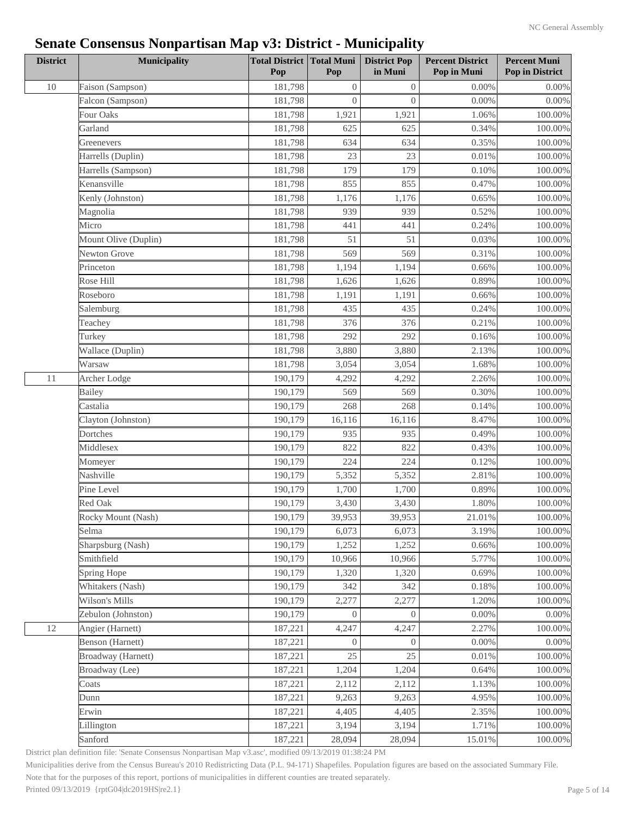| <b>District</b> | <b>Municipality</b>  | <b>Total District Total Muni</b><br>Pop | Pop              | <b>District Pop</b><br>in Muni | <b>Percent District</b><br>Pop in Muni | <b>Percent Muni</b><br>Pop in District |
|-----------------|----------------------|-----------------------------------------|------------------|--------------------------------|----------------------------------------|----------------------------------------|
| 10              | Faison (Sampson)     | 181,798                                 | $\boldsymbol{0}$ | $\boldsymbol{0}$               | 0.00%                                  | $0.00\%$                               |
|                 | Falcon (Sampson)     | 181,798                                 | $\overline{0}$   | $\overline{0}$                 | 0.00%                                  | $0.00\%$                               |
|                 | Four Oaks            | 181,798                                 | 1,921            | 1,921                          | 1.06%                                  | $100.00\%$                             |
|                 | Garland              | 181,798                                 | 625              | 625                            | 0.34%                                  | 100.00%                                |
|                 | Greenevers           | 181,798                                 | 634              | 634                            | 0.35%                                  | 100.00%                                |
|                 | Harrells (Duplin)    | 181,798                                 | 23               | 23                             | 0.01%                                  | 100.00%                                |
|                 | Harrells (Sampson)   | 181,798                                 | 179              | 179                            | 0.10%                                  | $100.00\%$                             |
|                 | Kenansville          | 181,798                                 | 855              | 855                            | 0.47%                                  | 100.00%                                |
|                 | Kenly (Johnston)     | 181,798                                 | 1,176            | 1,176                          | 0.65%                                  | $100.00\%$                             |
|                 | Magnolia             | 181,798                                 | 939              | 939                            | 0.52%                                  | 100.00%                                |
|                 | Micro                | 181,798                                 | 441              | 441                            | 0.24%                                  | $100.00\%$                             |
|                 | Mount Olive (Duplin) | 181,798                                 | 51               | 51                             | 0.03%                                  | 100.00%                                |
|                 | Newton Grove         | 181,798                                 | 569              | 569                            | 0.31%                                  | 100.00%                                |
|                 | Princeton            | 181,798                                 | 1,194            | 1,194                          | 0.66%                                  | 100.00%                                |
|                 | Rose Hill            | 181,798                                 | 1,626            | 1,626                          | 0.89%                                  | $100.00\%$                             |
|                 | Roseboro             | 181,798                                 | 1,191            | 1,191                          | 0.66%                                  | $100.00\%$                             |
|                 | Salemburg            | 181,798                                 | 435              | 435                            | 0.24%                                  | 100.00%                                |
|                 | Teachey              | 181,798                                 | 376              | 376                            | 0.21%                                  | 100.00%                                |
|                 | Turkey               | 181,798                                 | 292              | 292                            | 0.16%                                  | $100.00\%$                             |
|                 | Wallace (Duplin)     | 181,798                                 | 3,880            | 3,880                          | 2.13%                                  | 100.00%                                |
|                 | Warsaw               | 181,798                                 | 3,054            | 3,054                          | 1.68%                                  | 100.00%                                |
| 11              | Archer Lodge         | 190,179                                 | 4,292            | 4,292                          | 2.26%                                  | $100.00\%$                             |
|                 | Bailey               | 190,179                                 | 569              | 569                            | 0.30%                                  | $100.00\%$                             |
|                 | Castalia             | 190,179                                 | 268              | 268                            | 0.14%                                  | $100.00\%$                             |
|                 | Clayton (Johnston)   | 190,179                                 | 16,116           | 16,116                         | 8.47%                                  | $100.00\%$                             |
|                 | Dortches             | 190,179                                 | 935              | 935                            | 0.49%                                  | 100.00%                                |
|                 | Middlesex            | 190,179                                 | 822              | 822                            | 0.43%                                  | 100.00%                                |
|                 | Momeyer              | 190,179                                 | 224              | 224                            | 0.12%                                  | $100.00\%$                             |
|                 | Nashville            | 190,179                                 | 5,352            | 5,352                          | 2.81%                                  | $100.00\%$                             |
|                 | Pine Level           | 190,179                                 | 1,700            | 1,700                          | 0.89%                                  | $100.00\%$                             |
|                 | Red Oak              | 190,179                                 | 3,430            | 3,430                          | 1.80%                                  | 100.00%                                |
|                 | Rocky Mount (Nash)   | 190,179                                 | 39,953           | 39,953                         | 21.01%                                 | $100.00\%$                             |
|                 | Selma                | 190,179                                 | 6,073            | 6,073                          | 3.19%                                  | 100.00%                                |
|                 | Sharpsburg (Nash)    | 190,179                                 | 1,252            | 1,252                          | 0.66%                                  | 100.00%                                |
|                 | Smithfield           | 190,179                                 | 10,966           | 10,966                         | 5.77%                                  | 100.00%                                |
|                 | Spring Hope          | 190,179                                 | 1,320            | 1,320                          | 0.69%                                  | $100.00\%$                             |
|                 | Whitakers (Nash)     | 190,179                                 | 342              | 342                            | 0.18%                                  | 100.00%                                |
|                 | Wilson's Mills       | 190,179                                 | 2,277            | 2,277                          | 1.20%                                  | 100.00%                                |
|                 | Zebulon (Johnston)   | 190,179                                 | $\overline{0}$   | $\boldsymbol{0}$               | $0.00\%$                               | $0.00\%$                               |
| 12              | Angier (Harnett)     | 187,221                                 | 4,247            | 4,247                          | 2.27%                                  | 100.00%                                |
|                 | Benson (Harnett)     | 187,221                                 | $\Omega$         | $\overline{0}$                 | 0.00%                                  | $0.00\%$                               |
|                 | Broadway (Harnett)   | 187,221                                 | 25               | 25                             | 0.01%                                  | 100.00%                                |
|                 | Broadway (Lee)       | 187,221                                 | 1,204            | 1,204                          | 0.64%                                  | 100.00%                                |
|                 | Coats                | 187,221                                 | 2,112            | 2,112                          | 1.13%                                  | $100.00\%$                             |
|                 | Dunn                 | 187,221                                 | 9,263            | 9,263                          | 4.95%                                  | 100.00%                                |
|                 | Erwin                | 187,221                                 | 4,405            | 4,405                          | 2.35%                                  | 100.00%                                |
|                 | Lillington           | 187,221                                 | 3,194            | 3,194                          | 1.71%                                  | 100.00%                                |
|                 | Sanford              | 187,221                                 | 28,094           | 28,094                         | 15.01%                                 | 100.00%                                |
|                 |                      |                                         |                  |                                |                                        |                                        |

District plan definition file: 'Senate Consensus Nonpartisan Map v3.asc', modified 09/13/2019 01:38:24 PM

Municipalities derive from the Census Bureau's 2010 Redistricting Data (P.L. 94-171) Shapefiles. Population figures are based on the associated Summary File.

Note that for the purposes of this report, portions of municipalities in different counties are treated separately.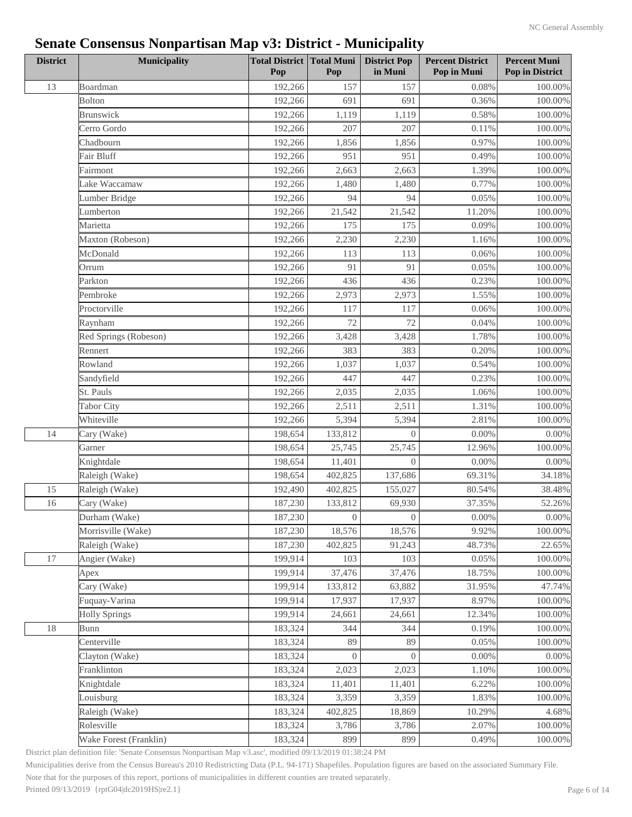| <b>District</b> | <b>Municipality</b>    | <b>Total District Total Muni</b><br>Pop | Pop              | <b>District Pop</b><br>in Muni | <b>Percent District</b><br>Pop in Muni | <b>Percent Muni</b><br>Pop in District |
|-----------------|------------------------|-----------------------------------------|------------------|--------------------------------|----------------------------------------|----------------------------------------|
| 13              | Boardman               | 192,266                                 | 157              | 157                            | 0.08%                                  | $100.00\%$                             |
|                 | <b>Bolton</b>          | 192,266                                 | 691              | 691                            | 0.36%                                  | 100.00%                                |
|                 | Brunswick              | 192,266                                 | 1,119            | 1,119                          | 0.58%                                  | 100.00%                                |
|                 | Cerro Gordo            | 192,266                                 | 207              | 207                            | 0.11%                                  | 100.00%                                |
|                 | Chadbourn              | 192,266                                 | 1,856            | 1,856                          | 0.97%                                  | 100.00%                                |
|                 | Fair Bluff             | 192,266                                 | 951              | 951                            | 0.49%                                  | $100.00\%$                             |
|                 | Fairmont               | 192,266                                 | 2,663            | 2,663                          | 1.39%                                  | 100.00%                                |
|                 | Lake Waccamaw          | 192,266                                 | 1,480            | 1,480                          | 0.77%                                  | $100.00\%$                             |
|                 | Lumber Bridge          | 192,266                                 | 94               | 94                             | 0.05%                                  | 100.00%                                |
|                 | Lumberton              | 192,266                                 | 21,542           | 21,542                         | 11.20%                                 | 100.00%                                |
|                 | Marietta               | 192,266                                 | 175              | 175                            | 0.09%                                  | 100.00%                                |
|                 | Maxton (Robeson)       | 192,266                                 | 2,230            | 2,230                          | 1.16%                                  | $100.00\%$                             |
|                 | McDonald               | 192,266                                 | 113              | 113                            | 0.06%                                  | 100.00%                                |
|                 | Orrum                  | 192,266                                 | 91               | 91                             | 0.05%                                  | 100.00%                                |
|                 | Parkton                | 192,266                                 | 436              | 436                            | 0.23%                                  | 100.00%                                |
|                 | Pembroke               | 192,266                                 | 2,973            | 2,973                          | 1.55%                                  | $100.00\%$                             |
|                 | Proctorville           | 192,266                                 | 117              | 117                            | 0.06%                                  | 100.00%                                |
|                 | Raynham                | 192,266                                 | 72               | 72                             | 0.04%                                  | 100.00%                                |
|                 | Red Springs (Robeson)  | 192,266                                 | 3,428            | 3,428                          | 1.78%                                  | 100.00%                                |
|                 | Rennert                | 192,266                                 | 383              | 383                            | 0.20%                                  | $100.00\%$                             |
|                 | Rowland                | 192,266                                 | 1,037            | 1,037                          | 0.54%                                  | 100.00%                                |
|                 | Sandyfield             | 192,266                                 | 447              | 447                            | 0.23%                                  | 100.00%                                |
|                 | St. Pauls              | 192,266                                 | 2,035            | 2,035                          | 1.06%                                  | 100.00%                                |
|                 | Tabor City             | 192,266                                 | 2,511            | 2,511                          | 1.31%                                  | $100.00\%$                             |
|                 | Whiteville             | 192,266                                 | 5,394            | 5,394                          | 2.81%                                  | 100.00%                                |
| 14              |                        | 198,654                                 | 133,812          | $\boldsymbol{0}$               | 0.00%                                  |                                        |
|                 | Cary (Wake)<br>Garner  | 198,654                                 | 25,745           | 25,745                         | 12.96%                                 | $0.00\%$<br>100.00%                    |
|                 |                        | 198,654                                 | 11,401           | $\overline{0}$                 | 0.00%                                  |                                        |
|                 | Knightdale             | 198,654                                 | 402,825          | 137,686                        | 69.31%                                 | $0.00\%$<br>34.18%                     |
|                 | Raleigh (Wake)         |                                         |                  |                                |                                        |                                        |
| 15              | Raleigh (Wake)         | 192,490                                 | 402,825          | 155,027                        | 80.54%                                 | 38.48%                                 |
| 16              | Cary (Wake)            | 187,230                                 | 133,812          | 69,930                         | 37.35%                                 | 52.26%                                 |
|                 | Durham (Wake)          | 187,230                                 | $\boldsymbol{0}$ | $\boldsymbol{0}$               | $0.00\%$                               | $0.00\%$                               |
|                 | Morrisville (Wake)     | 187,230                                 | 18,576           | 18,576                         | 9.92%                                  | 100.00%                                |
|                 | Raleigh (Wake)         | 187,230                                 | 402,825          | 91,243                         | 48.73%                                 | 22.65%                                 |
| $17\,$          | Angier (Wake)          | 199,914                                 | 103              | 103                            | 0.05%                                  | 100.00%                                |
|                 | Apex                   | 199,914                                 | 37,476           | 37,476                         | 18.75%                                 | $100.00\%$                             |
|                 | Cary (Wake)            | 199,914                                 | 133,812          | 63,882                         | 31.95%                                 | 47.74%                                 |
|                 | Fuquay-Varina          | 199,914                                 | 17,937           | 17,937                         | 8.97%                                  | 100.00%                                |
|                 | <b>Holly Springs</b>   | 199,914                                 | 24,661           | 24,661                         | 12.34%                                 | $100.00\%$                             |
| 18              | Bunn                   | 183,324                                 | 344              | 344                            | 0.19%                                  | 100.00%                                |
|                 | Centerville            | 183,324                                 | 89               | 89                             | 0.05%                                  | 100.00%                                |
|                 | Clayton (Wake)         | 183,324                                 | $\overline{0}$   | $\Omega$                       | 0.00%                                  | $0.00\%$                               |
|                 | Franklinton            | 183,324                                 | 2,023            | 2,023                          | 1.10%                                  | $100.00\%$                             |
|                 | Knightdale             | 183,324                                 | 11,401           | 11,401                         | 6.22%                                  | 100.00%                                |
|                 | Louisburg              | 183,324                                 | 3,359            | 3,359                          | 1.83%                                  | 100.00%                                |
|                 | Raleigh (Wake)         | 183,324                                 | 402,825          | 18,869                         | 10.29%                                 | 4.68%                                  |
|                 | Rolesville             | 183,324                                 | 3,786            | 3,786                          | 2.07%                                  | 100.00%                                |
|                 | Wake Forest (Franklin) | 183,324                                 | 899              | 899                            | 0.49%                                  | 100.00%                                |

District plan definition file: 'Senate Consensus Nonpartisan Map v3.asc', modified 09/13/2019 01:38:24 PM

Municipalities derive from the Census Bureau's 2010 Redistricting Data (P.L. 94-171) Shapefiles. Population figures are based on the associated Summary File.

Note that for the purposes of this report, portions of municipalities in different counties are treated separately.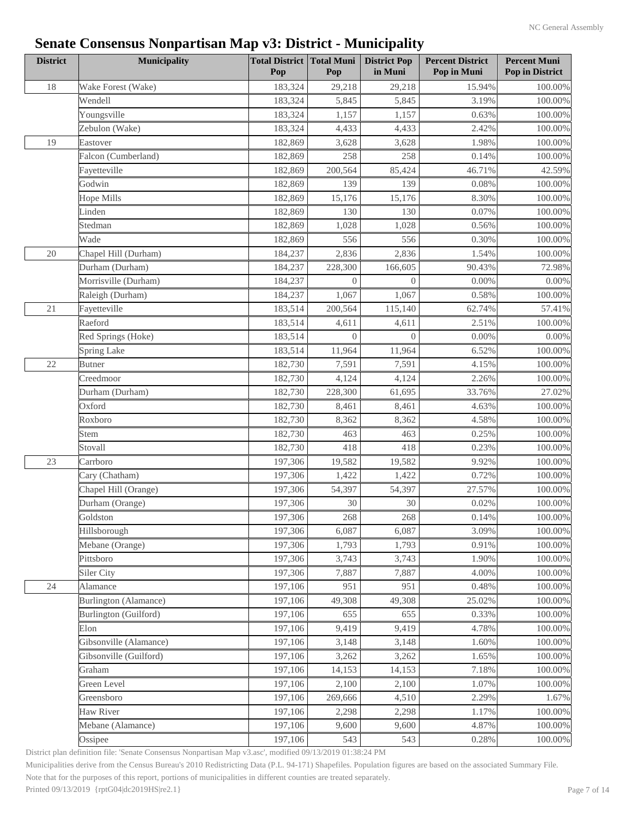| <b>District</b> | <b>Municipality</b>    | <b>Total District Total Muni</b><br>Pop | Pop            | <b>District Pop</b><br>in Muni | <b>Percent District</b><br>Pop in Muni | <b>Percent Muni</b><br>Pop in District |
|-----------------|------------------------|-----------------------------------------|----------------|--------------------------------|----------------------------------------|----------------------------------------|
| 18              | Wake Forest (Wake)     | 183,324                                 | 29,218         | 29,218                         | 15.94%                                 | 100.00%                                |
|                 | Wendell                | 183,324                                 | 5,845          | 5,845                          | 3.19%                                  | 100.00%                                |
|                 | Youngsville            | 183,324                                 | 1,157          | 1,157                          | 0.63%                                  | 100.00%                                |
|                 | Zebulon (Wake)         | 183,324                                 | 4,433          | 4,433                          | 2.42%                                  | 100.00%                                |
| 19              | Eastover               | 182,869                                 | 3,628          | 3,628                          | 1.98%                                  | 100.00%                                |
|                 | Falcon (Cumberland)    | 182,869                                 | 258            | 258                            | 0.14%                                  | 100.00%                                |
|                 | Fayetteville           | 182,869                                 | 200,564        | 85,424                         | 46.71%                                 | 42.59%                                 |
|                 | Godwin                 | 182,869                                 | 139            | 139                            | 0.08%                                  | $100.00\%$                             |
|                 | Hope Mills             | 182,869                                 | 15,176         | 15,176                         | 8.30%                                  | $100.00\%$                             |
|                 | Linden                 | 182,869                                 | 130            | 130                            | 0.07%                                  | 100.00%                                |
|                 | Stedman                | 182,869                                 | 1,028          | 1,028                          | 0.56%                                  | 100.00%                                |
|                 | Wade                   | 182,869                                 | 556            | 556                            | 0.30%                                  | $100.00\%$                             |
| 20              | Chapel Hill (Durham)   | 184,237                                 | 2,836          | 2,836                          | 1.54%                                  | 100.00%                                |
|                 | Durham (Durham)        | 184,237                                 | 228,300        | 166,605                        | 90.43%                                 | 72.98%                                 |
|                 | Morrisville (Durham)   | 184,237                                 | $\overline{0}$ | $\Omega$                       | $0.00\%$                               | $0.00\%$                               |
|                 | Raleigh (Durham)       | 184,237                                 | 1,067          | 1,067                          | 0.58%                                  | $100.00\%$                             |
| 21              | Fayetteville           | 183,514                                 | 200,564        | 115,140                        | 62.74%                                 | 57.41%                                 |
|                 | Raeford                | 183,514                                 | 4,611          | 4,611                          | 2.51%                                  | 100.00%                                |
|                 | Red Springs (Hoke)     | 183,514                                 | $\overline{0}$ | $\theta$                       | 0.00%                                  | $0.00\%$                               |
|                 | <b>Spring Lake</b>     | 183,514                                 | 11,964         | 11,964                         | 6.52%                                  | 100.00%                                |
| 22              | <b>Butner</b>          | 182,730                                 | 7,591          | 7,591                          | 4.15%                                  | 100.00%                                |
|                 | Creedmoor              | 182,730                                 | 4,124          | 4,124                          | 2.26%                                  | 100.00%                                |
|                 | Durham (Durham)        | 182,730                                 | 228,300        | 61,695                         | 33.76%                                 | 27.02%                                 |
|                 | Oxford                 | 182,730                                 | 8,461          | 8,461                          | 4.63%                                  | 100.00%                                |
|                 | Roxboro                | 182,730                                 | 8,362          | 8,362                          | 4.58%                                  | 100.00%                                |
|                 | Stem                   | 182,730                                 | 463            | 463                            | 0.25%                                  | 100.00%                                |
|                 | Stovall                | 182,730                                 | 418            | 418                            | 0.23%                                  | 100.00%                                |
| 23              | Carrboro               | 197,306                                 | 19,582         | 19,582                         | 9.92%                                  | 100.00%                                |
|                 | Cary (Chatham)         | 197,306                                 | 1,422          | 1,422                          | 0.72%                                  | 100.00%                                |
|                 | Chapel Hill (Orange)   | 197,306                                 | 54,397         | 54,397                         | 27.57%                                 |                                        |
|                 | Durham (Orange)        | 197,306                                 | 30             | 30                             | 0.02%                                  | 100.00%                                |
|                 | Goldston               | 197,306                                 | 268            | 268                            | 0.14%                                  | 100.00%                                |
|                 |                        | 197,306                                 |                | 6,087                          | 3.09%                                  | $100.00\%$                             |
|                 | Hillsborough           |                                         | 6,087          |                                |                                        | 100.00%                                |
|                 | Mebane (Orange)        | 197,306<br>197,306                      | 1,793          | 1,793                          | 0.91%                                  | $100.00\%$                             |
|                 | Pittsboro              |                                         | 3,743          | 3,743                          | 1.90%                                  | 100.00%                                |
|                 | Siler City             | 197,306                                 | 7,887          | 7,887                          | 4.00%                                  | $100.00\%$                             |
| 24              | Alamance               | 197,106                                 | 951            | 951                            | 0.48%                                  | $100.00\%$                             |
|                 | Burlington (Alamance)  | 197,106                                 | 49,308         | 49,308                         | 25.02%                                 | 100.00%                                |
|                 | Burlington (Guilford)  | 197,106                                 | 655            | 655                            | 0.33%                                  | $100.00\%$                             |
|                 | Elon                   | 197,106                                 | 9,419          | 9,419                          | 4.78%                                  | 100.00%                                |
|                 | Gibsonville (Alamance) | 197,106                                 | 3,148          | 3,148                          | 1.60%                                  | 100.00%                                |
|                 | Gibsonville (Guilford) | 197,106                                 | 3,262          | 3,262                          | 1.65%                                  | 100.00%                                |
|                 | Graham                 | 197,106                                 | 14,153         | 14,153                         | 7.18%                                  | 100.00%                                |
|                 | Green Level            | 197,106                                 | 2,100          | 2,100                          | 1.07%                                  | 100.00%                                |
|                 | Greensboro             | 197,106                                 | 269,666        | 4,510                          | 2.29%                                  | 1.67%                                  |
|                 | Haw River              | 197,106                                 | 2,298          | 2,298                          | 1.17%                                  | 100.00%                                |
|                 | Mebane (Alamance)      | 197,106                                 | 9,600          | 9,600                          | 4.87%                                  | 100.00%                                |
|                 | Ossipee                | 197,106                                 | 543            | 543                            | 0.28%                                  | 100.00%                                |

District plan definition file: 'Senate Consensus Nonpartisan Map v3.asc', modified 09/13/2019 01:38:24 PM

Municipalities derive from the Census Bureau's 2010 Redistricting Data (P.L. 94-171) Shapefiles. Population figures are based on the associated Summary File.

Note that for the purposes of this report, portions of municipalities in different counties are treated separately.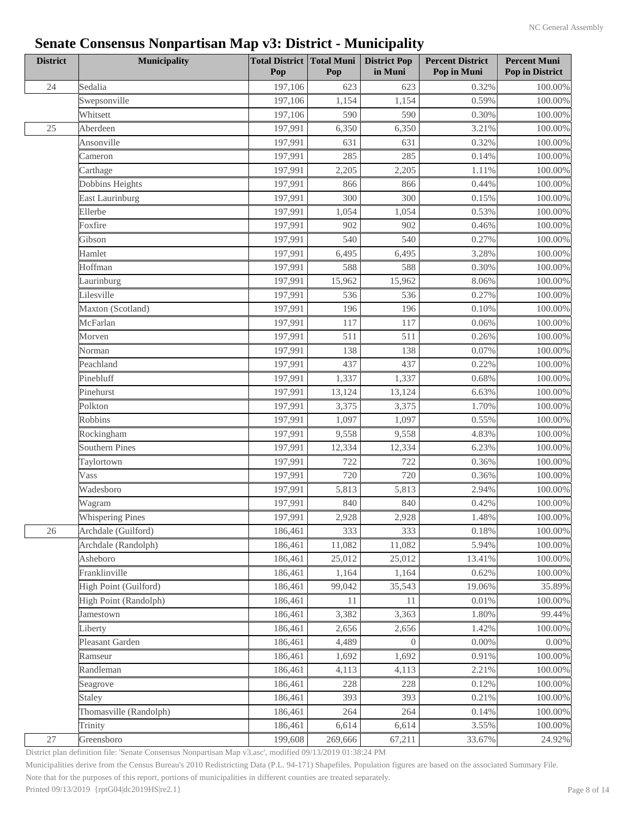| <b>District</b> | <b>Municipality</b>     | <b>Total District Total Muni</b><br>Pop | Pop     | <b>District Pop</b><br>in Muni | <b>Percent District</b><br>Pop in Muni | <b>Percent Muni</b><br>Pop in District |
|-----------------|-------------------------|-----------------------------------------|---------|--------------------------------|----------------------------------------|----------------------------------------|
| 24              | Sedalia                 | 197,106                                 | 623     | 623                            | 0.32%                                  | $100.00\%$                             |
|                 | Swepsonville            | 197,106                                 | 1,154   | 1,154                          | 0.59%                                  | $100.00\%$                             |
|                 | Whitsett                | 197,106                                 | 590     | 590                            | 0.30%                                  | 100.00%                                |
| $25\,$          | Aberdeen                | 197,991                                 | 6,350   | 6,350                          | 3.21%                                  | $100.00\%$                             |
|                 | Ansonville              | 197,991                                 | 631     | 631                            | 0.32%                                  | 100.00%                                |
|                 | Cameron                 | 197,991                                 | 285     | 285                            | 0.14%                                  | $100.00\%$                             |
|                 | Carthage                | 197,991                                 | 2,205   | 2,205                          | 1.11%                                  | $100.00\%$                             |
|                 | Dobbins Heights         | 197,991                                 | 866     | 866                            | 0.44%                                  | $100.00\%$                             |
|                 | <b>East Laurinburg</b>  | 197,991                                 | 300     | 300                            | 0.15%                                  | 100.00%                                |
|                 | Ellerbe                 | 197,991                                 | 1,054   | 1,054                          | 0.53%                                  | 100.00%                                |
|                 | Foxfire                 | 197,991                                 | 902     | 902                            | 0.46%                                  | 100.00%                                |
|                 | Gibson                  | 197,991                                 | 540     | 540                            | 0.27%                                  | $100.00\%$                             |
|                 | Hamlet                  | 197,991                                 | 6,495   | 6,495                          | 3.28%                                  | 100.00%                                |
|                 | Hoffman                 | 197,991                                 | 588     | 588                            | 0.30%                                  | $100.00\%$                             |
|                 | Laurinburg              | 197,991                                 | 15,962  | 15,962                         | 8.06%                                  | 100.00%                                |
|                 | Lilesville              | 197,991                                 | 536     | 536                            | 0.27%                                  | $100.00\%$                             |
|                 | Maxton (Scotland)       | 197,991                                 | 196     | 196                            | 0.10%                                  | $100.00\%$                             |
|                 | McFarlan                | 197,991                                 | 117     | 117                            | 0.06%                                  | 100.00%                                |
|                 | Morven                  | 197,991                                 | 511     | 511                            | 0.26%                                  | 100.00%                                |
|                 | Norman                  | 197,991                                 | 138     | 138                            | 0.07%                                  | $100.00\%$                             |
|                 | Peachland               | 197,991                                 | 437     | 437                            | 0.22%                                  | 100.00%                                |
|                 | Pinebluff               | 197,991                                 | 1,337   | 1,337                          | 0.68%                                  | 100.00%                                |
|                 | Pinehurst               | 197,991                                 | 13,124  | 13,124                         | 6.63%                                  | 100.00%                                |
|                 | Polkton                 | 197,991                                 | 3,375   | 3,375                          | 1.70%                                  | $100.00\%$                             |
|                 | Robbins                 | 197,991                                 | 1,097   | 1,097                          | 0.55%                                  | $100.00\%$                             |
|                 | Rockingham              | 197,991                                 | 9,558   | 9,558                          | 4.83%                                  | 100.00%                                |
|                 | <b>Southern Pines</b>   | 197,991                                 | 12,334  | 12,334                         | 6.23%                                  | 100.00%                                |
|                 | Taylortown              | 197,991                                 | 722     | 722                            | 0.36%                                  | $100.00\%$                             |
|                 | Vass                    | 197,991                                 | 720     | 720                            | 0.36%                                  | 100.00%                                |
|                 | Wadesboro               | 197,991                                 | 5,813   | 5,813                          | 2.94%                                  | 100.00%                                |
|                 | Wagram                  | 197,991                                 | 840     | 840                            | 0.42%                                  | 100.00%                                |
|                 | <b>Whispering Pines</b> | 197,991                                 | 2,928   | 2,928                          | 1.48%                                  | 100.00%                                |
| $26\,$          | Archdale (Guilford)     | 186,461                                 | 333     | 333                            | 0.18%                                  | 100.00%                                |
|                 | Archdale (Randolph)     | 186,461                                 | 11,082  | 11,082                         | 5.94%                                  | 100.00%                                |
|                 | Asheboro                | 186,461                                 | 25,012  | 25,012                         | 13.41%                                 | 100.00%                                |
|                 | Franklinville           | 186,461                                 | 1,164   | 1,164                          | 0.62%                                  | 100.00%                                |
|                 | High Point (Guilford)   | 186,461                                 | 99,042  | 35,543                         | 19.06%                                 | 35.89%                                 |
|                 | High Point (Randolph)   | 186,461                                 | 11      | 11                             | 0.01%                                  | 100.00%                                |
|                 | Jamestown               | 186,461                                 | 3,382   | 3,363                          | 1.80%                                  | 99.44%                                 |
|                 | Liberty                 | 186,461                                 | 2,656   | 2,656                          | 1.42%                                  | 100.00%                                |
|                 | Pleasant Garden         | 186,461                                 | 4,489   | $\overline{0}$                 | 0.00%                                  | $0.00\%$                               |
|                 | Ramseur                 | 186,461                                 | 1,692   | 1,692                          | 0.91%                                  | 100.00%                                |
|                 | Randleman               | 186,461                                 | 4,113   | 4,113                          | 2.21%                                  | 100.00%                                |
|                 | Seagrove                | 186,461                                 | 228     | 228                            | 0.12%                                  | 100.00%                                |
|                 | Staley                  | 186,461                                 | 393     | 393                            | 0.21%                                  | 100.00%                                |
|                 | Thomasville (Randolph)  | 186,461                                 | 264     | 264                            | 0.14%                                  | 100.00%                                |
|                 | Trinity                 | 186,461                                 | 6,614   | 6,614                          | 3.55%                                  | 100.00%                                |
| $27\,$          | Greensboro              | 199,608                                 | 269,666 | 67,211                         | 33.67%                                 | 24.92%                                 |
|                 |                         |                                         |         |                                |                                        |                                        |

District plan definition file: 'Senate Consensus Nonpartisan Map v3.asc', modified 09/13/2019 01:38:24 PM

Municipalities derive from the Census Bureau's 2010 Redistricting Data (P.L. 94-171) Shapefiles. Population figures are based on the associated Summary File.

Note that for the purposes of this report, portions of municipalities in different counties are treated separately.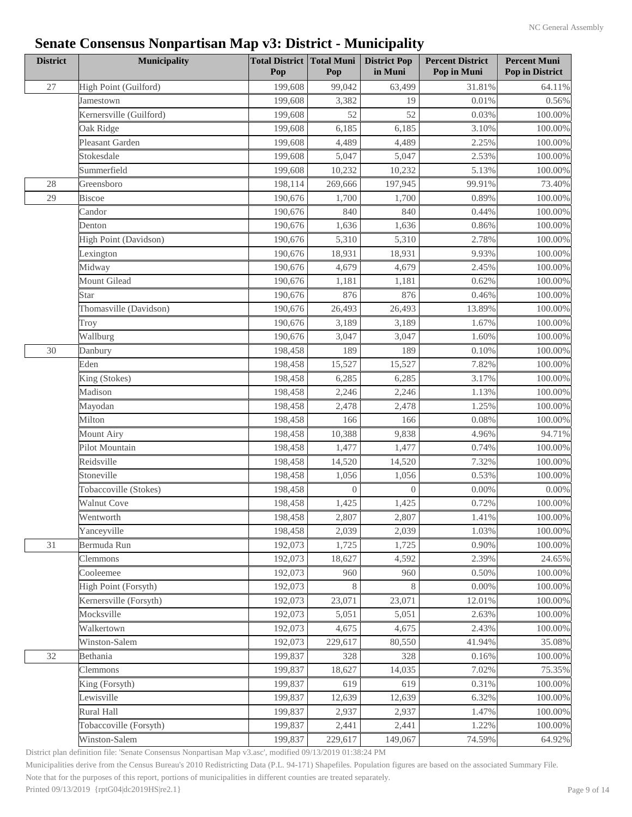| <b>District</b> | Municipality            | <b>Total District Total Muni</b><br>Pop | Pop              | <b>District Pop</b><br>in Muni | <b>Percent District</b><br>Pop in Muni | <b>Percent Muni</b><br>Pop in District |
|-----------------|-------------------------|-----------------------------------------|------------------|--------------------------------|----------------------------------------|----------------------------------------|
| 27              | High Point (Guilford)   | 199,608                                 | 99,042           | 63,499                         | 31.81%                                 | 64.11%                                 |
|                 | Jamestown               | 199,608                                 | 3,382            | 19                             | 0.01%                                  | 0.56%                                  |
|                 | Kernersville (Guilford) | 199,608                                 | 52               | 52                             | 0.03%                                  | $100.00\%$                             |
|                 | Oak Ridge               | 199,608                                 | 6,185            | 6,185                          | 3.10%                                  | 100.00%                                |
|                 | Pleasant Garden         | 199,608                                 | 4,489            | 4,489                          | 2.25%                                  | 100.00%                                |
|                 | Stokesdale              | 199,608                                 | 5,047            | 5,047                          | 2.53%                                  | 100.00%                                |
|                 | Summerfield             | 199,608                                 | 10,232           | 10,232                         | 5.13%                                  | 100.00%                                |
| 28              | Greensboro              | 198,114                                 | 269,666          | 197,945                        | 99.91%                                 | 73.40%                                 |
| 29              | <b>Biscoe</b>           | 190,676                                 | 1,700            | 1,700                          | 0.89%                                  | 100.00%                                |
|                 | Candor                  | 190,676                                 | 840              | 840                            | 0.44%                                  | 100.00%                                |
|                 | Denton                  | 190,676                                 | 1,636            | 1,636                          | 0.86%                                  | 100.00%                                |
|                 | High Point (Davidson)   | 190,676                                 | 5,310            | 5,310                          | 2.78%                                  | 100.00%                                |
|                 | Lexington               | 190,676                                 | 18,931           | 18,931                         | 9.93%                                  | 100.00%                                |
|                 | Midway                  | 190,676                                 | 4,679            | 4,679                          | 2.45%                                  | 100.00%                                |
|                 | Mount Gilead            | 190,676                                 | 1,181            | 1,181                          | 0.62%                                  | 100.00%                                |
|                 | Star                    | 190,676                                 | 876              | 876                            | 0.46%                                  | $100.00\%$                             |
|                 | Thomasville (Davidson)  | 190,676                                 | 26,493           | 26,493                         | 13.89%                                 | $100.00\%$                             |
|                 | Troy                    | 190,676                                 | 3,189            | 3,189                          | 1.67%                                  | 100.00%                                |
|                 | Wallburg                | 190,676                                 | 3,047            | 3,047                          | 1.60%                                  | 100.00%                                |
| 30              | Danbury                 | 198,458                                 | 189              | 189                            | 0.10%                                  | $100.00\%$                             |
|                 | Eden                    | 198,458                                 | 15,527           | 15,527                         | 7.82%                                  | 100.00%                                |
|                 | King (Stokes)           | 198,458                                 | 6,285            | 6,285                          | 3.17%                                  | 100.00%                                |
|                 | Madison                 | 198,458                                 | 2,246            | 2,246                          | 1.13%                                  | 100.00%                                |
|                 | Mayodan                 | 198,458                                 | 2,478            | 2,478                          | 1.25%                                  | $100.00\%$                             |
|                 | Milton                  | 198,458                                 | 166              | 166                            | 0.08%                                  | 100.00%                                |
|                 | Mount Airy              | 198,458                                 | 10,388           | 9,838                          | 4.96%                                  | 94.71%                                 |
|                 | Pilot Mountain          | 198,458                                 | 1,477            | 1,477                          | 0.74%                                  | 100.00%                                |
|                 | Reidsville              | 198,458                                 | 14,520           | 14,520                         | 7.32%                                  | $100.00\%$                             |
|                 | Stoneville              | 198,458                                 | 1,056            | 1,056                          | 0.53%                                  | 100.00%                                |
|                 | Tobaccoville (Stokes)   | 198,458                                 | $\boldsymbol{0}$ | $\overline{0}$                 | 0.00%                                  | $0.00\%$                               |
|                 | <b>Walnut Cove</b>      | 198,458                                 | 1,425            | 1,425                          | 0.72%                                  | 100.00%                                |
|                 | Wentworth               | 198,458                                 | 2,807            | 2,807                          | 1.41%                                  | $100.00\%$                             |
|                 | Yanceyville             | 198,458                                 | 2,039            | 2,039                          | 1.03%                                  | 100.00%                                |
| 31              | Bermuda Run             | 192,073                                 | 1,725            | 1,725                          | 0.90%                                  | 100.00%                                |
|                 | Clemmons                | 192,073                                 | 18,627           | 4,592                          | 2.39%                                  | 24.65%                                 |
|                 | Cooleemee               | 192,073                                 | 960              | 960                            | 0.50%                                  | 100.00%                                |
|                 | High Point (Forsyth)    | 192,073                                 | 8                | 8                              | 0.00%                                  | 100.00%                                |
|                 | Kernersville (Forsyth)  | 192,073                                 | 23,071           | 23,071                         | 12.01%                                 | 100.00%                                |
|                 | Mocksville              | 192,073                                 | 5,051            | 5,051                          | 2.63%                                  | 100.00%                                |
|                 | Walkertown              | 192,073                                 | 4,675            | 4,675                          | 2.43%                                  | 100.00%                                |
|                 | Winston-Salem           | 192,073                                 | 229,617          | 80,550                         | 41.94%                                 | 35.08%                                 |
| 32              | Bethania                | 199,837                                 | 328              | 328                            | 0.16%                                  | $100.00\%$                             |
|                 | Clemmons                | 199,837                                 | 18,627           | 14,035                         | 7.02%                                  | 75.35%                                 |
|                 | King (Forsyth)          | 199,837                                 | 619              | 619                            | 0.31%                                  | 100.00%                                |
|                 | Lewisville              | 199,837                                 | 12,639           | 12,639                         | 6.32%                                  | 100.00%                                |
|                 | Rural Hall              | 199,837                                 | 2,937            | 2,937                          | 1.47%                                  | 100.00%                                |
|                 | Tobaccoville (Forsyth)  | 199,837                                 | 2,441            | 2,441                          | 1.22%                                  | 100.00%                                |
|                 | Winston-Salem           | 199,837                                 | 229,617          | 149,067                        | 74.59%                                 | 64.92%                                 |
|                 |                         |                                         |                  |                                |                                        |                                        |

District plan definition file: 'Senate Consensus Nonpartisan Map v3.asc', modified 09/13/2019 01:38:24 PM

Municipalities derive from the Census Bureau's 2010 Redistricting Data (P.L. 94-171) Shapefiles. Population figures are based on the associated Summary File.

Note that for the purposes of this report, portions of municipalities in different counties are treated separately.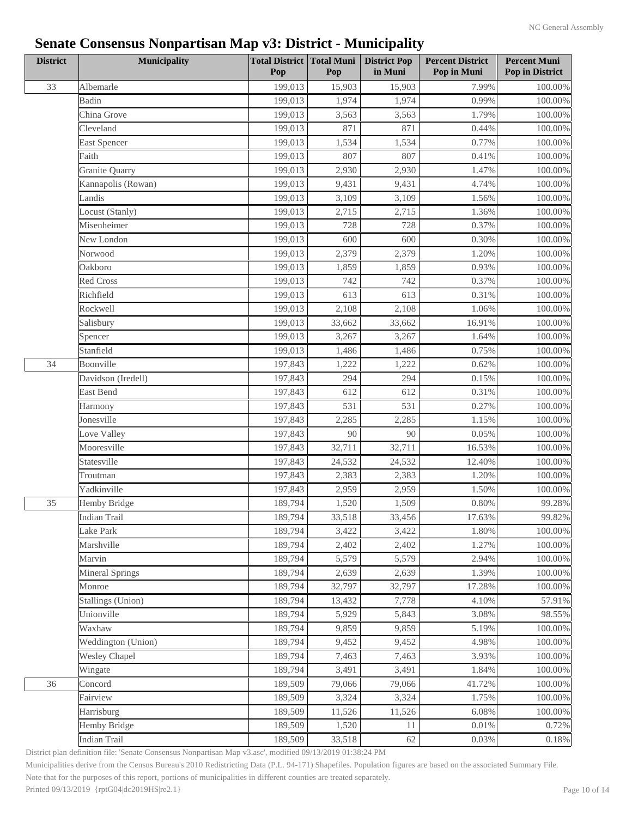| <b>District</b> | <b>Municipality</b>    | <b>Total District Total Muni</b><br>Pop | Pop    | <b>District Pop</b><br>in Muni | <b>Percent District</b><br>Pop in Muni | <b>Percent Muni</b><br><b>Pop in District</b> |
|-----------------|------------------------|-----------------------------------------|--------|--------------------------------|----------------------------------------|-----------------------------------------------|
| 33              | Albemarle              | 199,013                                 | 15,903 | 15,903                         | 7.99%                                  | 100.00%                                       |
|                 | Badin                  | 199,013                                 | 1,974  | 1,974                          | 0.99%                                  | 100.00%                                       |
|                 | China Grove            | 199,013                                 | 3,563  | 3,563                          | 1.79%                                  | $100.00\%$                                    |
|                 | Cleveland              | 199,013                                 | 871    | 871                            | 0.44%                                  | 100.00%                                       |
|                 | East Spencer           | 199,013                                 | 1,534  | 1,534                          | 0.77%                                  | 100.00%                                       |
|                 | Faith                  | 199,013                                 | 807    | 807                            | 0.41%                                  | 100.00%                                       |
|                 | Granite Quarry         | 199,013                                 | 2,930  | 2,930                          | 1.47%                                  | $100.00\%$                                    |
|                 | Kannapolis (Rowan)     | 199,013                                 | 9,431  | 9,431                          | 4.74%                                  | 100.00%                                       |
|                 | Landis                 | 199,013                                 | 3,109  | 3,109                          | 1.56%                                  | 100.00%                                       |
|                 | Locust (Stanly)        | 199,013                                 | 2,715  | 2,715                          | 1.36%                                  | $100.00\%$                                    |
|                 | Misenheimer            | 199,013                                 | 728    | 728                            | 0.37%                                  | 100.00%                                       |
|                 | New London             | 199,013                                 | 600    | 600                            | 0.30%                                  | 100.00%                                       |
|                 | Norwood                | 199,013                                 | 2,379  | 2,379                          | 1.20%                                  | 100.00%                                       |
|                 | Oakboro                | 199,013                                 | 1,859  | 1,859                          | 0.93%                                  | 100.00%                                       |
|                 | Red Cross              | 199,013                                 | 742    | 742                            | 0.37%                                  | 100.00%                                       |
|                 | Richfield              | 199,013                                 | 613    | 613                            | 0.31%                                  | $100.00\%$                                    |
|                 | Rockwell               | 199,013                                 | 2,108  | 2,108                          | 1.06%                                  | $100.00\%$                                    |
|                 | Salisbury              | 199,013                                 | 33,662 | 33,662                         | 16.91%                                 | 100.00%                                       |
|                 | Spencer                | 199,013                                 | 3,267  | 3,267                          | 1.64%                                  | 100.00%                                       |
|                 | Stanfield              | 199,013                                 | 1,486  | 1,486                          | 0.75%                                  | $100.00\%$                                    |
| 34              | Boonville              | 197,843                                 | 1,222  | 1,222                          | 0.62%                                  | 100.00%                                       |
|                 | Davidson (Iredell)     | 197,843                                 | 294    | 294                            | 0.15%                                  | 100.00%                                       |
|                 | East Bend              | 197,843                                 | 612    | 612                            | 0.31%                                  | 100.00%                                       |
|                 | Harmony                | 197,843                                 | 531    | 531                            | 0.27%                                  | $100.00\%$                                    |
|                 | Jonesville             | 197,843                                 | 2,285  | 2,285                          | 1.15%                                  | $100.00\%$                                    |
|                 | Love Valley            | 197,843                                 | 90     | 90                             | 0.05%                                  | 100.00%                                       |
|                 | Mooresville            | 197,843                                 | 32,711 | 32,711                         | 16.53%                                 | 100.00%                                       |
|                 | Statesville            | 197,843                                 | 24,532 | 24,532                         | 12.40%                                 | $100.00\%$                                    |
|                 | Troutman               | 197,843                                 | 2,383  | 2,383                          | 1.20%                                  | 100.00%                                       |
|                 | Yadkinville            | 197,843                                 | 2,959  | 2,959                          | 1.50%                                  | 100.00%                                       |
| 35              | Hemby Bridge           | 189,794                                 | 1,520  | 1,509                          | 0.80%                                  | 99.28%                                        |
|                 | <b>Indian Trail</b>    | 189,794                                 | 33,518 | 33,456                         | 17.63%                                 | 99.82%                                        |
|                 | Lake Park              | 189,794                                 | 3,422  | 3,422                          | 1.80%                                  | 100.00%                                       |
|                 | Marshville             | 189,794                                 | 2,402  | 2,402                          | 1.27%                                  | 100.00%                                       |
|                 | Marvin                 | 189,794                                 | 5,579  | 5,579                          | 2.94%                                  | 100.00%                                       |
|                 | <b>Mineral Springs</b> | 189,794                                 | 2,639  | 2,639                          | 1.39%                                  | 100.00%                                       |
|                 | Monroe                 | 189,794                                 | 32,797 | 32,797                         | 17.28%                                 | 100.00%                                       |
|                 | Stallings (Union)      | 189,794                                 | 13,432 | 7,778                          | 4.10%                                  | 57.91%                                        |
|                 | Unionville             | 189,794                                 | 5,929  | 5,843                          | 3.08%                                  | 98.55%                                        |
|                 | Waxhaw                 | 189,794                                 | 9,859  | 9,859                          | 5.19%                                  | 100.00%                                       |
|                 | Weddington (Union)     | 189,794                                 | 9,452  | 9,452                          | 4.98%                                  | 100.00%                                       |
|                 | <b>Wesley Chapel</b>   | 189,794                                 | 7,463  | 7,463                          | 3.93%                                  | 100.00%                                       |
|                 | Wingate                | 189,794                                 | 3,491  | 3,491                          | 1.84%                                  | 100.00%                                       |
| 36              | Concord                | 189,509                                 | 79,066 | 79,066                         | 41.72%                                 | 100.00%                                       |
|                 | Fairview               | 189,509                                 | 3,324  | 3,324                          | 1.75%                                  | 100.00%                                       |
|                 | Harrisburg             | 189,509                                 | 11,526 | 11,526                         | 6.08%                                  | 100.00%                                       |
|                 | Hemby Bridge           | 189,509                                 | 1,520  | 11                             | 0.01%                                  | 0.72%                                         |
|                 | <b>Indian Trail</b>    | 189,509                                 | 33,518 | 62                             | 0.03%                                  | $0.18\%$                                      |

District plan definition file: 'Senate Consensus Nonpartisan Map v3.asc', modified 09/13/2019 01:38:24 PM

Municipalities derive from the Census Bureau's 2010 Redistricting Data (P.L. 94-171) Shapefiles. Population figures are based on the associated Summary File.

Note that for the purposes of this report, portions of municipalities in different counties are treated separately.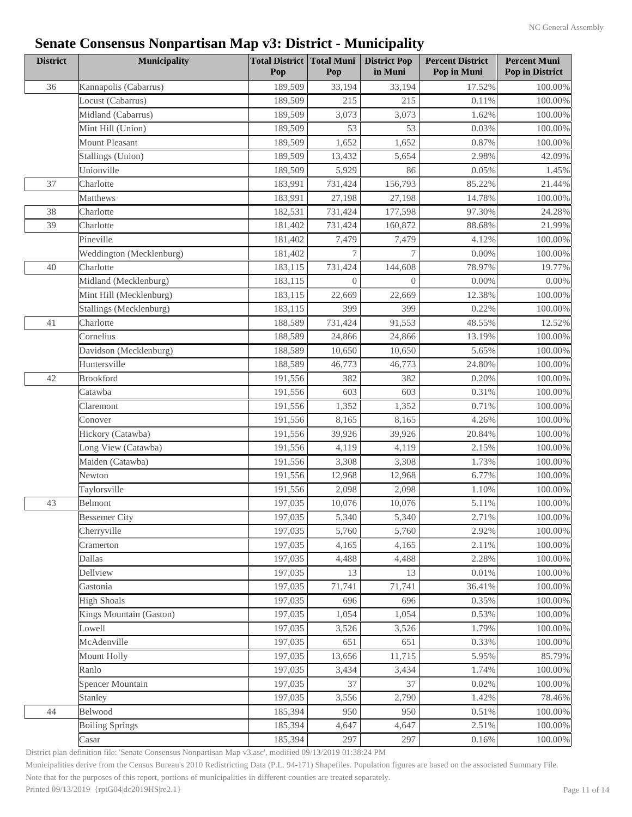| <b>District</b> | <b>Municipality</b>      | <b>Total District Total Muni</b><br>Pop | Pop            | <b>District Pop</b><br>in Muni | <b>Percent District</b><br>Pop in Muni | <b>Percent Muni</b><br>Pop in District |
|-----------------|--------------------------|-----------------------------------------|----------------|--------------------------------|----------------------------------------|----------------------------------------|
| 36              | Kannapolis (Cabarrus)    | 189,509                                 | 33,194         | 33,194                         | 17.52%                                 | 100.00%                                |
|                 | Locust (Cabarrus)        | 189,509                                 | 215            | 215                            | 0.11%                                  | 100.00%                                |
|                 | Midland (Cabarrus)       | 189,509                                 | 3,073          | 3,073                          | 1.62%                                  | 100.00%                                |
|                 | Mint Hill (Union)        | 189,509                                 | 53             | 53                             | 0.03%                                  | 100.00%                                |
|                 | Mount Pleasant           | 189,509                                 | 1,652          | 1,652                          | 0.87%                                  | 100.00%                                |
|                 | Stallings (Union)        | 189,509                                 | 13,432         | 5,654                          | 2.98%                                  | 42.09%                                 |
|                 | Unionville               | 189,509                                 | 5,929          | 86                             | 0.05%                                  | 1.45%                                  |
| 37              | Charlotte                | 183,991                                 | 731,424        | 156,793                        | 85.22%                                 | 21.44%                                 |
|                 | Matthews                 | 183,991                                 | 27,198         | 27,198                         | 14.78%                                 | 100.00%                                |
| 38              | Charlotte                | 182,531                                 | 731,424        | 177,598                        | 97.30%                                 | 24.28%                                 |
| 39              | Charlotte                | 181,402                                 | 731,424        | 160,872                        | 88.68%                                 | 21.99%                                 |
|                 | Pineville                | 181,402                                 | 7,479          | 7,479                          | 4.12%                                  | 100.00%                                |
|                 | Weddington (Mecklenburg) | 181,402                                 | $\tau$         | $\tau$                         | 0.00%                                  | 100.00%                                |
| 40              | Charlotte                | 183,115                                 | 731,424        | 144,608                        | 78.97%                                 | 19.77%                                 |
|                 | Midland (Mecklenburg)    | 183,115                                 | $\overline{0}$ | $\Omega$                       | 0.00%                                  | $0.00\%$                               |
|                 | Mint Hill (Mecklenburg)  | 183,115                                 | 22,669         | 22,669                         | 12.38%                                 | $100.00\%$                             |
|                 | Stallings (Mecklenburg)  | 183,115                                 | 399            | 399                            | 0.22%                                  | $100.00\%$                             |
| 41              | Charlotte                | 188,589                                 | 731,424        | 91,553                         | 48.55%                                 | 12.52%                                 |
|                 | Cornelius                | 188,589                                 | 24,866         | 24,866                         | 13.19%                                 | 100.00%                                |
|                 | Davidson (Mecklenburg)   | 188,589                                 | 10,650         | 10,650                         | 5.65%                                  | 100.00%                                |
|                 | Huntersville             | 188,589                                 | 46,773         | 46,773                         | 24.80%                                 | 100.00%                                |
| 42              | <b>Brookford</b>         | 191,556                                 | 382            | 382                            | 0.20%                                  | $100.00\%$                             |
|                 | Catawba                  | 191,556                                 | 603            | 603                            | 0.31%                                  | 100.00%                                |
|                 | Claremont                | 191,556                                 | 1,352          | 1,352                          | 0.71%                                  | $100.00\%$                             |
|                 | Conover                  | 191,556                                 | 8,165          | 8,165                          | 4.26%                                  | $100.00\%$                             |
|                 | Hickory (Catawba)        | 191,556                                 | 39,926         | 39,926                         | 20.84%                                 | 100.00%                                |
|                 | Long View (Catawba)      | 191,556                                 | 4,119          | 4,119                          | 2.15%                                  | 100.00%                                |
|                 | Maiden (Catawba)         | 191,556                                 | 3,308          | 3,308                          | 1.73%                                  | $100.00\%$                             |
|                 | Newton                   | 191,556                                 | 12,968         | 12,968                         | 6.77%                                  | $100.00\%$                             |
|                 | Taylorsville             | 191,556                                 | 2,098          | 2,098                          | 1.10%                                  | $100.00\%$                             |
| 43              | Belmont                  | 197,035                                 | 10,076         | 10,076                         | $5.11\%$                               | 100.00%                                |
|                 | <b>Bessemer City</b>     | 197,035                                 | 5,340          | 5,340                          | 2.71%                                  | $100.00\%$                             |
|                 | Cherryville              | 197,035                                 | 5,760          | 5,760                          | 2.92%                                  | 100.00%                                |
|                 | Cramerton                | 197,035                                 | 4,165          | 4,165                          | 2.11%                                  | $100.00\%$                             |
|                 | Dallas                   | 197,035                                 | 4,488          | 4,488                          | 2.28%                                  | 100.00%                                |
|                 | Dellview                 | 197,035                                 | 13             | 13                             | 0.01%                                  | $100.00\%$                             |
|                 | Gastonia                 | 197,035                                 | 71,741         | 71,741                         | 36.41%                                 | 100.00%                                |
|                 | <b>High Shoals</b>       | 197,035                                 | 696            | 696                            | 0.35%                                  | 100.00%                                |
|                 | Kings Mountain (Gaston)  | 197,035                                 | 1,054          | 1,054                          | 0.53%                                  | 100.00%                                |
|                 | Lowell                   | 197,035                                 | 3,526          | 3,526                          | 1.79%                                  | $100.00\%$                             |
|                 | McAdenville              | 197,035                                 | 651            | 651                            | 0.33%                                  | 100.00%                                |
|                 | Mount Holly              | 197,035                                 | 13,656         | 11,715                         | 5.95%                                  | 85.79%                                 |
|                 | Ranlo                    | 197,035                                 | 3,434          | 3,434                          | 1.74%                                  | 100.00%                                |
|                 | Spencer Mountain         | 197,035                                 | 37             | 37                             | 0.02%                                  | 100.00%                                |
|                 | Stanley                  | 197,035                                 | 3,556          | 2,790                          | 1.42%                                  | 78.46%                                 |
| 44              | Belwood                  | 185,394                                 | 950            | 950                            | 0.51%                                  | 100.00%                                |
|                 | <b>Boiling Springs</b>   | 185,394                                 | 4,647          | 4,647                          | 2.51%                                  | 100.00%                                |
|                 | Casar                    | 185,394                                 | 297            | 297                            | 0.16%                                  | 100.00%                                |
|                 |                          |                                         |                |                                |                                        |                                        |

District plan definition file: 'Senate Consensus Nonpartisan Map v3.asc', modified 09/13/2019 01:38:24 PM

Municipalities derive from the Census Bureau's 2010 Redistricting Data (P.L. 94-171) Shapefiles. Population figures are based on the associated Summary File.

Note that for the purposes of this report, portions of municipalities in different counties are treated separately.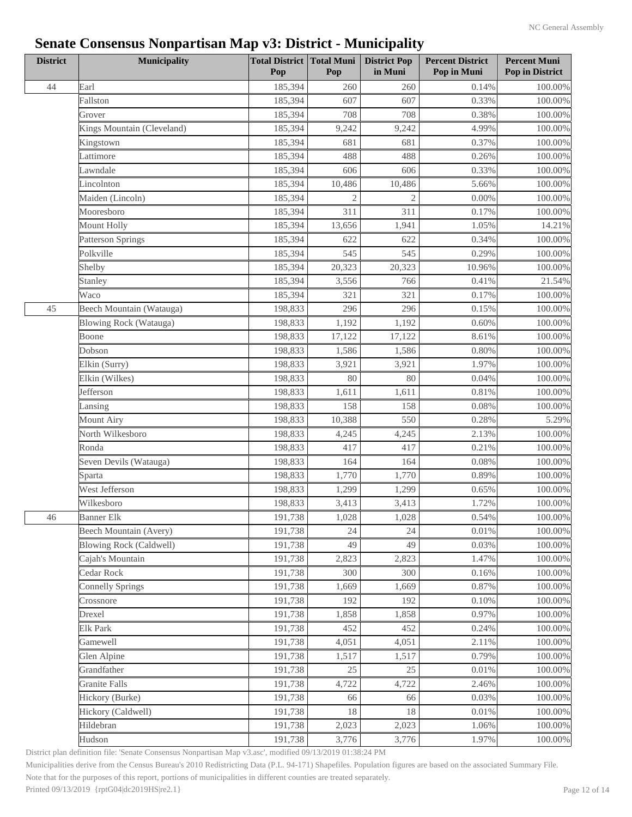| <b>District</b> | <b>Municipality</b>            | <b>Total District   Total Muni  </b><br>Pop | Pop            | <b>District Pop</b><br>in Muni | <b>Percent District</b><br>Pop in Muni | <b>Percent Muni</b><br>Pop in District |
|-----------------|--------------------------------|---------------------------------------------|----------------|--------------------------------|----------------------------------------|----------------------------------------|
| 44              | Earl                           | 185,394                                     | 260            | 260                            | 0.14%                                  | $100.00\%$                             |
|                 | Fallston                       | 185,394                                     | 607            | 607                            | 0.33%                                  | 100.00%                                |
|                 | Grover                         | 185,394                                     | 708            | 708                            | 0.38%                                  | 100.00%                                |
|                 | Kings Mountain (Cleveland)     | 185,394                                     | 9,242          | 9,242                          | 4.99%                                  | $100.00\%$                             |
|                 | Kingstown                      | 185,394                                     | 681            | 681                            | 0.37%                                  | 100.00%                                |
|                 | Lattimore                      | 185,394                                     | 488            | 488                            | 0.26%                                  | $100.00\%$                             |
|                 | Lawndale                       | 185,394                                     | 606            | 606                            | 0.33%                                  | 100.00%                                |
|                 | Lincolnton                     | 185,394                                     | 10,486         | 10,486                         | 5.66%                                  | $100.00\%$                             |
|                 | Maiden (Lincoln)               | 185,394                                     | $\overline{2}$ | $\mathfrak{2}$                 | 0.00%                                  | 100.00%                                |
|                 | Mooresboro                     | 185,394                                     | 311            | 311                            | 0.17%                                  | 100.00%                                |
|                 | Mount Holly                    | 185,394                                     | 13,656         | 1,941                          | 1.05%                                  | 14.21%                                 |
|                 | <b>Patterson Springs</b>       | 185,394                                     | 622            | 622                            | 0.34%                                  | $100.00\%$                             |
|                 | Polkville                      | 185,394                                     | 545            | 545                            | 0.29%                                  | 100.00%                                |
|                 | Shelby                         | 185,394                                     | 20,323         | 20,323                         | 10.96%                                 | 100.00%                                |
|                 | Stanley                        | 185,394                                     | 3,556          | 766                            | 0.41%                                  | 21.54%                                 |
|                 | Waco                           | 185,394                                     | 321            | 321                            | 0.17%                                  | $100.00\%$                             |
| 45              | Beech Mountain (Watauga)       | 198,833                                     | 296            | 296                            | 0.15%                                  | $100.00\%$                             |
|                 | Blowing Rock (Watauga)         | 198,833                                     | 1,192          | 1,192                          | 0.60%                                  | $100.00\%$                             |
|                 | Boone                          | 198,833                                     | 17,122         | 17,122                         | 8.61%                                  | $100.00\%$                             |
|                 | Dobson                         | 198,833                                     | 1,586          | 1,586                          | 0.80%                                  | 100.00%                                |
|                 | Elkin (Surry)                  | 198,833                                     | 3,921          | 3,921                          | 1.97%                                  | 100.00%                                |
|                 | Elkin (Wilkes)                 | 198,833                                     | 80             | 80                             | 0.04%                                  | $100.00\%$                             |
|                 | Jefferson                      | 198,833                                     | 1,611          | 1,611                          | 0.81%                                  | 100.00%                                |
|                 | Lansing                        | 198,833                                     | 158            | 158                            | 0.08%                                  | $100.00\%$                             |
|                 | <b>Mount Airy</b>              | 198,833                                     | 10,388         | 550                            | 0.28%                                  | 5.29%                                  |
|                 | North Wilkesboro               | 198,833                                     | 4,245          | 4,245                          | 2.13%                                  | $100.00\%$                             |
|                 | Ronda                          | 198,833                                     | 417            | 417                            | 0.21%                                  | 100.00%                                |
|                 | Seven Devils (Watauga)         | 198,833                                     | 164            | 164                            | 0.08%                                  | 100.00%                                |
|                 | Sparta                         | 198,833                                     | 1,770          | 1,770                          | 0.89%                                  | 100.00%                                |
|                 | West Jefferson                 | 198,833                                     | 1,299          | 1,299                          | 0.65%                                  |                                        |
|                 | Wilkesboro                     | 198,833                                     |                | 3,413                          | 1.72%                                  | 100.00%<br>100.00%                     |
|                 |                                |                                             | 3,413          |                                |                                        |                                        |
| 46              | <b>Banner Elk</b>              | 191,738                                     | 1,028          | 1,028                          | 0.54%                                  | $100.00\%$                             |
|                 | Beech Mountain (Avery)         | 191,738                                     | 24             | 24                             | 0.01%                                  | 100.00%                                |
|                 | <b>Blowing Rock (Caldwell)</b> | 191,738                                     | 49             | 49                             | 0.03%                                  | 100.00%                                |
|                 | Cajah's Mountain               | 191,738                                     | 2,823          | 2,823                          | 1.47%                                  | 100.00%                                |
|                 | Cedar Rock                     | 191,738                                     | 300            | 300                            | 0.16%                                  | $100.00\%$                             |
|                 | <b>Connelly Springs</b>        | 191,738                                     | 1,669          | 1,669                          | 0.87%                                  | $100.00\%$                             |
|                 | Crossnore                      | 191,738                                     | 192            | 192                            | 0.10%                                  | 100.00%                                |
|                 | Drexel                         | 191,738                                     | 1,858          | 1,858                          | 0.97%                                  | $100.00\%$                             |
|                 | <b>Elk Park</b>                | 191,738                                     | 452            | 452                            | 0.24%                                  | 100.00%                                |
|                 | Gamewell                       | 191,738                                     | 4,051          | 4,051                          | 2.11%                                  | 100.00%                                |
|                 | Glen Alpine                    | 191,738                                     | 1,517          | 1,517                          | 0.79%                                  | 100.00%                                |
|                 | Grandfather                    | 191,738                                     | 25             | 25                             | 0.01%                                  | 100.00%                                |
|                 | <b>Granite Falls</b>           | 191,738                                     | 4,722          | 4,722                          | 2.46%                                  | 100.00%                                |
|                 | Hickory (Burke)                | 191,738                                     | 66             | 66                             | 0.03%                                  | 100.00%                                |
|                 | Hickory (Caldwell)             | 191,738                                     | 18             | 18                             | 0.01%                                  | 100.00%                                |
|                 | Hildebran                      | 191,738                                     | 2,023          | 2,023                          | 1.06%                                  | 100.00%                                |
|                 | Hudson                         | 191,738                                     | 3,776          | 3,776                          | 1.97%                                  | 100.00%                                |

District plan definition file: 'Senate Consensus Nonpartisan Map v3.asc', modified 09/13/2019 01:38:24 PM

Municipalities derive from the Census Bureau's 2010 Redistricting Data (P.L. 94-171) Shapefiles. Population figures are based on the associated Summary File.

Note that for the purposes of this report, portions of municipalities in different counties are treated separately.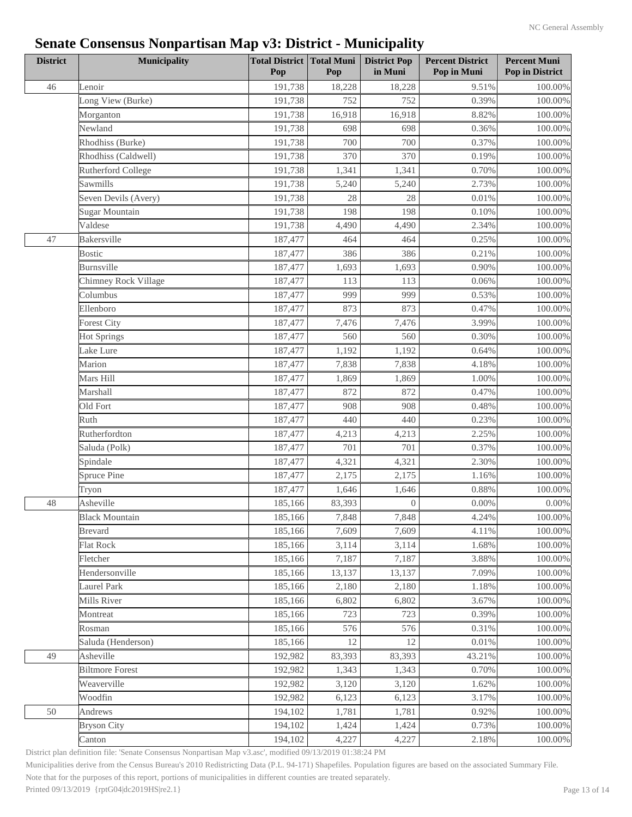| 191,738<br>9.51%<br>46<br>Lenoir<br>18,228<br>18,228<br>Long View (Burke)<br>191,738<br>752<br>752<br>0.39%<br>191,738<br>8.82%<br>Morganton<br>16,918<br>16,918<br>Newland<br>191,738<br>698<br>698<br>0.36%<br>Rhodhiss (Burke)<br>191,738<br>700<br>700<br>0.37%<br>Rhodhiss (Caldwell)<br>191,738<br>370<br>370<br>0.19%<br>Rutherford College<br>191,738<br>1,341<br>1,341<br>0.70%<br>Sawmills<br>191,738<br>5,240<br>5,240<br>2.73%<br>191,738<br>Seven Devils (Avery)<br>28<br>28<br>0.01%<br>Sugar Mountain<br>191,738<br>198<br>198<br>0.10%<br>Valdese<br>191,738<br>4,490<br>4,490<br>2.34%<br>Bakersville<br>0.25%<br>47<br>187,477<br>464<br>464<br><b>Bostic</b><br>187,477<br>386<br>386<br>0.21%<br>Burnsville<br>187,477<br>1,693<br>1,693<br>0.90%<br>Chimney Rock Village<br>187,477<br>113<br>113<br>0.06%<br>Columbus<br>187,477<br>999<br>999<br>0.53%<br>Ellenboro<br>187,477<br>873<br>873<br>0.47%<br>187,477<br>7,476<br>7,476<br>3.99%<br><b>Forest City</b><br>187,477<br>560<br>0.30%<br><b>Hot Springs</b><br>560<br>Lake Lure<br>187,477<br>1,192<br>0.64%<br>1,192<br>Marion<br>187,477<br>7,838<br>7,838<br>4.18%<br>Mars Hill<br>187,477<br>1,869<br>1.00%<br>1,869<br>Marshall<br>187,477<br>872<br>872<br>0.47%<br>Old Fort<br>187,477<br>908<br>908<br>0.48%<br>Ruth<br>187,477<br>440<br>440<br>0.23% | <b>District</b> | <b>Municipality</b> | <b>Total District Total Muni</b><br>Pop | Pop | <b>District Pop</b><br>in Muni | <b>Percent District</b><br>Pop in Muni | <b>Percent Muni</b><br><b>Pop in District</b> |
|----------------------------------------------------------------------------------------------------------------------------------------------------------------------------------------------------------------------------------------------------------------------------------------------------------------------------------------------------------------------------------------------------------------------------------------------------------------------------------------------------------------------------------------------------------------------------------------------------------------------------------------------------------------------------------------------------------------------------------------------------------------------------------------------------------------------------------------------------------------------------------------------------------------------------------------------------------------------------------------------------------------------------------------------------------------------------------------------------------------------------------------------------------------------------------------------------------------------------------------------------------------------------------------------------------------------------------------------|-----------------|---------------------|-----------------------------------------|-----|--------------------------------|----------------------------------------|-----------------------------------------------|
|                                                                                                                                                                                                                                                                                                                                                                                                                                                                                                                                                                                                                                                                                                                                                                                                                                                                                                                                                                                                                                                                                                                                                                                                                                                                                                                                              |                 |                     |                                         |     |                                |                                        | 100.00%                                       |
|                                                                                                                                                                                                                                                                                                                                                                                                                                                                                                                                                                                                                                                                                                                                                                                                                                                                                                                                                                                                                                                                                                                                                                                                                                                                                                                                              |                 |                     |                                         |     |                                |                                        | 100.00%                                       |
|                                                                                                                                                                                                                                                                                                                                                                                                                                                                                                                                                                                                                                                                                                                                                                                                                                                                                                                                                                                                                                                                                                                                                                                                                                                                                                                                              |                 |                     |                                         |     |                                |                                        | 100.00%                                       |
|                                                                                                                                                                                                                                                                                                                                                                                                                                                                                                                                                                                                                                                                                                                                                                                                                                                                                                                                                                                                                                                                                                                                                                                                                                                                                                                                              |                 |                     |                                         |     |                                |                                        | 100.00%                                       |
|                                                                                                                                                                                                                                                                                                                                                                                                                                                                                                                                                                                                                                                                                                                                                                                                                                                                                                                                                                                                                                                                                                                                                                                                                                                                                                                                              |                 |                     |                                         |     |                                |                                        | 100.00%                                       |
|                                                                                                                                                                                                                                                                                                                                                                                                                                                                                                                                                                                                                                                                                                                                                                                                                                                                                                                                                                                                                                                                                                                                                                                                                                                                                                                                              |                 |                     |                                         |     |                                |                                        | 100.00%                                       |
|                                                                                                                                                                                                                                                                                                                                                                                                                                                                                                                                                                                                                                                                                                                                                                                                                                                                                                                                                                                                                                                                                                                                                                                                                                                                                                                                              |                 |                     |                                         |     |                                |                                        | 100.00%                                       |
|                                                                                                                                                                                                                                                                                                                                                                                                                                                                                                                                                                                                                                                                                                                                                                                                                                                                                                                                                                                                                                                                                                                                                                                                                                                                                                                                              |                 |                     |                                         |     |                                |                                        | 100.00%                                       |
|                                                                                                                                                                                                                                                                                                                                                                                                                                                                                                                                                                                                                                                                                                                                                                                                                                                                                                                                                                                                                                                                                                                                                                                                                                                                                                                                              |                 |                     |                                         |     |                                |                                        | 100.00%                                       |
|                                                                                                                                                                                                                                                                                                                                                                                                                                                                                                                                                                                                                                                                                                                                                                                                                                                                                                                                                                                                                                                                                                                                                                                                                                                                                                                                              |                 |                     |                                         |     |                                |                                        | 100.00%                                       |
|                                                                                                                                                                                                                                                                                                                                                                                                                                                                                                                                                                                                                                                                                                                                                                                                                                                                                                                                                                                                                                                                                                                                                                                                                                                                                                                                              |                 |                     |                                         |     |                                |                                        | 100.00%                                       |
|                                                                                                                                                                                                                                                                                                                                                                                                                                                                                                                                                                                                                                                                                                                                                                                                                                                                                                                                                                                                                                                                                                                                                                                                                                                                                                                                              |                 |                     |                                         |     |                                |                                        | 100.00%                                       |
|                                                                                                                                                                                                                                                                                                                                                                                                                                                                                                                                                                                                                                                                                                                                                                                                                                                                                                                                                                                                                                                                                                                                                                                                                                                                                                                                              |                 |                     |                                         |     |                                |                                        | 100.00%                                       |
|                                                                                                                                                                                                                                                                                                                                                                                                                                                                                                                                                                                                                                                                                                                                                                                                                                                                                                                                                                                                                                                                                                                                                                                                                                                                                                                                              |                 |                     |                                         |     |                                |                                        | 100.00%                                       |
|                                                                                                                                                                                                                                                                                                                                                                                                                                                                                                                                                                                                                                                                                                                                                                                                                                                                                                                                                                                                                                                                                                                                                                                                                                                                                                                                              |                 |                     |                                         |     |                                |                                        | 100.00%                                       |
|                                                                                                                                                                                                                                                                                                                                                                                                                                                                                                                                                                                                                                                                                                                                                                                                                                                                                                                                                                                                                                                                                                                                                                                                                                                                                                                                              |                 |                     |                                         |     |                                |                                        | 100.00%                                       |
|                                                                                                                                                                                                                                                                                                                                                                                                                                                                                                                                                                                                                                                                                                                                                                                                                                                                                                                                                                                                                                                                                                                                                                                                                                                                                                                                              |                 |                     |                                         |     |                                |                                        | 100.00%                                       |
|                                                                                                                                                                                                                                                                                                                                                                                                                                                                                                                                                                                                                                                                                                                                                                                                                                                                                                                                                                                                                                                                                                                                                                                                                                                                                                                                              |                 |                     |                                         |     |                                |                                        | 100.00%                                       |
|                                                                                                                                                                                                                                                                                                                                                                                                                                                                                                                                                                                                                                                                                                                                                                                                                                                                                                                                                                                                                                                                                                                                                                                                                                                                                                                                              |                 |                     |                                         |     |                                |                                        | 100.00%                                       |
|                                                                                                                                                                                                                                                                                                                                                                                                                                                                                                                                                                                                                                                                                                                                                                                                                                                                                                                                                                                                                                                                                                                                                                                                                                                                                                                                              |                 |                     |                                         |     |                                |                                        | 100.00%                                       |
|                                                                                                                                                                                                                                                                                                                                                                                                                                                                                                                                                                                                                                                                                                                                                                                                                                                                                                                                                                                                                                                                                                                                                                                                                                                                                                                                              |                 |                     |                                         |     |                                |                                        | 100.00%                                       |
|                                                                                                                                                                                                                                                                                                                                                                                                                                                                                                                                                                                                                                                                                                                                                                                                                                                                                                                                                                                                                                                                                                                                                                                                                                                                                                                                              |                 |                     |                                         |     |                                |                                        | 100.00%                                       |
|                                                                                                                                                                                                                                                                                                                                                                                                                                                                                                                                                                                                                                                                                                                                                                                                                                                                                                                                                                                                                                                                                                                                                                                                                                                                                                                                              |                 |                     |                                         |     |                                |                                        | 100.00%                                       |
|                                                                                                                                                                                                                                                                                                                                                                                                                                                                                                                                                                                                                                                                                                                                                                                                                                                                                                                                                                                                                                                                                                                                                                                                                                                                                                                                              |                 |                     |                                         |     |                                |                                        | 100.00%                                       |
|                                                                                                                                                                                                                                                                                                                                                                                                                                                                                                                                                                                                                                                                                                                                                                                                                                                                                                                                                                                                                                                                                                                                                                                                                                                                                                                                              |                 |                     |                                         |     |                                |                                        | 100.00%                                       |
| Rutherfordton<br>187,477<br>4,213<br>4,213<br>2.25%                                                                                                                                                                                                                                                                                                                                                                                                                                                                                                                                                                                                                                                                                                                                                                                                                                                                                                                                                                                                                                                                                                                                                                                                                                                                                          |                 |                     |                                         |     |                                |                                        | 100.00%                                       |
| Saluda (Polk)<br>187,477<br>701<br>701<br>0.37%                                                                                                                                                                                                                                                                                                                                                                                                                                                                                                                                                                                                                                                                                                                                                                                                                                                                                                                                                                                                                                                                                                                                                                                                                                                                                              |                 |                     |                                         |     |                                |                                        | 100.00%                                       |
| Spindale<br>4,321<br>2.30%<br>187,477<br>4,321                                                                                                                                                                                                                                                                                                                                                                                                                                                                                                                                                                                                                                                                                                                                                                                                                                                                                                                                                                                                                                                                                                                                                                                                                                                                                               |                 |                     |                                         |     |                                |                                        | 100.00%                                       |
| 187,477<br>Spruce Pine<br>2,175<br>2,175<br>1.16%                                                                                                                                                                                                                                                                                                                                                                                                                                                                                                                                                                                                                                                                                                                                                                                                                                                                                                                                                                                                                                                                                                                                                                                                                                                                                            |                 |                     |                                         |     |                                |                                        | 100.00%                                       |
| 187,477<br>1,646<br>1,646<br>0.88%<br>Tryon                                                                                                                                                                                                                                                                                                                                                                                                                                                                                                                                                                                                                                                                                                                                                                                                                                                                                                                                                                                                                                                                                                                                                                                                                                                                                                  |                 |                     |                                         |     |                                |                                        | 100.00%                                       |
| Asheville<br>48<br>185,166<br>$\boldsymbol{0}$<br>0.00%<br>83,393                                                                                                                                                                                                                                                                                                                                                                                                                                                                                                                                                                                                                                                                                                                                                                                                                                                                                                                                                                                                                                                                                                                                                                                                                                                                            |                 |                     |                                         |     |                                |                                        | $0.00\%$                                      |
| <b>Black Mountain</b><br>185,166<br>7,848<br>7,848<br>4.24%                                                                                                                                                                                                                                                                                                                                                                                                                                                                                                                                                                                                                                                                                                                                                                                                                                                                                                                                                                                                                                                                                                                                                                                                                                                                                  |                 |                     |                                         |     |                                |                                        | 100.00%                                       |
| 185,166<br>7,609<br>7,609<br>4.11%<br><b>Brevard</b>                                                                                                                                                                                                                                                                                                                                                                                                                                                                                                                                                                                                                                                                                                                                                                                                                                                                                                                                                                                                                                                                                                                                                                                                                                                                                         |                 |                     |                                         |     |                                |                                        | 100.00%                                       |
| 185,166<br>1.68%<br>Flat Rock<br>3,114<br>3,114                                                                                                                                                                                                                                                                                                                                                                                                                                                                                                                                                                                                                                                                                                                                                                                                                                                                                                                                                                                                                                                                                                                                                                                                                                                                                              |                 |                     |                                         |     |                                |                                        | 100.00%                                       |
| 185,166<br>7,187<br>7,187<br>3.88%<br>Fletcher                                                                                                                                                                                                                                                                                                                                                                                                                                                                                                                                                                                                                                                                                                                                                                                                                                                                                                                                                                                                                                                                                                                                                                                                                                                                                               |                 |                     |                                         |     |                                |                                        | 100.00%                                       |
| Hendersonville<br>185,166<br>7.09%<br>13,137<br>13,137                                                                                                                                                                                                                                                                                                                                                                                                                                                                                                                                                                                                                                                                                                                                                                                                                                                                                                                                                                                                                                                                                                                                                                                                                                                                                       |                 |                     |                                         |     |                                |                                        | 100.00%                                       |
| Laurel Park<br>185,166<br>1.18%<br>2,180<br>2,180                                                                                                                                                                                                                                                                                                                                                                                                                                                                                                                                                                                                                                                                                                                                                                                                                                                                                                                                                                                                                                                                                                                                                                                                                                                                                            |                 |                     |                                         |     |                                |                                        | 100.00%                                       |
| 185,166<br>Mills River<br>3.67%<br>6,802<br>6,802                                                                                                                                                                                                                                                                                                                                                                                                                                                                                                                                                                                                                                                                                                                                                                                                                                                                                                                                                                                                                                                                                                                                                                                                                                                                                            |                 |                     |                                         |     |                                |                                        | 100.00%                                       |
| 185,166<br>723<br>723<br>0.39%<br>Montreat                                                                                                                                                                                                                                                                                                                                                                                                                                                                                                                                                                                                                                                                                                                                                                                                                                                                                                                                                                                                                                                                                                                                                                                                                                                                                                   |                 |                     |                                         |     |                                |                                        | 100.00%                                       |
| 185,166<br>576<br>576<br>0.31%<br>Rosman                                                                                                                                                                                                                                                                                                                                                                                                                                                                                                                                                                                                                                                                                                                                                                                                                                                                                                                                                                                                                                                                                                                                                                                                                                                                                                     |                 |                     |                                         |     |                                |                                        | 100.00%                                       |
| 185,166<br>12<br>12<br>0.01%<br>Saluda (Henderson)                                                                                                                                                                                                                                                                                                                                                                                                                                                                                                                                                                                                                                                                                                                                                                                                                                                                                                                                                                                                                                                                                                                                                                                                                                                                                           |                 |                     |                                         |     |                                |                                        | 100.00%                                       |
| 49<br>Asheville<br>192,982<br>83,393<br>83,393<br>43.21%                                                                                                                                                                                                                                                                                                                                                                                                                                                                                                                                                                                                                                                                                                                                                                                                                                                                                                                                                                                                                                                                                                                                                                                                                                                                                     |                 |                     |                                         |     |                                |                                        | 100.00%                                       |
| <b>Biltmore Forest</b><br>192,982<br>1,343<br>1,343<br>0.70%                                                                                                                                                                                                                                                                                                                                                                                                                                                                                                                                                                                                                                                                                                                                                                                                                                                                                                                                                                                                                                                                                                                                                                                                                                                                                 |                 |                     |                                         |     |                                |                                        | 100.00%                                       |
| Weaverville<br>192,982<br>3,120<br>3,120<br>1.62%                                                                                                                                                                                                                                                                                                                                                                                                                                                                                                                                                                                                                                                                                                                                                                                                                                                                                                                                                                                                                                                                                                                                                                                                                                                                                            |                 |                     |                                         |     |                                |                                        | 100.00%                                       |
| 192,982<br>Woodfin<br>3.17%<br>6,123<br>6,123                                                                                                                                                                                                                                                                                                                                                                                                                                                                                                                                                                                                                                                                                                                                                                                                                                                                                                                                                                                                                                                                                                                                                                                                                                                                                                |                 |                     |                                         |     |                                |                                        | 100.00%                                       |
| 50<br>Andrews<br>194,102<br>0.92%<br>1,781<br>1,781                                                                                                                                                                                                                                                                                                                                                                                                                                                                                                                                                                                                                                                                                                                                                                                                                                                                                                                                                                                                                                                                                                                                                                                                                                                                                          |                 |                     |                                         |     |                                |                                        | 100.00%                                       |
| 194,102<br>0.73%<br><b>Bryson City</b><br>1,424<br>1,424                                                                                                                                                                                                                                                                                                                                                                                                                                                                                                                                                                                                                                                                                                                                                                                                                                                                                                                                                                                                                                                                                                                                                                                                                                                                                     |                 |                     |                                         |     |                                |                                        | 100.00%                                       |
| 194,102<br>4,227<br>4,227<br>2.18%<br>Canton                                                                                                                                                                                                                                                                                                                                                                                                                                                                                                                                                                                                                                                                                                                                                                                                                                                                                                                                                                                                                                                                                                                                                                                                                                                                                                 |                 |                     |                                         |     |                                |                                        | 100.00%                                       |

District plan definition file: 'Senate Consensus Nonpartisan Map v3.asc', modified 09/13/2019 01:38:24 PM

Municipalities derive from the Census Bureau's 2010 Redistricting Data (P.L. 94-171) Shapefiles. Population figures are based on the associated Summary File.

Note that for the purposes of this report, portions of municipalities in different counties are treated separately.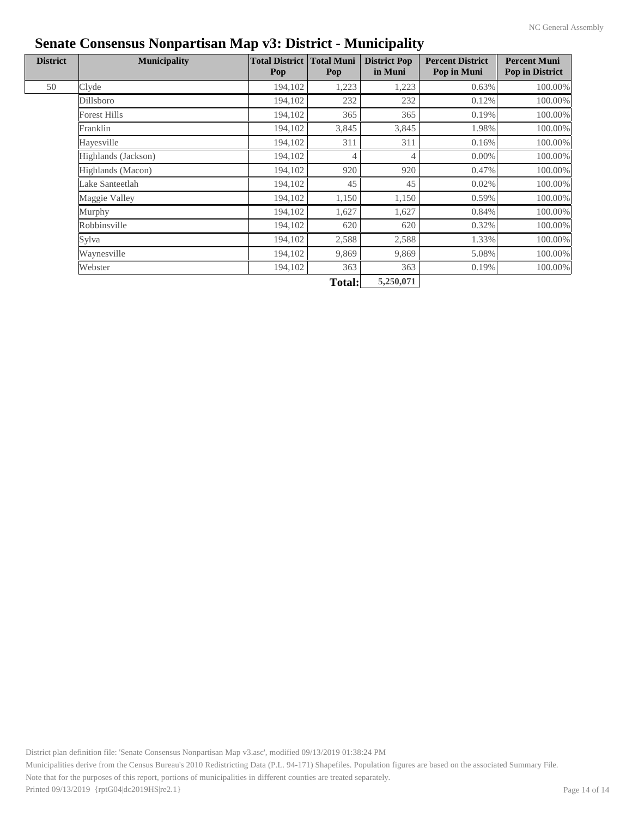| <b>District</b> | <b>Municipality</b> | <b>Total District</b><br>Pop | <b>Total Muni</b><br>Pop | <b>District Pop</b><br>in Muni | <b>Percent District</b><br>Pop in Muni | <b>Percent Muni</b><br><b>Pop in District</b> |
|-----------------|---------------------|------------------------------|--------------------------|--------------------------------|----------------------------------------|-----------------------------------------------|
| 50              | Clyde               | 194,102                      | 1,223                    | 1,223                          | 0.63%                                  | 100.00%                                       |
|                 | Dillsboro           | 194,102                      | 232                      | 232                            | 0.12%                                  | 100.00%                                       |
|                 | <b>Forest Hills</b> | 194,102                      | 365                      | 365                            | 0.19%                                  | 100.00%                                       |
|                 | Franklin            | 194,102                      | 3,845                    | 3,845                          | 1.98%                                  | 100.00%                                       |
|                 | Hayesville          | 194,102                      | 311                      | 311                            | 0.16%                                  | 100.00%                                       |
|                 | Highlands (Jackson) | 194,102                      | 4                        | 4                              | 0.00%                                  | 100.00%                                       |
|                 | Highlands (Macon)   | 194,102                      | 920                      | 920                            | 0.47%                                  | 100.00%                                       |
|                 | Lake Santeetlah     | 194,102                      | 45                       | 45                             | 0.02%                                  | 100.00%                                       |
|                 | Maggie Valley       | 194,102                      | 1,150                    | 1,150                          | 0.59%                                  | 100.00%                                       |
|                 | Murphy              | 194,102                      | 1,627                    | 1,627                          | 0.84%                                  | 100.00%                                       |
|                 | Robbinsville        | 194,102                      | 620                      | 620                            | 0.32%                                  | 100.00%                                       |
|                 | Sylva               | 194,102                      | 2,588                    | 2,588                          | 1.33%                                  | 100.00%                                       |
|                 | Waynesville         | 194,102                      | 9,869                    | 9,869                          | 5.08%                                  | 100.00%                                       |
|                 | Webster             | 194,102                      | 363                      | 363                            | 0.19%                                  | 100.00%                                       |
|                 |                     |                              | <b>Total:</b>            | 5,250,071                      |                                        |                                               |

District plan definition file: 'Senate Consensus Nonpartisan Map v3.asc', modified 09/13/2019 01:38:24 PM Municipalities derive from the Census Bureau's 2010 Redistricting Data (P.L. 94-171) Shapefiles. Population figures are based on the associated Summary File. Note that for the purposes of this report, portions of municipalities in different counties are treated separately. Printed 09/13/2019 {rptG04|dc2019HS|re2.1}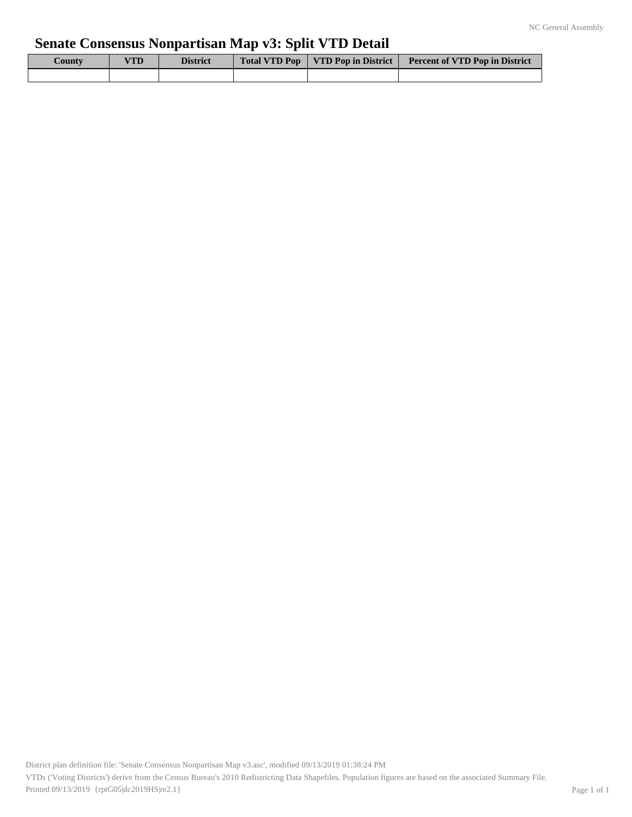# **Senate Consensus Nonpartisan Map v3: Split VTD Detail**

| $\mathcal{L}$ ounty | VTD | <b>District</b> | Total VTD Pop   VTD Pop in District | <b>Percent of VTD Pop in District</b> |
|---------------------|-----|-----------------|-------------------------------------|---------------------------------------|
|                     |     |                 |                                     |                                       |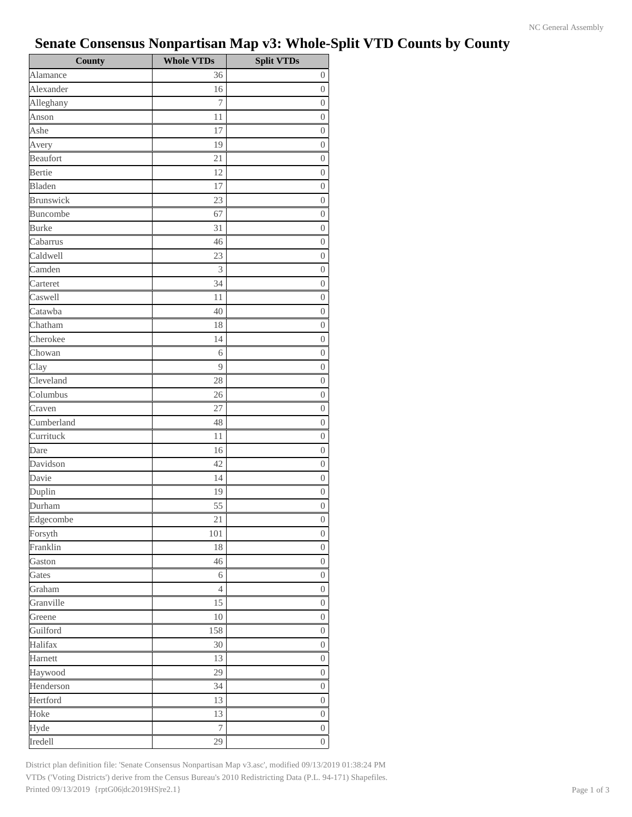# **Senate Consensus Nonpartisan Map v3: Whole-Split VTD Counts by County**

| <b>County</b>    | <b>Whole VTDs</b> | <b>Split VTDs</b> |
|------------------|-------------------|-------------------|
| Alamance         | 36                | $\boldsymbol{0}$  |
| Alexander        | 16                | $\overline{0}$    |
| Alleghany        | 7                 | $\boldsymbol{0}$  |
| Anson            | 11                | $\overline{0}$    |
| Ashe             | 17                | $\overline{0}$    |
| Avery            | 19                | $\boldsymbol{0}$  |
| Beaufort         | 21                | $\boldsymbol{0}$  |
| Bertie           | 12                | $\overline{0}$    |
| Bladen           | 17                | $\boldsymbol{0}$  |
| <b>Brunswick</b> | 23                | $\boldsymbol{0}$  |
| Buncombe         | 67                | $\boldsymbol{0}$  |
| <b>Burke</b>     | 31                | $\boldsymbol{0}$  |
| Cabarrus         | 46                | $\boldsymbol{0}$  |
| Caldwell         | 23                | $\boldsymbol{0}$  |
| Camden           | 3                 | $\boldsymbol{0}$  |
| Carteret         | 34                | $\boldsymbol{0}$  |
| Caswell          | 11                | $\boldsymbol{0}$  |
| Catawba          | 40                | $\boldsymbol{0}$  |
| Chatham          | 18                | $\boldsymbol{0}$  |
| Cherokee         | 14                | $\boldsymbol{0}$  |
| Chowan           | 6                 | $\boldsymbol{0}$  |
| Clay             | 9                 | $\boldsymbol{0}$  |
| Cleveland        | 28                | $\boldsymbol{0}$  |
| Columbus         | 26                | $\boldsymbol{0}$  |
| Craven           | 27                | $\boldsymbol{0}$  |
| Cumberland       | 48                | $\boldsymbol{0}$  |
| Currituck        | 11                | $\boldsymbol{0}$  |
| Dare             | 16                | $\boldsymbol{0}$  |
| Davidson         | 42                | $\boldsymbol{0}$  |
| Davie            | 14                | $\overline{0}$    |
| Duplin           | 19                | $\overline{0}$    |
| Durham           | 55                | $\overline{0}$    |
| Edgecombe        | $2\sqrt{1}$       | $\boldsymbol{0}$  |
| Forsyth          | 101               | $\boldsymbol{0}$  |
| Franklin         | 18                | $\boldsymbol{0}$  |
| Gaston           | 46                | $\overline{0}$    |
| Gates            | 6                 | $\boldsymbol{0}$  |
| Graham           | $\overline{4}$    | $\overline{0}$    |
| Granville        | 15                | $\boldsymbol{0}$  |
| Greene           | 10                | $\overline{0}$    |
| Guilford         | 158               | $\boldsymbol{0}$  |
| Halifax          | 30                | $\boldsymbol{0}$  |
| Harnett          | 13                | $\boldsymbol{0}$  |
| Haywood          | 29                | $\boldsymbol{0}$  |
| Henderson        | 34                | $\boldsymbol{0}$  |
| Hertford         | 13                | $\boldsymbol{0}$  |
| Hoke             | 13                | $\boldsymbol{0}$  |
| Hyde             | $\boldsymbol{7}$  | $\overline{0}$    |
| Iredell          | 29                | $\boldsymbol{0}$  |

District plan definition file: 'Senate Consensus Nonpartisan Map v3.asc', modified 09/13/2019 01:38:24 PM VTDs ('Voting Districts') derive from the Census Bureau's 2010 Redistricting Data (P.L. 94-171) Shapefiles. Printed 09/13/2019 {rptG06|dc2019HS|re2.1} Page 1 of 3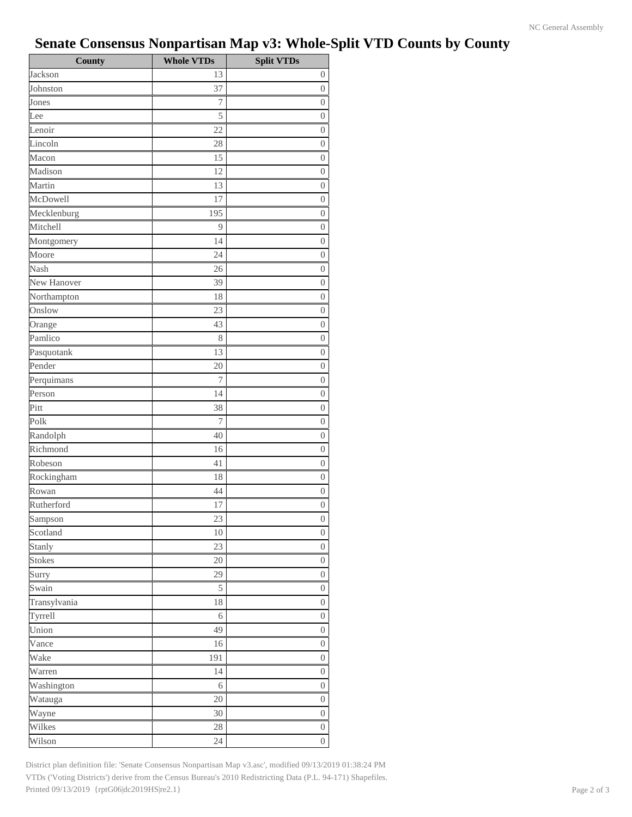# **Senate Consensus Nonpartisan Map v3: Whole-Split VTD Counts by County**

| <b>County</b> | <b>Whole VTDs</b> | <b>Split VTDs</b> |
|---------------|-------------------|-------------------|
| Jackson       | 13                | $\boldsymbol{0}$  |
| Johnston      | 37                | $\boldsymbol{0}$  |
| Jones         | 7                 | $\boldsymbol{0}$  |
| Lee           | 5                 | $\boldsymbol{0}$  |
| Lenoir        | 22                | $\boldsymbol{0}$  |
| Lincoln       | 28                | $\boldsymbol{0}$  |
| Macon         | 15                | $\boldsymbol{0}$  |
| Madison       | 12                | $\boldsymbol{0}$  |
| Martin        | 13                | $\boldsymbol{0}$  |
| McDowell      | 17                | $\boldsymbol{0}$  |
| Mecklenburg   | 195               | $\boldsymbol{0}$  |
| Mitchell      | 9                 | $\boldsymbol{0}$  |
| Montgomery    | 14                | $\boldsymbol{0}$  |
| Moore         | 24                | $\boldsymbol{0}$  |
| Nash          | 26                | $\boldsymbol{0}$  |
| New Hanover   | 39                | 0                 |
| Northampton   | 18                | $\boldsymbol{0}$  |
| Onslow        | 23                | $\boldsymbol{0}$  |
| Orange        | 43                | $\boldsymbol{0}$  |
| Pamlico       | 8                 | $\boldsymbol{0}$  |
| Pasquotank    | 13                | $\theta$          |
| Pender        | 20                | $\boldsymbol{0}$  |
| Perquimans    | 7                 | $\boldsymbol{0}$  |
| Person        | 14                | $\boldsymbol{0}$  |
| Pitt          | 38                | $\boldsymbol{0}$  |
| Polk          | 7                 | $\boldsymbol{0}$  |
| Randolph      | 40                | $\boldsymbol{0}$  |
| Richmond      | 16                | $\boldsymbol{0}$  |
| Robeson       | 41                | $\boldsymbol{0}$  |
| Rockingham    | 18                | $\boldsymbol{0}$  |
| Rowan         | 44                | $\boldsymbol{0}$  |
| Rutherford    | 17                | $\boldsymbol{0}$  |
| Sampson       | 23                | $\boldsymbol{0}$  |
| Scotland      | 10                | $\boldsymbol{0}$  |
| Stanly        | 23                | $\boldsymbol{0}$  |
| <b>Stokes</b> | $20\,$            | $\boldsymbol{0}$  |
| Surry         | 29                | $\boldsymbol{0}$  |
| Swain         | 5                 | $\boldsymbol{0}$  |
| Transylvania  | $18\,$            | $\boldsymbol{0}$  |
| Tyrrell       | $\sqrt{6}$        | $\boldsymbol{0}$  |
| Union         | 49                | $\boldsymbol{0}$  |
| Vance         | 16                | $\boldsymbol{0}$  |
| Wake          | 191               | $\boldsymbol{0}$  |
| Warren        | 14                | $\boldsymbol{0}$  |
| Washington    | 6                 | $\overline{0}$    |
| Watauga       | 20                | $\boldsymbol{0}$  |
| Wayne         | 30                | $\overline{0}$    |
| Wilkes        | 28                | $\boldsymbol{0}$  |
| Wilson        | 24                | $\overline{0}$    |

District plan definition file: 'Senate Consensus Nonpartisan Map v3.asc', modified 09/13/2019 01:38:24 PM VTDs ('Voting Districts') derive from the Census Bureau's 2010 Redistricting Data (P.L. 94-171) Shapefiles. Printed 09/13/2019 {rptG06|dc2019HS|re2.1} Page 2 of 3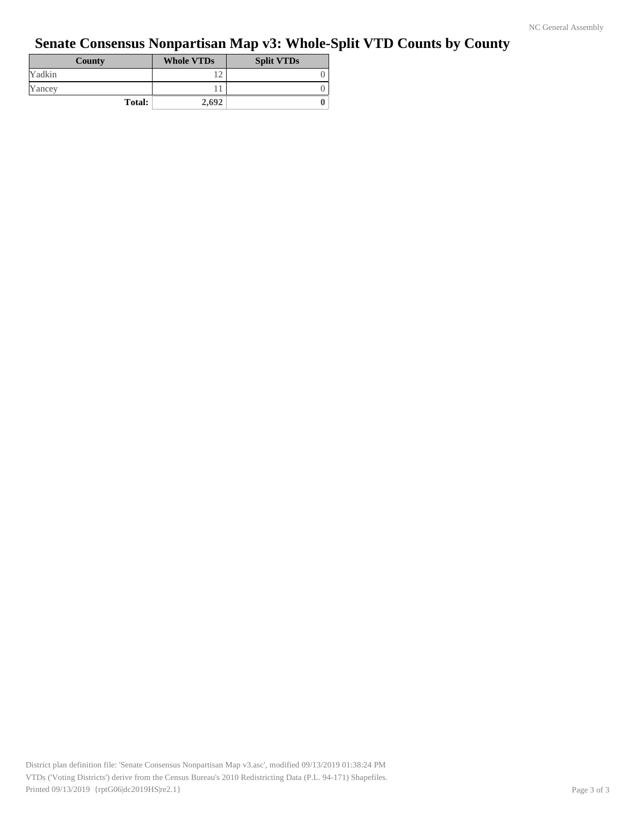# **Senate Consensus Nonpartisan Map v3: Whole-Split VTD Counts by County**

| County        | <b>Whole VTDs</b> | <b>Split VTDs</b> |
|---------------|-------------------|-------------------|
| Yadkin        |                   |                   |
| Yancey        |                   |                   |
| <b>Total:</b> | 2,692             |                   |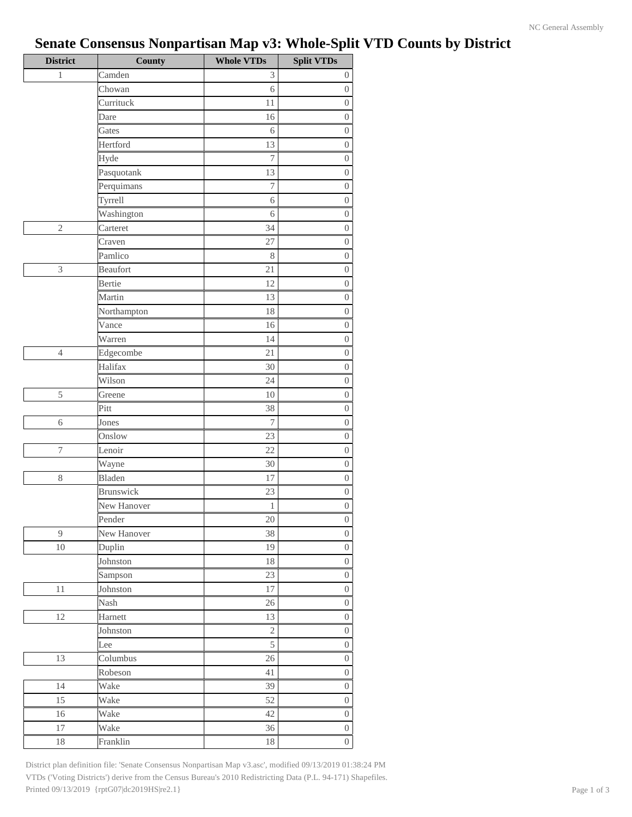# **Senate Consensus Nonpartisan Map v3: Whole-Split VTD Counts by District**

| <b>District</b> | County           | <b>Whole VTDs</b> | <b>Split VTDs</b> |
|-----------------|------------------|-------------------|-------------------|
| 1               | Camden           | 3                 | $\overline{0}$    |
|                 | Chowan           | 6                 | $\boldsymbol{0}$  |
|                 | Currituck        | $1\,1$            | $\boldsymbol{0}$  |
|                 | Dare             | 16                | $\boldsymbol{0}$  |
|                 | Gates            | 6                 | $\boldsymbol{0}$  |
|                 | Hertford         | 13                | $\boldsymbol{0}$  |
|                 | Hyde             | $\boldsymbol{7}$  | $\boldsymbol{0}$  |
|                 | Pasquotank       | 13                | $\boldsymbol{0}$  |
|                 | Perquimans       | 7                 | $\boldsymbol{0}$  |
|                 | Tyrrell          | 6                 | $\boldsymbol{0}$  |
|                 | Washington       | 6                 | $\boldsymbol{0}$  |
| $\overline{c}$  | Carteret         | 34                | $\boldsymbol{0}$  |
|                 | Craven           | 27                | $\boldsymbol{0}$  |
|                 | Pamlico          | 8                 | $\boldsymbol{0}$  |
| 3               | Beaufort         | 21                | $\boldsymbol{0}$  |
|                 | <b>Bertie</b>    | 12                | $\boldsymbol{0}$  |
|                 | Martin           | 13                | $\boldsymbol{0}$  |
|                 | Northampton      | 18                | $\boldsymbol{0}$  |
|                 | Vance            | 16                | $\boldsymbol{0}$  |
|                 | Warren           | 14                | $\boldsymbol{0}$  |
| 4               | Edgecombe        | 21                | $\boldsymbol{0}$  |
|                 | Halifax          | 30                | $\boldsymbol{0}$  |
|                 | Wilson           | 24                | $\boldsymbol{0}$  |
| 5               | Greene           | 10                | $\boldsymbol{0}$  |
|                 | Pitt             | 38                | $\boldsymbol{0}$  |
| 6               | Jones            | $\boldsymbol{7}$  | $\boldsymbol{0}$  |
|                 | Onslow           | 23                | $\boldsymbol{0}$  |
| $\sqrt{ }$      | Lenoir           | 22                | $\boldsymbol{0}$  |
|                 | Wayne            | 30                | $\boldsymbol{0}$  |
| 8               | Bladen           | 17                | $\boldsymbol{0}$  |
|                 | <b>Brunswick</b> | 23                | $\boldsymbol{0}$  |
|                 | New Hanover      | $\,1$             | $\boldsymbol{0}$  |
|                 | Pender           | 20                | $\boldsymbol{0}$  |
| 9               | New Hanover      | 38                | $\overline{0}$    |
| 10              | Duplin           | 19                | $\boldsymbol{0}$  |
|                 | Johnston         | $18\,$            | $\boldsymbol{0}$  |
|                 | Sampson          | 23                | $\boldsymbol{0}$  |
| $1\,1$          | Johnston         | 17                | $\boldsymbol{0}$  |
|                 | Nash             | $26\,$            | $\boldsymbol{0}$  |
| $12\,$          | Harnett          | 13                | $\boldsymbol{0}$  |
|                 | Johnston         | $\sqrt{2}$        | $\boldsymbol{0}$  |
|                 | Lee              | 5                 | $\boldsymbol{0}$  |
| 13              | Columbus         | 26                | $\boldsymbol{0}$  |
|                 | Robeson          | 41                | $\boldsymbol{0}$  |
| 14              | Wake             | 39                | $\boldsymbol{0}$  |
| 15              | Wake             | 52                | $\boldsymbol{0}$  |
| 16              | Wake             | 42                | $\boldsymbol{0}$  |
| 17              | Wake             | 36                | $\boldsymbol{0}$  |
| $18\,$          | Franklin         | 18                | $\overline{0}$    |

District plan definition file: 'Senate Consensus Nonpartisan Map v3.asc', modified 09/13/2019 01:38:24 PM VTDs ('Voting Districts') derive from the Census Bureau's 2010 Redistricting Data (P.L. 94-171) Shapefiles. Printed 09/13/2019 {rptG07|dc2019HS|re2.1} Page 1 of 3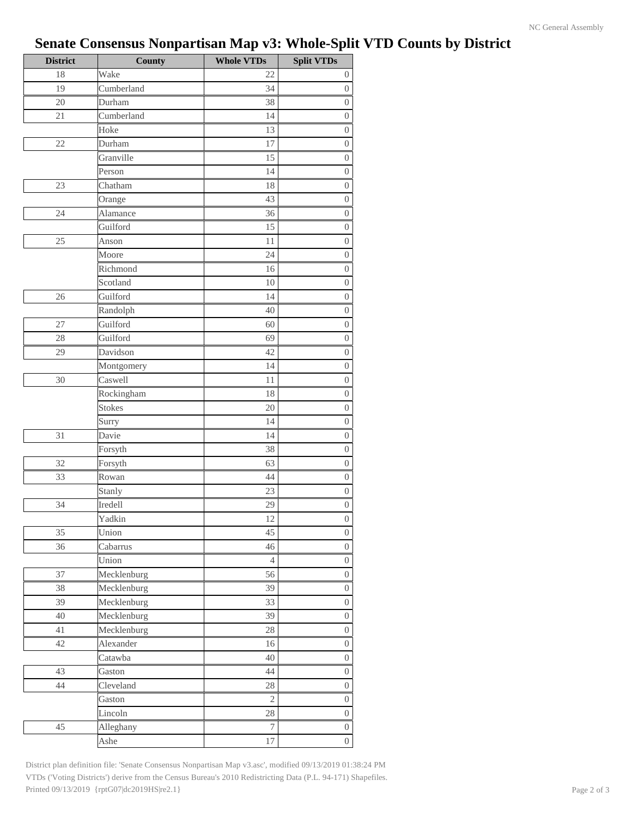# **Senate Consensus Nonpartisan Map v3: Whole-Split VTD Counts by District**

| <b>District</b> | <b>County</b> | <b>Whole VTDs</b> | <b>Split VTDs</b> |
|-----------------|---------------|-------------------|-------------------|
| 18              | Wake          | 22                | $\boldsymbol{0}$  |
| 19              | Cumberland    | 34                | $\boldsymbol{0}$  |
| 20              | Durham        | 38                | $\boldsymbol{0}$  |
| $21\,$          | Cumberland    | 14                | $\boldsymbol{0}$  |
|                 | Hoke          | 13                | $\boldsymbol{0}$  |
| 22              | Durham        | 17                | $\boldsymbol{0}$  |
|                 | Granville     | 15                | $\boldsymbol{0}$  |
|                 | Person        | 14                | $\boldsymbol{0}$  |
| 23              | Chatham       | 18                | $\theta$          |
|                 | Orange        | 43                | $\boldsymbol{0}$  |
| 24              | Alamance      | 36                | $\boldsymbol{0}$  |
|                 | Guilford      | 15                | $\boldsymbol{0}$  |
| 25              | Anson         | 11                | $\boldsymbol{0}$  |
|                 | Moore         | 24                | $\boldsymbol{0}$  |
|                 | Richmond      | 16                | $\boldsymbol{0}$  |
|                 | Scotland      | 10                | $\boldsymbol{0}$  |
| 26              | Guilford      | 14                | $\boldsymbol{0}$  |
|                 | Randolph      | 40                | $\boldsymbol{0}$  |
| 27              | Guilford      | 60                | $\boldsymbol{0}$  |
| 28              | Guilford      | 69                | $\boldsymbol{0}$  |
| 29              | Davidson      | 42                | $\boldsymbol{0}$  |
|                 | Montgomery    | 14                | $\boldsymbol{0}$  |
| 30              | Caswell       | 11                | $\boldsymbol{0}$  |
|                 | Rockingham    | 18                | $\boldsymbol{0}$  |
|                 | <b>Stokes</b> | 20                | $\boldsymbol{0}$  |
|                 | Surry         | 14                | $\theta$          |
| 31              | Davie         | 14                | $\boldsymbol{0}$  |
|                 | Forsyth       | 38                | $\boldsymbol{0}$  |
| 32              | Forsyth       | 63                | $\boldsymbol{0}$  |
| 33              | Rowan         | 44                | $\theta$          |
|                 | Stanly        | 23                | $\boldsymbol{0}$  |
| 34              | Iredell       | 29                | $\boldsymbol{0}$  |
|                 | Yadkin        | $12\,$            | $\boldsymbol{0}$  |
| 35              | Union         | 45                | $\boldsymbol{0}$  |
| 36              | Cabarrus      | 46                | $\boldsymbol{0}$  |
|                 | Union         | $\overline{4}$    | $\boldsymbol{0}$  |
| 37              | Mecklenburg   | 56                | $\boldsymbol{0}$  |
| 38              | Mecklenburg   | 39                | $\boldsymbol{0}$  |
| 39              | Mecklenburg   | 33                | $\boldsymbol{0}$  |
| 40              | Mecklenburg   | 39                | $\boldsymbol{0}$  |
| 41              | Mecklenburg   | 28                | $\boldsymbol{0}$  |
| 42              | Alexander     | 16                | $\boldsymbol{0}$  |
|                 | Catawba       | $40\,$            | $\boldsymbol{0}$  |
| 43              | Gaston        | 44                | $\overline{0}$    |
| 44              | Cleveland     | 28                | $\boldsymbol{0}$  |
|                 | Gaston        | $\mathfrak{2}$    | $\overline{0}$    |
|                 | Lincoln       | $28\,$            | $\boldsymbol{0}$  |
| 45              | Alleghany     | $\tau$            | $\overline{0}$    |
|                 | Ashe          | $17\,$            | $\overline{0}$    |

District plan definition file: 'Senate Consensus Nonpartisan Map v3.asc', modified 09/13/2019 01:38:24 PM VTDs ('Voting Districts') derive from the Census Bureau's 2010 Redistricting Data (P.L. 94-171) Shapefiles. Printed 09/13/2019 {rptG07|dc2019HS|re2.1} Page 2 of 3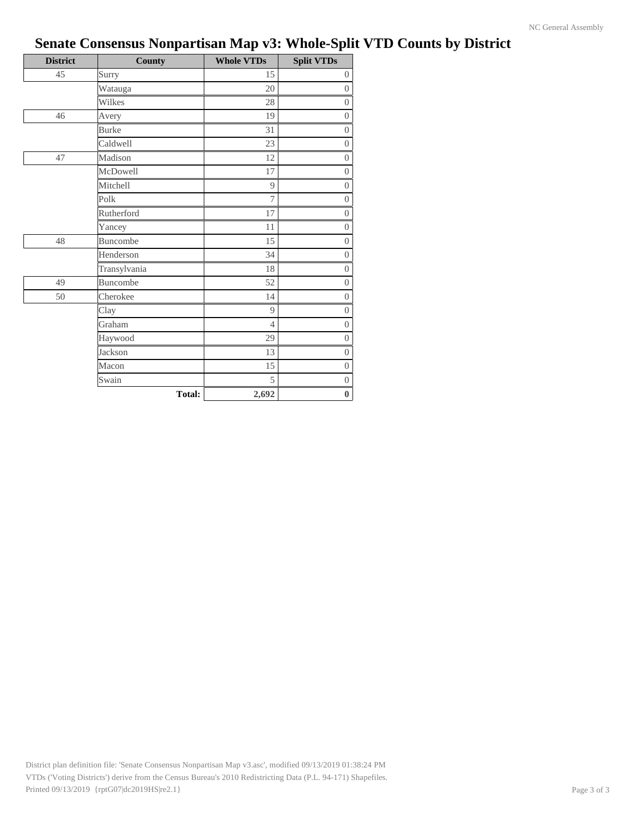| <b>District</b> | County        | <b>Whole VTDs</b> | <b>Split VTDs</b> |
|-----------------|---------------|-------------------|-------------------|
| 45              | Surry         | 15                | $\boldsymbol{0}$  |
|                 | Watauga       | 20                | $\boldsymbol{0}$  |
|                 | Wilkes        | 28                | $\boldsymbol{0}$  |
| 46              | Avery         | 19                | $\boldsymbol{0}$  |
|                 | <b>Burke</b>  | 31                | $\overline{0}$    |
|                 | Caldwell      | 23                | $\boldsymbol{0}$  |
| 47              | Madison       | 12                | $\boldsymbol{0}$  |
|                 | McDowell      | 17                | $\overline{0}$    |
|                 | Mitchell      | 9                 | $\overline{0}$    |
|                 | Polk          | 7                 | $\overline{0}$    |
|                 | Rutherford    | 17                | $\overline{0}$    |
|                 | Yancey        | 11                | $\overline{0}$    |
| 48              | Buncombe      | 15                | $\overline{0}$    |
|                 | Henderson     | 34                | $\Omega$          |
|                 | Transylvania  | 18                | $\overline{0}$    |
| 49              | Buncombe      | 52                | $\overline{0}$    |
| 50              | Cherokee      | 14                | $\overline{0}$    |
|                 | Clay          | 9                 | $\overline{0}$    |
|                 | Graham        | $\overline{4}$    | $\boldsymbol{0}$  |
|                 | Haywood       | 29                | $\overline{0}$    |
|                 | Jackson       | 13                | $\overline{0}$    |
|                 | Macon         | 15                | $\boldsymbol{0}$  |
|                 | Swain         | 5                 | $\boldsymbol{0}$  |
|                 | <b>Total:</b> | 2,692             | $\bf{0}$          |

# **Senate Consensus Nonpartisan Map v3: Whole-Split VTD Counts by District**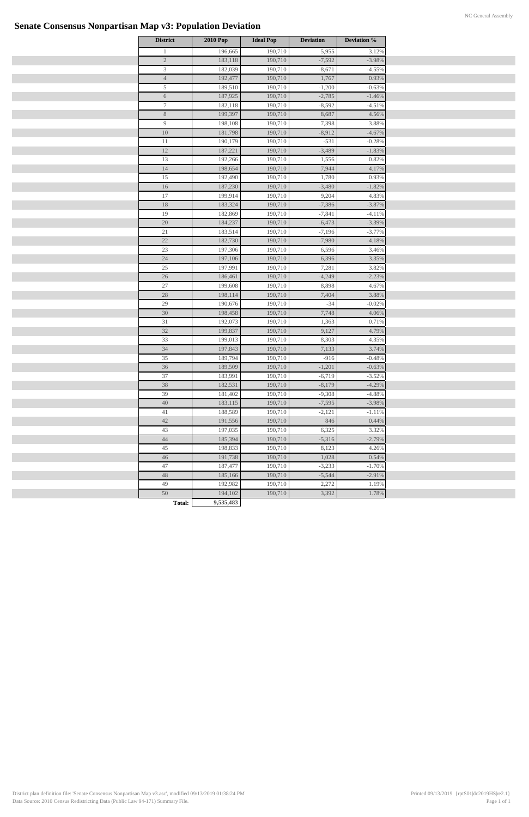# **Senate Consensus Nonpartisan Map v3: Population Deviation**

| <b>District</b>             | <b>2010 Pop</b>            | <b>Ideal Pop</b> | <b>Deviation</b> | <b>Deviation %</b> |
|-----------------------------|----------------------------|------------------|------------------|--------------------|
| $\mathbf{1}$                | 196,665                    | 190,710          | 5,955            | 3.12%              |
| $\sqrt{2}$                  | 183,118                    | 190,710          | $-7,592$         | $-3.98%$           |
| $\ensuremath{\mathfrak{Z}}$ | 182,039                    | 190,710          | $-8,671$         | $-4.55%$           |
| $\overline{4}$              | 192,477                    | 190,710          | 1,767            | 0.93%              |
| 5                           | 189,510                    | 190,710          | $-1,200$         | $-0.63%$           |
| $\sqrt{6}$                  | 187,925                    | 190,710          | $-2,785$         | $-1.46%$           |
| $\tau$                      | 182,118                    | 190,710          | $-8,592$         | $-4.51%$           |
| $8\,$                       | 199,397                    | 190,710          | 8,687            | 4.56%              |
| 9                           | 198,108                    | 190,710          | 7,398            | 3.88%              |
| $10\,$                      | 181,798                    | 190,710          | $-8,912$         | $-4.67%$           |
| 11                          | 190,179                    | 190,710          | $-531$           | $-0.28%$           |
| $12\,$                      | 187,221                    | 190,710          | $-3,489$         | $-1.83%$           |
| 13                          | 192,266                    | 190,710          | 1,556            | 0.82%              |
| $14\,$                      | 198,654                    | 190,710          | 7,944            | 4.17%              |
| 15                          | 192,490                    | 190,710          | 1,780            | 0.93%              |
| 16                          | 187,230                    | 190,710          | $-3,480$         | $-1.82%$           |
| 17                          | 199,914                    | 190,710          | 9,204            | 4.83%              |
| $18\,$                      | 183,324                    | 190,710          | $-7,386$         | $-3.87%$           |
| 19                          | 182,869                    | 190,710          | $-7,841$         | $-4.11%$           |
| 20                          | 184,237                    | 190,710          | $-6,473$         | $-3.39%$           |
| 21                          | 183,514                    | 190,710          | $-7,196$         | $-3.77%$           |
| 22                          | 182,730                    | 190,710          | $-7,980$         | $-4.18%$           |
| 23                          | 197,306                    | 190,710          | 6,596            | 3.46%              |
| 24                          | 197,106                    | 190,710          | 6,396            | 3.35%              |
| 25                          | 197,991                    | 190,710          | 7,281            | 3.82%              |
| 26                          | 186,461                    | 190,710          | $-4,249$         | $-2.23%$           |
| 27                          | 199,608                    | 190,710          | 8,898            | 4.67%              |
| 28                          | 198,114                    | 190,710          | 7,404            | 3.88%              |
| 29                          | 190,676                    | 190,710          | $-34$            | $-0.02%$           |
| 30                          | 198,458                    | 190,710          | 7,748            | 4.06%              |
| 31                          | 192,073                    | 190,710          | 1,363            | 0.71%              |
| 32                          |                            |                  |                  |                    |
|                             | 199,837                    | 190,710          | 9,127            | 4.79%              |
| 33                          | 199,013                    | 190,710          | 8,303            | 4.35%              |
| 34                          | 197,843                    | 190,710          | 7,133            | 3.74%              |
| 35                          | 189,794                    | 190,710          | $-916$           | $-0.48%$           |
| 36                          | 189,509                    | 190,710          | $-1,201$         | $-0.63%$           |
| 37                          | 183,991                    | 190,710          | $-6,719$         | $-3.52%$           |
| 38                          | 182,531                    | 190,710          | $-8,179$         | $-4.29%$           |
| 39                          | 181,402                    | 190,710          | $-9,308$         | $-4.88%$           |
| 40                          | 183,115                    | 190,710          | $-7,595$         | $-3.98%$           |
| 41                          | 188,589                    | 190,710          | $-2,121$         | $-1.11%$           |
| 42                          | 191,556                    | 190,710          | 846              | 0.44%              |
| 43                          | 197,035                    | 190,710          | 6,325            | 3.32%              |
| 44                          | 185,394                    | 190,710          | $-5,316$         | $-2.79%$           |
| 45                          | 198,833                    | 190,710          | 8,123            | 4.26%              |
| 46                          | 191,738                    | 190,710          | 1,028            | 0.54%              |
| 47                          | 187,477                    | 190,710          | $-3,233$         | $-1.70%$           |
| 48                          | 185,166                    | 190,710          | $-5,544$         | $-2.91%$           |
| 49                          | 192,982                    | 190,710          | 2,272            | 1.19%              |
| 50                          | 194,102                    | 190,710          | 3,392            | 1.78%              |
|                             | 9,535,483<br><b>Total:</b> |                  |                  |                    |

District plan definition file: 'Senate Consensus Nonpartisan Map v3.asc', modified 09/13/2019 01:38:24 PM Data Source: 2010 Census Redistricting Data (Public Law 94-171) Summary File. Page 1 of 1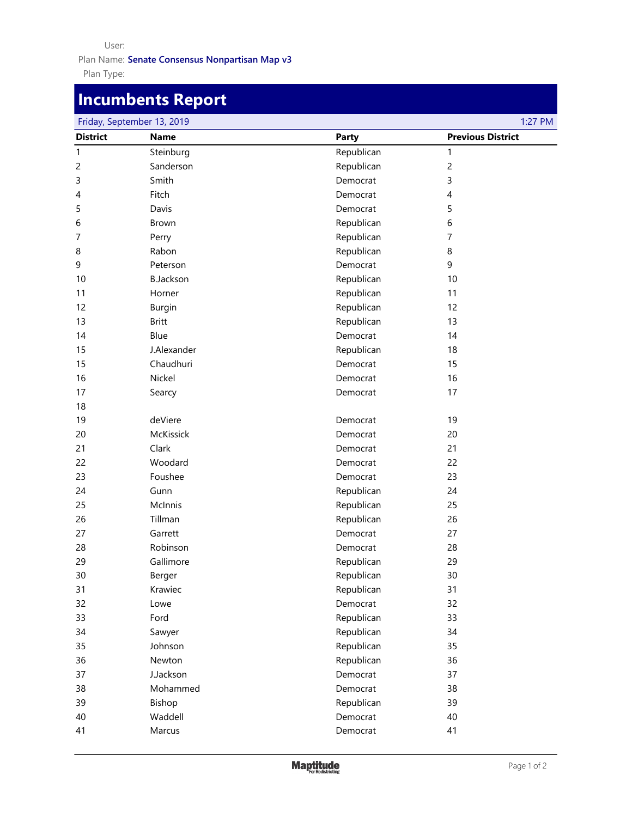#### User:

Plan Type: Plan Name: **Senate Consensus Nonpartisan Map v3**

# **Incumbents Report**

| Friday, September 13, 2019<br>1:27 PM |                  |              |                          |  |
|---------------------------------------|------------------|--------------|--------------------------|--|
| <b>District</b>                       | <b>Name</b>      | <b>Party</b> | <b>Previous District</b> |  |
| 1                                     | Steinburg        | Republican   | 1                        |  |
| 2                                     | Sanderson        | Republican   | $\overline{c}$           |  |
| 3                                     | Smith            | Democrat     | 3                        |  |
| 4                                     | Fitch            | Democrat     | 4                        |  |
| 5                                     | Davis            | Democrat     | 5                        |  |
| 6                                     | Brown            | Republican   | 6                        |  |
| 7                                     | Perry            | Republican   | 7                        |  |
| 8                                     | Rabon            | Republican   | 8                        |  |
| 9                                     | Peterson         | Democrat     | 9                        |  |
| 10                                    | <b>B.Jackson</b> | Republican   | 10                       |  |
| 11                                    | Horner           | Republican   | 11                       |  |
| 12                                    | <b>Burgin</b>    | Republican   | 12                       |  |
| 13                                    | <b>Britt</b>     | Republican   | 13                       |  |
| 14                                    | Blue             | Democrat     | 14                       |  |
| 15                                    | J.Alexander      | Republican   | 18                       |  |
| 15                                    | Chaudhuri        | Democrat     | 15                       |  |
| 16                                    | Nickel           | Democrat     | 16                       |  |
| 17                                    | Searcy           | Democrat     | 17                       |  |
| 18                                    |                  |              |                          |  |
| 19                                    | deViere          | Democrat     | 19                       |  |
| 20                                    | <b>McKissick</b> | Democrat     | 20                       |  |
| 21                                    | Clark            | Democrat     | 21                       |  |
| 22                                    | Woodard          | Democrat     | 22                       |  |
| 23                                    | Foushee          | Democrat     | 23                       |  |
| 24                                    | Gunn             | Republican   | 24                       |  |
| 25                                    | McInnis          | Republican   | 25                       |  |
| 26                                    | Tillman          | Republican   | 26                       |  |
| 27                                    | Garrett          | Democrat     | 27                       |  |
| 28                                    | Robinson         | Democrat     | 28                       |  |
| 29                                    | Gallimore        | Republican   | 29                       |  |
| 30                                    | Berger           | Republican   | 30                       |  |
| 31                                    | Krawiec          | Republican   | 31                       |  |
| 32                                    | Lowe             | Democrat     | 32                       |  |
| 33                                    | Ford             | Republican   | 33                       |  |
| 34                                    | Sawyer           | Republican   | 34                       |  |
| 35                                    | Johnson          | Republican   | 35                       |  |
| 36                                    | Newton           | Republican   | 36                       |  |
| 37                                    | <b>J.Jackson</b> | Democrat     | 37                       |  |
| 38                                    | Mohammed         | Democrat     | 38                       |  |
| 39                                    | Bishop           | Republican   | 39                       |  |
| 40                                    | Waddell          | Democrat     | 40                       |  |
| 41                                    | Marcus           | Democrat     | 41                       |  |
|                                       |                  |              |                          |  |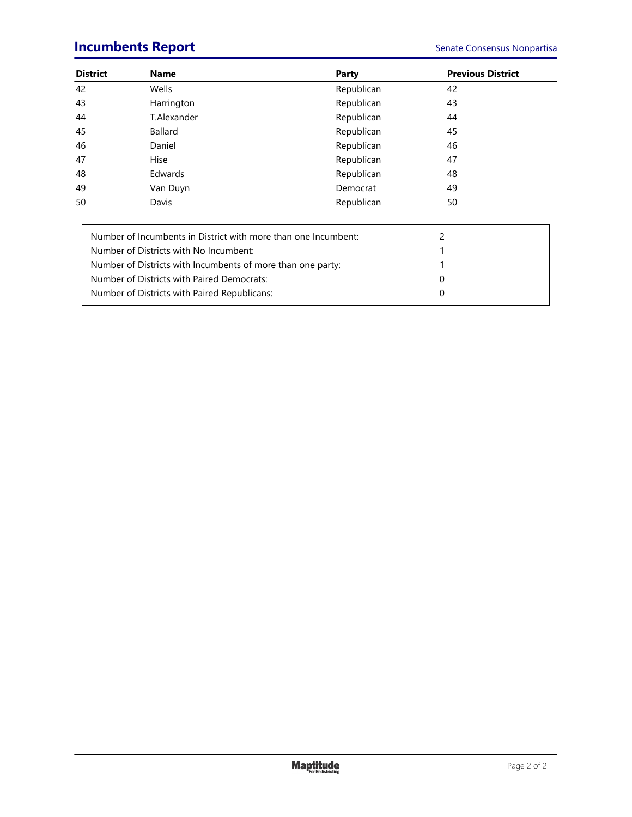# **Incumbents Report Senate Consensus Nonpartisa**

| <b>District</b>                                             | <b>Name</b>                                                    | Party      | <b>Previous District</b> |
|-------------------------------------------------------------|----------------------------------------------------------------|------------|--------------------------|
| 42                                                          | Wells                                                          | Republican | 42                       |
| 43                                                          | Harrington                                                     | Republican | 43                       |
| 44                                                          | T.Alexander                                                    | Republican | 44                       |
| 45                                                          | <b>Ballard</b>                                                 | Republican | 45                       |
| 46                                                          | Daniel                                                         | Republican | 46                       |
| 47                                                          | <b>Hise</b>                                                    | Republican | 47                       |
| 48                                                          | Edwards                                                        | Republican | 48                       |
| 49                                                          | Van Duyn                                                       | Democrat   | 49                       |
| 50                                                          | Davis                                                          | Republican | 50                       |
|                                                             | Number of Incumbents in District with more than one Incumbent: |            | 2                        |
|                                                             | Number of Districts with No Incumbent:                         |            |                          |
| Number of Districts with Incumbents of more than one party: |                                                                |            |                          |
| Number of Districts with Paired Democrats:                  |                                                                |            | O                        |
|                                                             | Number of Districts with Paired Republicans:                   |            | 0                        |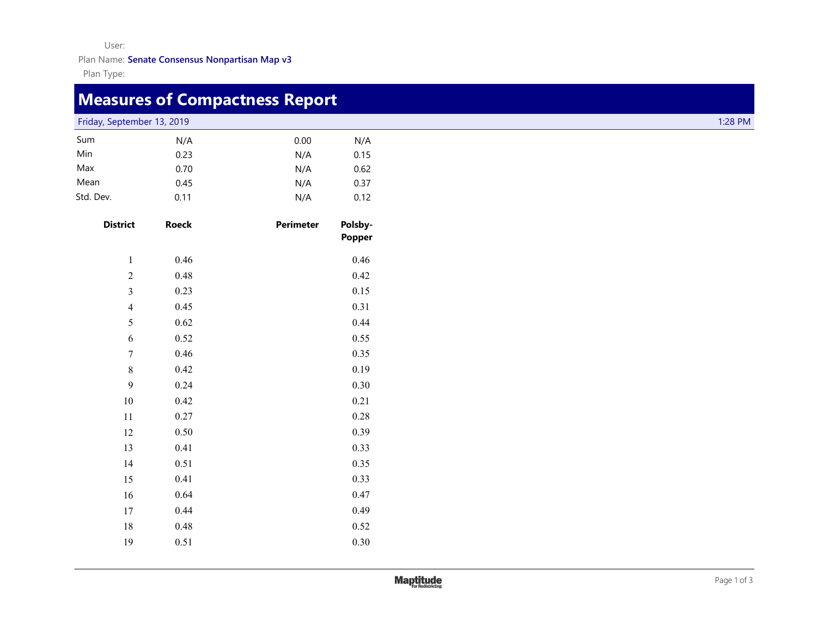User:

Plan Name: **Senate Consensus Nonpartisan Map v3**

Plan Type:

# **Measures of Compactness Report**

Friday, September 13, 2019 1:28 PM

| Sum       | N/A  | 0.00 | N/A  |
|-----------|------|------|------|
| Min       | 0.23 | N/A  | 0.15 |
| Max       | 0.70 | N/A  | 0.62 |
| Mean      | 0.45 | N/A  | 0.37 |
| Std. Dev. | 0.11 | N/A  | 0.12 |

| <b>District</b> | <b>Roeck</b> | Perimeter | Polsby-<br><b>Popper</b> |
|-----------------|--------------|-----------|--------------------------|
| $\,1\,$         | 0.46         |           | 0.46                     |
| $\sqrt{2}$      | 0.48         |           | 0.42                     |
| $\overline{3}$  | 0.23         |           | 0.15                     |
| $\overline{4}$  | 0.45         |           | 0.31                     |
| 5               | 0.62         |           | 0.44                     |
| $\sqrt{6}$      | 0.52         |           | 0.55                     |
| $\overline{7}$  | 0.46         |           | 0.35                     |
| $\,$ 8 $\,$     | 0.42         |           | 0.19                     |
| 9               | 0.24         |           | 0.30                     |
| 10              | 0.42         |           | 0.21                     |
| 11              | 0.27         |           | 0.28                     |
| 12              | 0.50         |           | 0.39                     |
| 13              | 0.41         |           | 0.33                     |
| 14              | 0.51         |           | 0.35                     |
| 15              | 0.41         |           | 0.33                     |
| 16              | 0.64         |           | 0.47                     |
| 17              | 0.44         |           | 0.49                     |
| $18\,$          | 0.48         |           | 0.52                     |
| 19              | 0.51         |           | 0.30                     |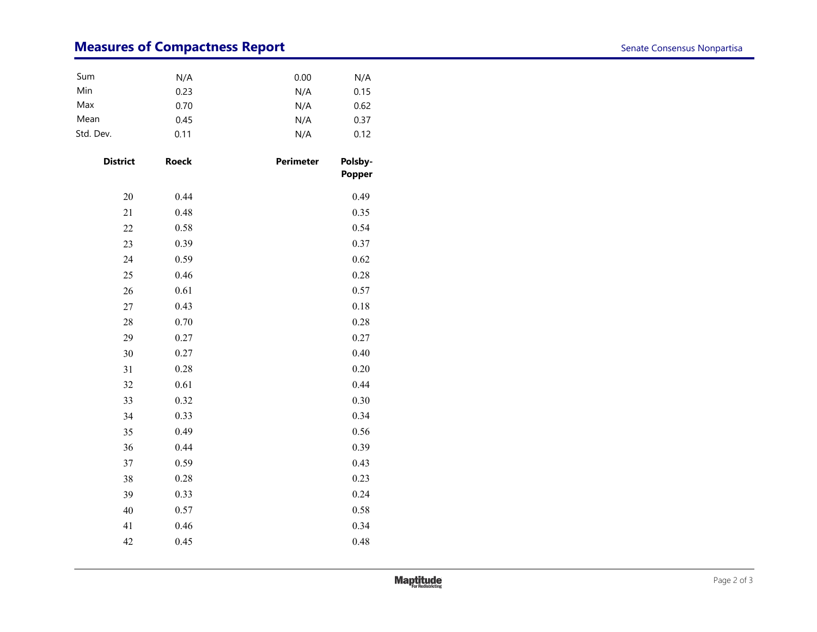# **Measures of Compactness Report Senate Consensus Nonpartisa**

| Sum       | N/A  | 0.00 | N/A  |
|-----------|------|------|------|
| Min       | 0.23 | N/A  | 0.15 |
| Max       | 0.70 | N/A  | 0.62 |
| Mean      | 0.45 | N/A  | 0.37 |
| Std. Dev. | 0.11 | N/A  | 0.12 |

| <b>District</b> | <b>Roeck</b> | <b>Perimeter</b> | Polsby-<br>Popper |
|-----------------|--------------|------------------|-------------------|
| 20              | 0.44         |                  | 0.49              |
| 21              | 0.48         |                  | 0.35              |
| 22              | 0.58         |                  | 0.54              |
| 23              | 0.39         |                  | 0.37              |
| 24              | 0.59         |                  | 0.62              |
| 25              | 0.46         |                  | 0.28              |
| 26              | 0.61         |                  | 0.57              |
| 27              | 0.43         |                  | 0.18              |
| 28              | 0.70         |                  | 0.28              |
| 29              | 0.27         |                  | 0.27              |
| 30              | 0.27         |                  | 0.40              |
| 31              | 0.28         |                  | 0.20              |
| 32              | 0.61         |                  | 0.44              |
| 33              | 0.32         |                  | 0.30              |
| 34              | 0.33         |                  | 0.34              |
| 35              | 0.49         |                  | 0.56              |
| 36              | 0.44         |                  | 0.39              |
| 37              | 0.59         |                  | 0.43              |
| 38              | 0.28         |                  | 0.23              |
| 39              | 0.33         |                  | 0.24              |
| 40              | 0.57         |                  | 0.58              |
| 41              | 0.46         |                  | 0.34              |
| 42              | 0.45         |                  | 0.48              |